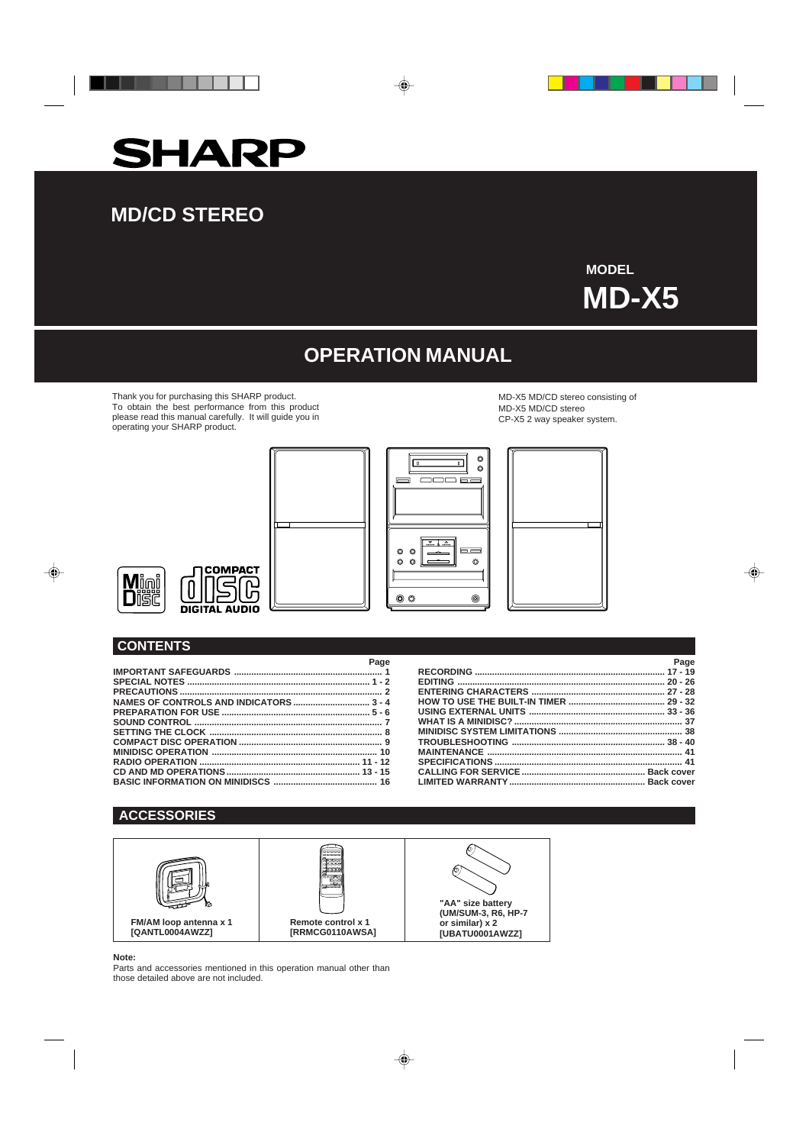



# **MD/CD STEREO**

**MODEL MD-X5**

♦

. .

# **OPERATION MANUAL**

◈

Thank you for purchasing this SHARP product. To obtain the best performance from this product please read this manual carefully. It will guide you in operating your SHARP product.

MD-X5 MD/CD stereo consisting of MD-X5 MD/CD stereo CP-X5 2 way speaker system.









## **CONTENTS**

 $\clubsuit$ 

| Page |
|------|
|      |
|      |
|      |
|      |
|      |
|      |
|      |
|      |
|      |
|      |
| 16   |

| Page |
|------|
|      |
|      |
|      |
|      |
|      |
|      |
|      |
|      |
|      |
|      |
|      |
|      |

## **ACCESSORIES**



♦

## **Note:**

Parts and accessories mentioned in this operation manual other than those detailed above are not included.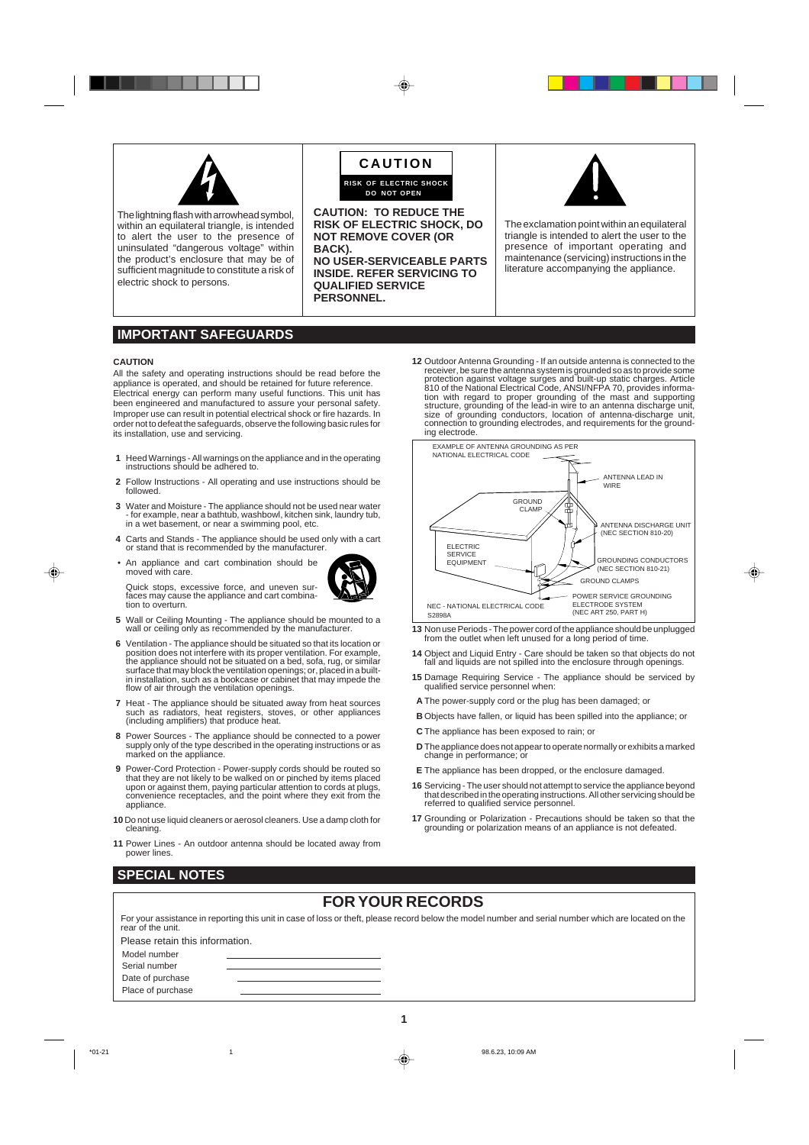

The lightning flash with arrowhead symbol, within an equilateral triangle, is intended to alert the user to the presence of uninsulated "dangerous voltage" within the product's enclosure that may be of sufficient magnitude to constitute a risk of electric shock to persons.



**CAUTION: TO REDUCE THE RISK OF ELECTRIC SHOCK, DO NOT REMOVE COVER (OR BACK). NO USER-SERVICEABLE PARTS INSIDE. REFER SERVICING TO QUALIFIED SERVICE PERSONNEL.**



The exclamation point within an equilateral triangle is intended to alert the user to the presence of important operating and maintenance (servicing) instructions in the literature accompanying the appliance.

## **IMPORTANT SAFEGUARDS**

#### **CAUTION**

◈

All the safety and operating instructions should be read before the appliance is operated, and should be retained for future reference. Electrical energy can perform many useful functions. This unit has been engineered and manufactured to assure your personal safety. Improper use can result in potential electrical shock or fire hazards. In order not to defeat the safeguards, observe the following basic rules for its installation, use and servicing.

- **1** Heed Warnings All warnings on the appliance and in the operating instructions should be adhered to.
- **2** Follow Instructions All operating and use instructions should be followed.
- **3** Water and Moisture The appliance should not be used near water for example, near a bathtub, washbowl, kitchen sink, laundry tub, in a wet basement, or near a swimming pool, etc.
- **4** Carts and Stands The appliance should be used only with a cart or stand that is recommended by the manufacturer.
- An appliance and cart combination should be moved with care.



Quick stops, excessive force, and uneven sur-faces may cause the appliance and cart combination to overturn.

- **5** Wall or Ceiling Mounting The appliance should be mounted to a wall or ceiling only as recommended by the manufacturer.
- **6** Ventilation The appliance should be situated so that its location or position does not interfere with its proper ventilation. For example, the appliance should not be situated on a bed, sofa, rug, or similar surface that may block the ventilation openings; or, placed in a builtin installation, such as a bookcase or cabinet that may impede the flow of air through the ventilation openings.
- **7** Heat The appliance should be situated away from heat sources such as radiators, heat registers, stoves, or other appliances (including amplifiers) that produce heat.
- **8** Power Sources The appliance should be connected to a power supply only of the type described in the operating instructions or as marked on the appliance.
- **9** Power-Cord Protection Power-supply cords should be routed so that they are not likely to be walked on or pinched by items placed upon or against them, paying particular attention to cords at plugs, convenience receptacles, and the point where they exit from the appliance.
- **10** Do not use liquid cleaners or aerosol cleaners. Use a damp cloth for cleaning.
- **11** Power Lines An outdoor antenna should be located away from power lines.

receiver, be sure the antenna system is grounded so as to provide some protection against voltage surges and built-up static charges. Article 810 of the National Electrical Code, ANSI/NFPA 70, provides information with regard to proper grounding of the mast and supporting structure, grounding of the lead-in wire to an antenna discharge unit, size of grounding conductors, location of antenna-discharge unit, connection to grounding electrodes, and requirements for the grounding electrode. EXAMPLE OF ANTENNA GROUNDING AS PER NATIONAL ELECTRICAL CODE

**12** Outdoor Antenna Grounding - If an outside antenna is connected to the



- **13** Non use Periods The power cord of the appliance should be unplugged from the outlet when left unused for a long period of time.
- **14** Object and Liquid Entry Care should be taken so that objects do not fall and liquids are not spilled into the enclosure through openings.
- **15** Damage Requiring Service The appliance should be serviced by qualified service personnel when:
- **A** The power-supply cord or the plug has been damaged; or
- **B** Objects have fallen, or liquid has been spilled into the appliance; or
- **C** The appliance has been exposed to rain; or
- **D** The appliance does not appear to operate normally or exhibits a marked change in performance; or
- **E** The appliance has been dropped, or the enclosure damaged.
- **16** Servicing The user should not attempt to service the appliance beyond that described in the operating instructions. All other servicing should be referred to qualified service personnel.
- **17** Grounding or Polarization Precautions should be taken so that the grounding or polarization means of an appliance is not defeated.

## **SPECIAL NOTES**

## **FOR YOUR RECORDS**

| rear of the unit.               | For your assistance in reporting this unit in case of loss or theft, please record below the model number and serial number which are located on the |
|---------------------------------|------------------------------------------------------------------------------------------------------------------------------------------------------|
| Please retain this information. |                                                                                                                                                      |
| Model number                    |                                                                                                                                                      |
| Serial number                   |                                                                                                                                                      |
| Date of purchase                |                                                                                                                                                      |
| Place of purchase               |                                                                                                                                                      |

\*01-21 1 98.6.23, 10:09 AM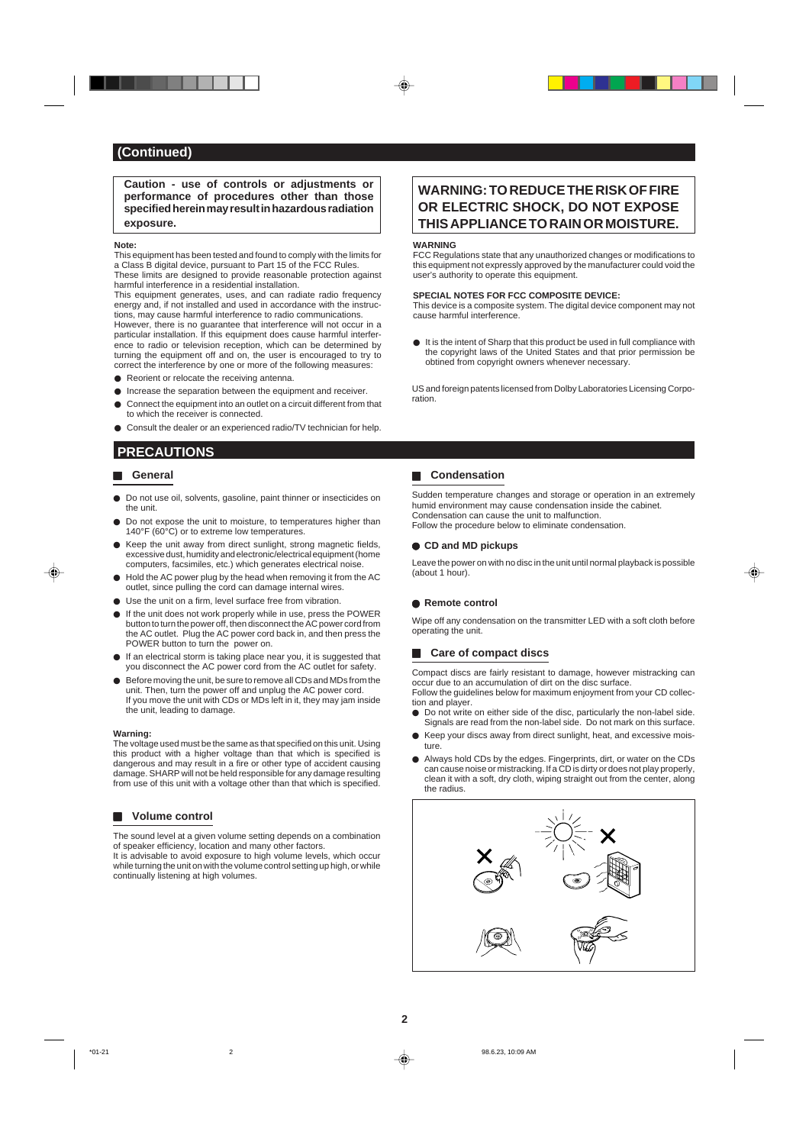**Caution - use of controls or adjustments or performance of procedures other than those specified herein may result in hazardous radiation exposure.**

#### **Note:**

This equipment has been tested and found to comply with the limits for a Class B digital device, pursuant to Part 15 of the FCC Rules. These limits are designed to provide reasonable protection against harmful interference in a residential installation.

This equipment generates, uses, and can radiate radio frequency energy and, if not installed and used in accordance with the instructions, may cause harmful interference to radio communications. However, there is no guarantee that interference will not occur in a particular installation. If this equipment does cause harmful interference to radio or television reception, which can be determined by turning the equipment off and on, the user is encouraged to try to

- correct the interference by one or more of the following measures: ● Reorient or relocate the receiving antenna.
- $\bullet$  Increase the separation between the equipment and receiver.
- Connect the equipment into an outlet on a circuit different from that
- to which the receiver is connected.
- Consult the dealer or an experienced radio/TV technician for help.

## **PRECAUTIONS**

### **General**

0001

⊕

- $\bullet$  Do not use oil, solvents, gasoline, paint thinner or insecticides on the unit.
- $\bullet$  Do not expose the unit to moisture, to temperatures higher than 140°F (60°C) or to extreme low temperatures.
- $\bullet$  Keep the unit away from direct sunlight, strong magnetic fields, excessive dust, humidity and electronic/electrical equipment (home computers, facsimiles, etc.) which generates electrical noise.
- $\bullet$  Hold the AC power plug by the head when removing it from the AC outlet, since pulling the cord can damage internal wires.
- $\bullet$  Use the unit on a firm, level surface free from vibration.
- $\bullet$  If the unit does not work properly while in use, press the POWER button to turn the power off, then disconnect the AC power cord from the AC outlet. Plug the AC power cord back in, and then press the POWER button to turn the power on.
- $\bullet$  If an electrical storm is taking place near you, it is suggested that you disconnect the AC power cord from the AC outlet for safety.
- Before moving the unit, be sure to remove all CDs and MDs from the unit. Then, turn the power off and unplug the AC power cord. If you move the unit with CDs or MDs left in it, they may jam inside the unit, leading to damage.

#### **Warning:**

The voltage used must be the same as that specified on this unit. Using this product with a higher voltage than that which is specified is dangerous and may result in a fire or other type of accident causing damage. SHARP will not be held responsible for any damage resulting from use of this unit with a voltage other than that which is specified.

### **H** Volume control

The sound level at a given volume setting depends on a combination of speaker efficiency, location and many other factors.

It is advisable to avoid exposure to high volume levels, which occur while turning the unit on with the volume control setting up high, or while continually listening at high volumes.

## **WARNING: TO REDUCE THE RISK OF FIRE OR ELECTRIC SHOCK, DO NOT EXPOSE THIS APPLIANCE TO RAIN OR MOISTURE.**

#### **WARNING**

FCC Regulations state that any unauthorized changes or modifications to this equipment not expressly approved by the manufacturer could void the user's authority to operate this equipment.

#### **SPECIAL NOTES FOR FCC COMPOSITE DEVICE:**

This device is a composite system. The digital device component may not cause harmful interference.

 $\bullet$  It is the intent of Sharp that this product be used in full compliance with the copyright laws of the United States and that prior permission be obtined from copyright owners whenever necessary.

US and foreign patents licensed from Dolby Laboratories Licensing Corporation.

## $\blacksquare$  Condensation

Sudden temperature changes and storage or operation in an extremely humid environment may cause condensation inside the cabinet. Condensation can cause the unit to malfunction. Follow the procedure below to eliminate condensation.

### **CD and MD pickups**

Leave the power on with no disc in the unit until normal playback is possible (about 1 hour).

#### ● Remote control

Wipe off any condensation on the transmitter LED with a soft cloth before operating the unit.

## **EXECUTE:** Care of compact discs

Compact discs are fairly resistant to damage, however mistracking can occur due to an accumulation of dirt on the disc surface. Follow the guidelines below for maximum enjoyment from your CD collec-

- tion and player.  $\bullet$  Do not write on either side of the disc, particularly the non-label side.
- Signals are read from the non-label side. Do not mark on this surface. Keep your discs away from direct sunlight, heat, and excessive mois-
- ture.
- Always hold CDs by the edges. Fingerprints, dirt, or water on the CDs can cause noise or mistracking. If a CD is dirty or does not play properly, clean it with a soft, dry cloth, wiping straight out from the center, along the radius.



\*01-21 98.6.23, 10:09 AM  $\downarrow$  98.6.23, 10:09 AM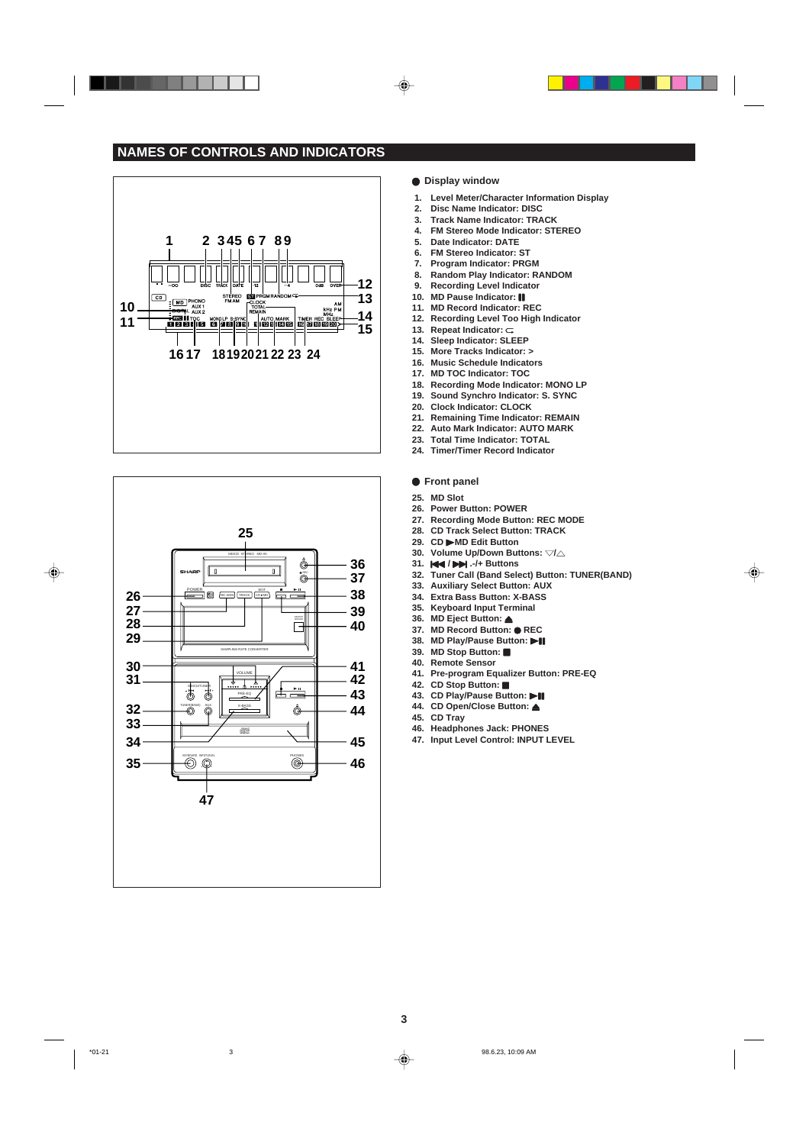## **NAMES OF CONTROLS AND INDICATORS**





### $\bullet$  Display window

 $\textcolor{black}{\blacklozenge}$ 

- **1. Level Meter/Character Information Display**
- **2. Disc Name Indicator: DISC**
- **3. Track Name Indicator: TRACK**
- **4. FM Stereo Mode Indicator: STEREO 5. Date Indicator: DATE**
- 
- **6. FM Stereo Indicator: ST Program Indicator: PRGM**
- **8. Random Play Indicator: RANDOM**
- **9. Recording Level Indicator 10. MD Pause Indicator:**
- **10. MD Pause Indicator:**
- **11. MD Record Indicator: REC**
- **12. Recording Level Too High Indicator**
- 13. Repeat Indicator:  $\subset$ **14. Sleep Indicator: SLEEP**
- **15. More Tracks Indicator: >**
- 
- **16. Music Schedule Indicators 17. MD TOC Indicator: TOC**
- **18. Recording Mode Indicator: MONO LP**
- **19. Sound Synchro Indicator: S. SYNC**
- **20. Clock Indicator: CLOCK**
- **21. Remaining Time Indicator: REMAIN**
- **22. Auto Mark Indicator: AUTO MARK**
- **23. Total Time Indicator: TOTAL**
- **24. Timer/Timer Record Indicator**

#### $\bullet$  Front panel

**25. MD Slot**

- **26. Power Button: POWER**
- **27. Recording Mode Button: REC MODE**
- **28. CD Track Select Button: TRACK**
- **29. CD** 0**MD Edit Button**
- **30. Volume Up/Down Buttons:**  $\forall l \triangle$
- **31.**  $\left| \bigoplus \right| \left| \bigoplus \right|$ . -/+ Buttons
- **32. Tuner Call (Band Select) Button: TUNER(BAND)**

⊕

- **33. Auxiliary Select Button: AUX**
- **34. Extra Bass Button: X-BASS 35. Keyboard Input Terminal**
- **36. MD Eject Button:** 7
- **37. MD Record Button: OREC**
- **38. MD Play/Pause Button:**  $\blacktriangleright$  **[]**
- **39.** MD Stop Button: ■
- **40. Remote Sensor**
- **41. Pre-program Equalizer Button: PRE-EQ**
- **42. CD Stop Button:**
- 43. CD Play/Pause Button: **>II**
- **44.** CD Open/Close Button: **▲**
- **45. CD Tray**
- **46. Headphones Jack: PHONES**
- **47. Input Level Control: INPUT LEVEL**

\*01-21 98.6.23, 10:09 AM  $\downarrow$  98.6.23, 10:09 AM

 $\color{red}\blacklozenge$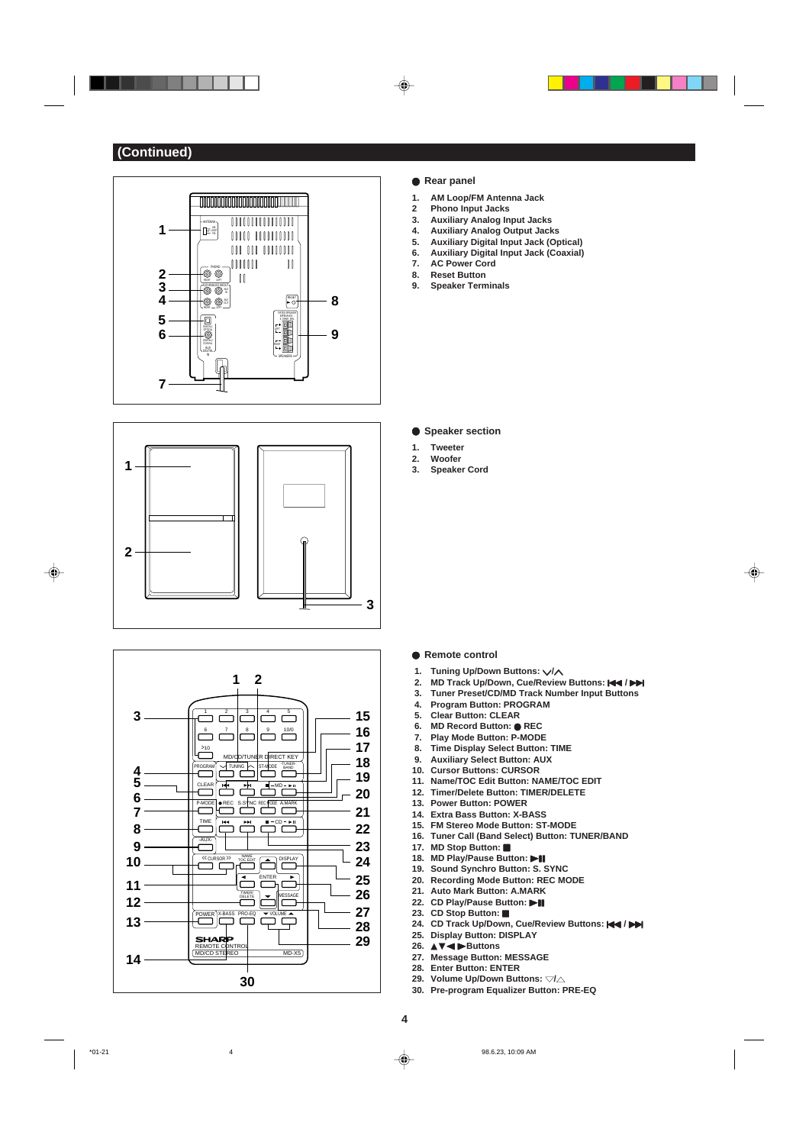





## **• Rear panel**

 $\textcolor{black}{\blacklozenge}$ 

- **1. AM Loop/FM Antenna Jack**
- **2 Phono Input Jacks**
- **3. Auxiliary Analog Input Jacks**
- **4. Auxiliary Analog Output Jacks 5. Auxiliary Digital Input Jack (Optical)**

. . . .

⊕

- **6. Auxiliary Digital Input Jack (Coaxial)**
- **7. AC Power Cord**
- **8. Reset Button**
- **9. Speaker Terminals**

## **• Speaker section**

- **1. Tweeter**
- **2. Woofer**
- **3. Speaker Cord**

- **Remote control**
- 1. Tuning Up/Down Buttons:  $\sqrt{X}$
- **2. MD Track Up/Down, Cue/Review Buttons:**  $\leftarrow$  **/**  $\rightarrow$  **3. Tuner Preset/CD/MD Track Number Input Buttons**
- **3. Tuner Preset/CD/MD Track Number Input Buttons**
- **4. Program Button: PROGRAM**
- **5. Clear Button: CLEAR**
- **6. MD Record Button:** I **REC**
- **7. Play Mode Button: P-MODE**
- **8. Time Display Select Button: TIME**
- **9. Auxiliary Select Button: AUX**
- **10. Cursor Buttons: CURSOR**
- **11. Name/TOC Edit Button: NAME/TOC EDIT 12. Timer/Delete Button: TIMER/DELETE**
- **13. Power Button: POWER**
- **14. Extra Bass Button: X-BASS**
- **15. FM Stereo Mode Button: ST-MODE**
- **16. Tuner Call (Band Select) Button: TUNER/BAND**
- 17. MD Stop Button:
- 18. MD Play/Pause Button: **18**
- **19. Sound Synchro Button: S. SYNC**
- **20. Recording Mode Button: REC MODE**
- **21. Auto Mark Button: A.MARK**
- 
- 24. CD Track Up/Down, Cue/Review Buttons:  $\leftarrow$  /  $\rightarrow$
- **25. Display Button: DISPLAY**
- **26.** ▲▼1 0**Buttons**
- **27. Message Button: MESSAGE**
- **28. Enter Button: ENTER**
- 29. Volume Up/Down Buttons:  $\forall l \triangle$
- **30. Pre-program Equalizer Button: PRE-EQ**

 $*$ 01-21 98.6.23, 10:09 AM

 $\color{red}\blacklozenge$ 

## **22. CD Play/Pause Button: >II 23.** CD Stop Button: ■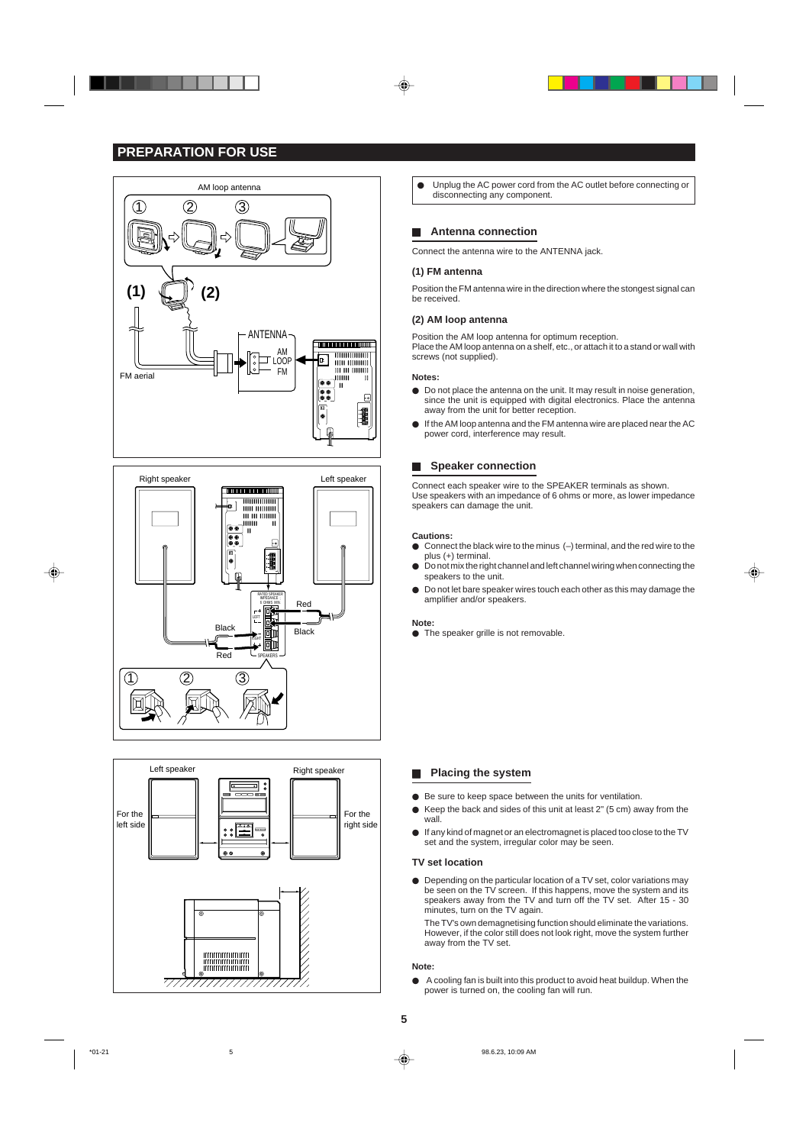## **PREPARATION FOR USE**







 $\bullet$  Unplug the AC power cord from the AC outlet before connecting or disconnecting any component.

## **Antenna connection**

Connect the antenna wire to the ANTENNA jack.

### **(1) FM antenna**

Position the FM antenna wire in the direction where the stongest signal can be received.

#### **(2) AM loop antenna**

Position the AM loop antenna for optimum reception. Place the AM loop antenna on a shelf, etc., or attach it to a stand or wall with screws (not supplied).

## **Notes:**

- $\bullet$  Do not place the antenna on the unit. It may result in noise generation, since the unit is equipped with digital electronics. Place the antenna away from the unit for better reception.
- $\bullet$  If the AM loop antenna and the FM antenna wire are placed near the AC power cord, interference may result.

## **H** Speaker connection

Connect each speaker wire to the SPEAKER terminals as shown. Use speakers with an impedance of 6 ohms or more, as lower impedance speakers can damage the unit.

#### **Cautions:**

- $\bullet$  Connect the black wire to the minus  $(-)$  terminal, and the red wire to the plus (+) terminal.
- $\bullet$  Do not mix the right channel and left channel wiring when connecting the speakers to the unit.

⊕

 $\bullet$  Do not let bare speaker wires touch each other as this may damage the amplifier and/or speakers.

#### **Note:**

 $\bullet$  The speaker grille is not removable.

### **N** Placing the system

- $\bullet$  Be sure to keep space between the units for ventilation.
- $\bullet$  Keep the back and sides of this unit at least 2" (5 cm) away from the wall.
- If any kind of magnet or an electromagnet is placed too close to the TV set and the system, irregular color may be seen.

#### **TV set location**

**I** Depending on the particular location of a TV set, color variations may be seen on the TV screen. If this happens, move the system and its speakers away from the TV and turn off the TV set. After 15 - 30 minutes, turn on the TV again.

The TV's own demagnetising function should eliminate the variations. However, if the color still does not look right, move the system further away from the TV set.

#### **Note:**

A cooling fan is built into this product to avoid heat buildup. When the power is turned on, the cooling fan will run.

**5**

\*01-21 5 98.6.23, 10:09 AM

◈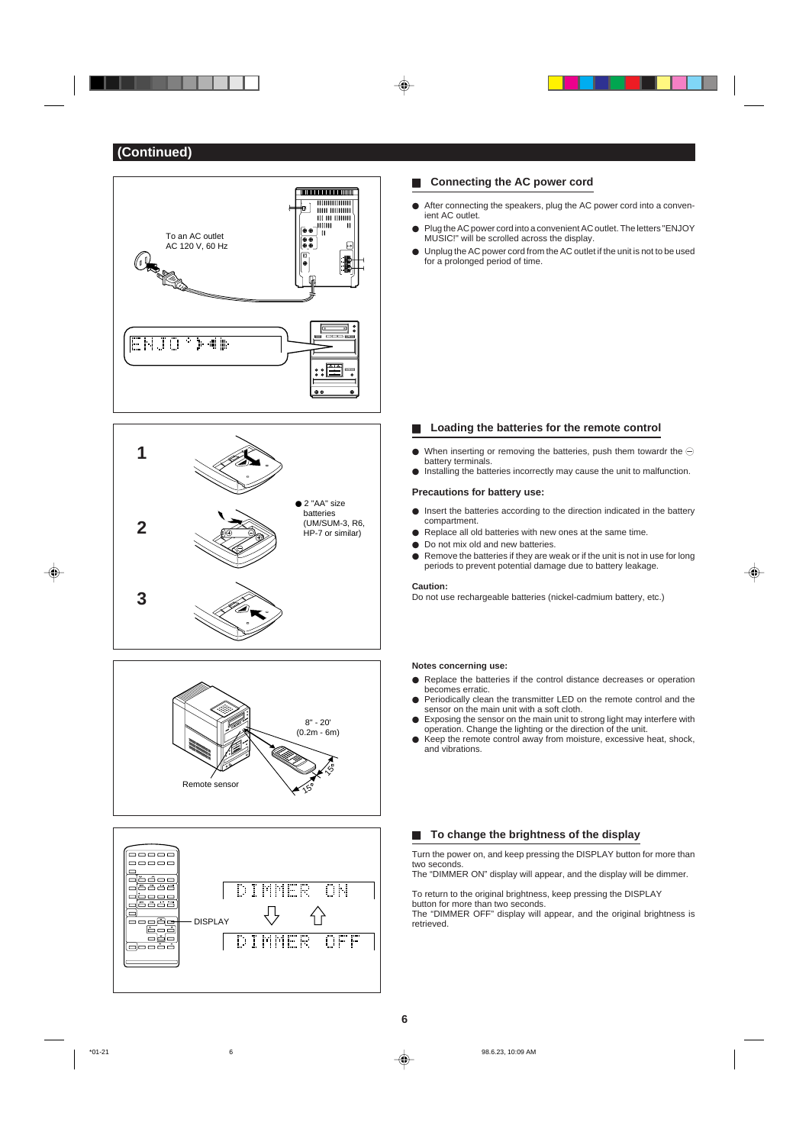







## **EXECONDECTED CONNECTED SHOW CONDECTS**

- $\bullet$  After connecting the speakers, plug the AC power cord into a convenient AC outlet.
- Plug the AC power cord into a convenient AC outlet. The letters "ENJOY MUSIC!" will be scrolled across the display.
- Unplug the AC power cord from the AC outlet if the unit is not to be used for a prolonged period of time.

## ■ Loading the batteries for the remote control

- $\bullet$  When inserting or removing the batteries, push them towardr the  $\ominus$
- battery terminals.  $\bullet$  Installing the batteries incorrectly may cause the unit to malfunction.

### **Precautions for battery use:**

- $\bullet$  Insert the batteries according to the direction indicated in the battery compartment.
- $\bullet$  Replace all old batteries with new ones at the same time.
- $\bullet$  Do not mix old and new batteries.
- $\bullet$  Remove the batteries if they are weak or if the unit is not in use for long periods to prevent potential damage due to battery leakage.

#### **Caution:**

Do not use rechargeable batteries (nickel-cadmium battery, etc.)

#### **Notes concerning use:**

- **•** Replace the batteries if the control distance decreases or operation becomes erratic.
- **Periodically clean the transmitter LED on the remote control and the** sensor on the main unit with a soft cloth.
- Exposing the sensor on the main unit to strong light may interfere with operation. Change the lighting or the direction of the unit.
- $\bullet$  Keep the remote control away from moisture, excessive heat, shock, and vibrations.

### ■ To change the brightness of the display

Turn the power on, and keep pressing the DISPLAY button for more than two seconds. The "DIMMER ON" display will appear, and the display will be dimmer.

To return to the original brightness, keep pressing the DISPLAY

button for more than two seconds.

The "DIMMER OFF" display will appear, and the original brightness is retrieved.

◈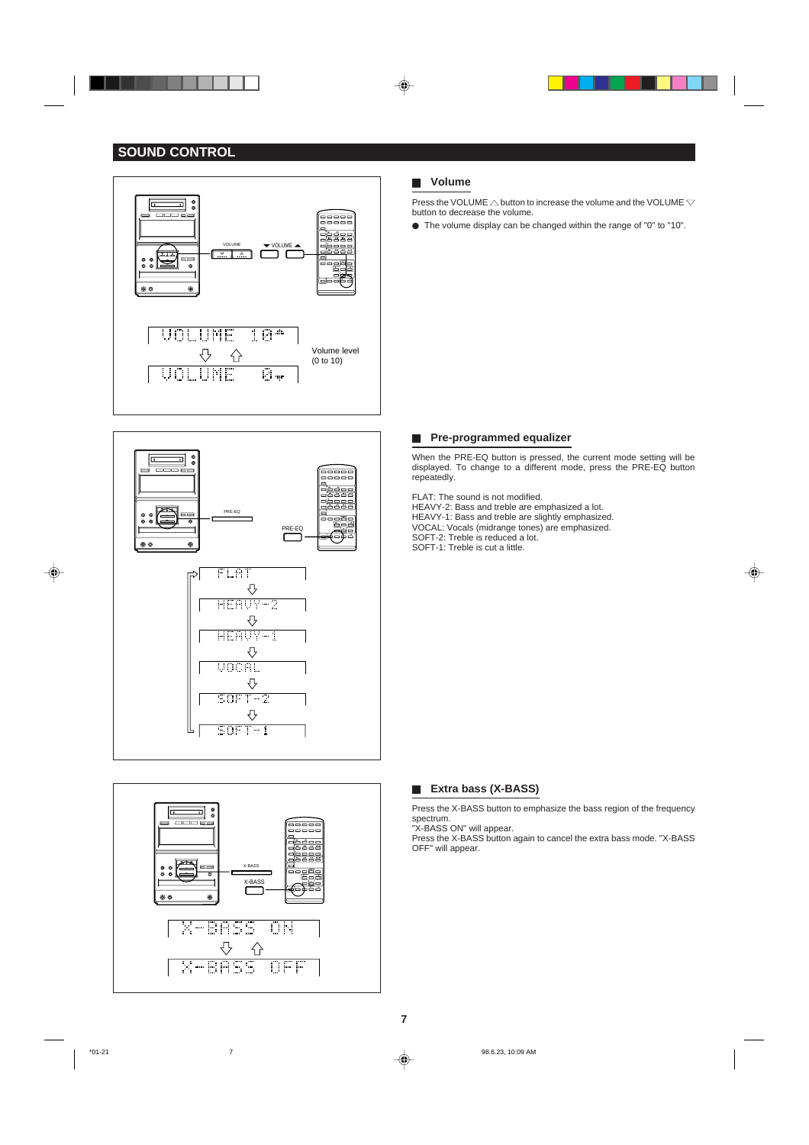## **SOUND CONTROL**

. . .





# 킈 \_\_\_\_\_<br>=====<br>===== isees<br>Isean X-BASS X-BAS **X-BASS ON**  $\overline{\bigtriangledown}$  $\bigtriangleup$ <del>X-BÁSS OFF</del>

## H **Volume**

◈

Press the VOLUME  $\triangle$  button to increase the volume and the VOLUME  $\triangledown$ button to decrease the volume.

 $\bullet$  The volume display can be changed within the range of "0" to "10".

### **Fig. 2** Pre-programmed equalizer

When the PRE-EQ button is pressed, the current mode setting will be displayed. To change to a different mode, press the PRE-EQ button repeatedly.

◈

## FLAT: The sound is not modified.

HEAVY-2: Bass and treble are emphasized a lot. HEAVY-1: Bass and treble are slightly emphasized. VOCAL: Vocals (midrange tones) are emphasized. SOFT-2: Treble is reduced a lot. SOFT-1: Treble is cut a little.



Press the X-BASS button to emphasize the bass region of the frequency spectrum.

"X-BASS ON" will appear. Press the X-BASS button again to cancel the extra bass mode. "X-BASS OFF" will appear.

♦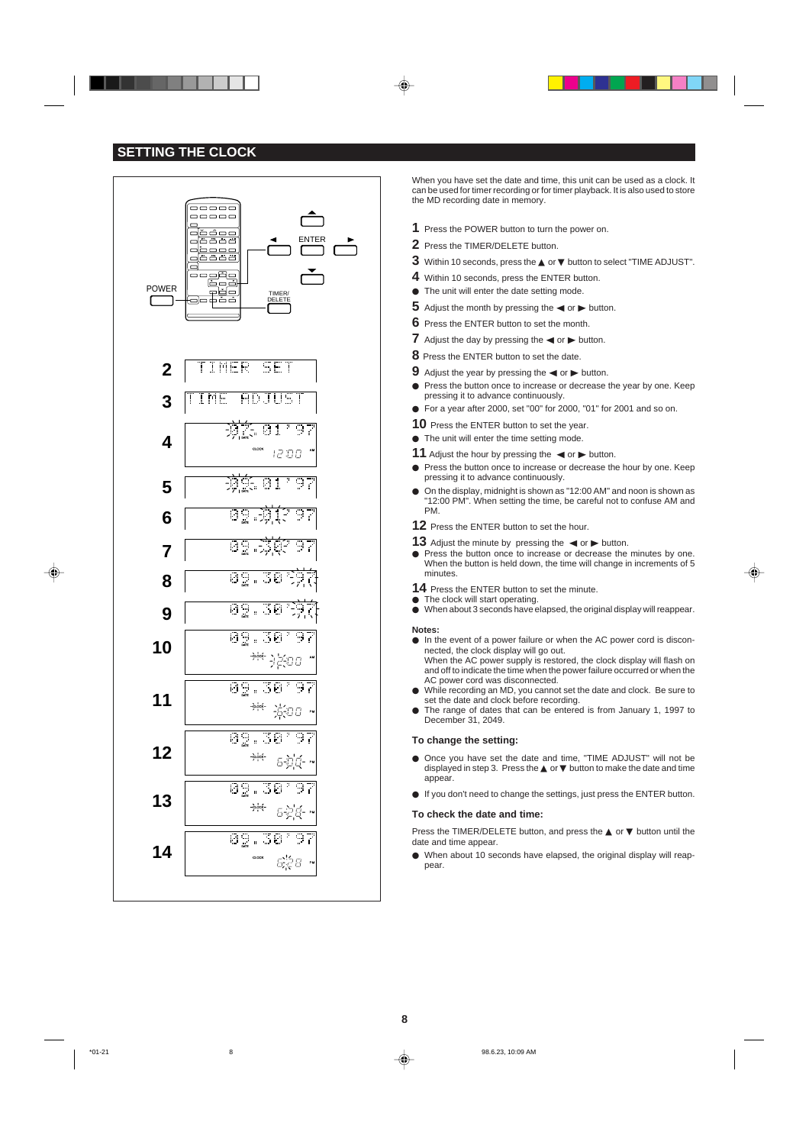## **SETTING THE CLOCK**



When you have set the date and time, this unit can be used as a clock. It can be used for timer recording or for timer playback. It is also used to store the MD recording date in memory.

- **1** Press the POWER button to turn the power on.
- **2** Press the TIMER/DELETE button.

⊕

- **3** Within 10 seconds, press the ▲ or ▼ button to select "TIME ADJUST".
- **4** Within 10 seconds, press the ENTER button.
- The unit will enter the date setting mode.
- **5** Adjust the month by pressing the  $\blacktriangleleft$  or  $\blacktriangleright$  button.
- **6** Press the ENTER button to set the month.
- **7** Adjust the day by pressing the  $\blacktriangleleft$  or  $\blacktriangleright$  button.
- **8** Press the ENTER button to set the date.
- **9** Adjust the year by pressing the  $\blacktriangleleft$  or  $\blacktriangleright$  button.
- **Press the button once to increase or decrease the year by one. Keep** pressing it to advance continuously.
- For a year after 2000, set "00" for 2000, "01" for 2001 and so on.
- **10** Press the ENTER button to set the year.
- $\bullet$  The unit will enter the time setting mode.
- **11** Adjust the hour by pressing the  $\blacktriangleleft$  or  $\blacktriangleright$  button.
- **Press the button once to increase or decrease the hour by one. Keep** pressing it to advance continuously.
- On the display, midnight is shown as "12:00 AM" and noon is shown as "12:00 PM". When setting the time, be careful not to confuse AM and PM.
- **12** Press the ENTER button to set the hour.
- **13** Adjust the minute by pressing the  $\blacktriangleleft$  or  $\blacktriangleright$  button. **Press the button once to increase or decrease the minutes by one.** When the button is held down, the time will change in increments of 5 minutes.
- **14** Press the ENTER button to set the minute.
- $\bullet$  The clock will start operating.
- $\bullet$  When about 3 seconds have elapsed, the original display will reappear.

### **Notes:**

- $\bullet$  In the event of a power failure or when the AC power cord is disconnected, the clock display will go out. When the AC power supply is restored, the clock display will flash on and off to indicate the time when the power failure occurred or when the
- AC power cord was disconnected. While recording an MD, you cannot set the date and clock. Be sure to
- set the date and clock before recording.
- The range of dates that can be entered is from January 1, 1997 to December 31, 2049.

#### **To change the setting:**

- $\bullet$  Once you have set the date and time, "TIME ADJUST" will not be displayed in step 3. Press the ▲ or ▼ button to make the date and time appear.
- If you don't need to change the settings, just press the ENTER button.

#### **To check the date and time:**

Press the TIMER/DELETE button, and press the ▲ or ▼ button until the date and time appear.

 $\bullet$  When about 10 seconds have elapsed, the original display will reappear.



◈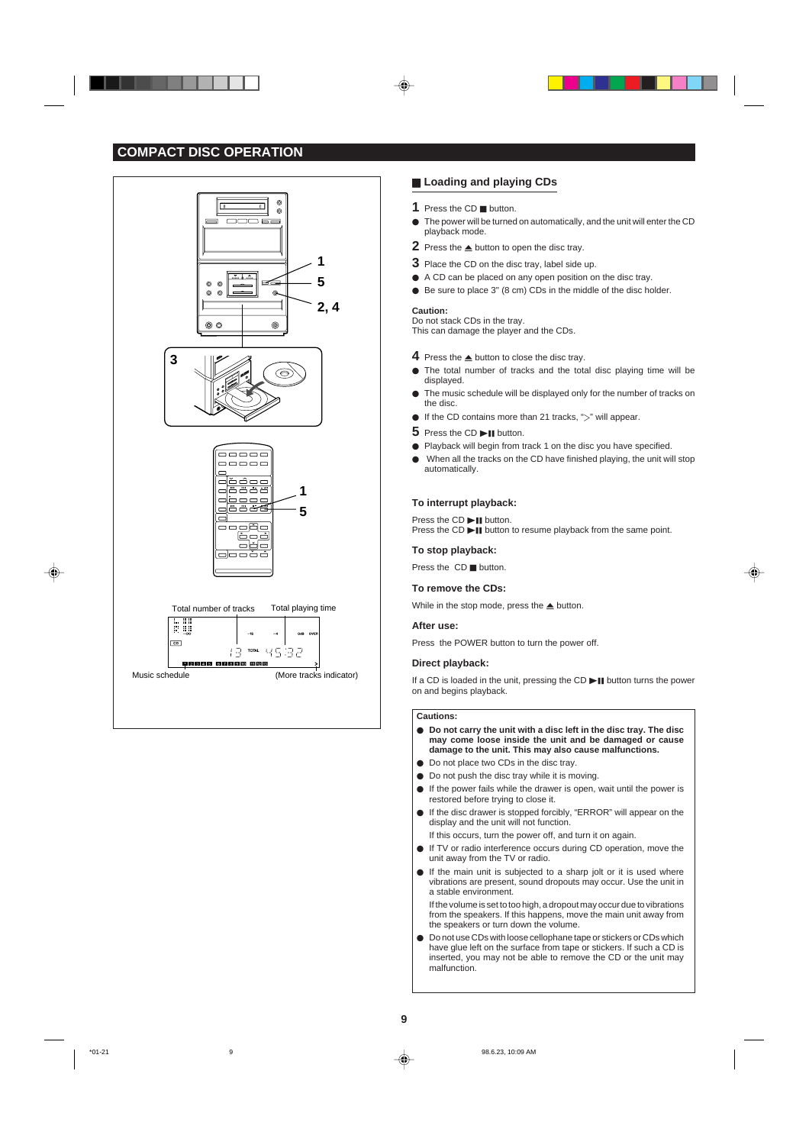## **COMPACT DISC OPERATION**









## **E** Loading and playing CDs

- **1** Press the CD **H** button.
- $\bullet$  The power will be turned on automatically, and the unit will enter the CD playback mode.
- **2** Press the  $\triangle$  button to open the disc tray.
- **3** Place the CD on the disc tray, label side up.
- $\bullet$  A CD can be placed on any open position on the disc tray.
- $\bullet$  Be sure to place 3" (8 cm) CDs in the middle of the disc holder.

#### **Caution:**

Do not stack CDs in the tray. This can damage the player and the CDs.

- **4** Press the  $\triangle$  button to close the disc tray.
- $\bullet$  The total number of tracks and the total disc playing time will be displayed.
- $\bullet$  The music schedule will be displayed only for the number of tracks on the disc.
- If the CD contains more than 21 tracks, " $>$ " will appear.
- **5** Press the CD **II** button.
- Playback will begin from track 1 on the disc you have specified.
- $\bullet$  When all the tracks on the CD have finished playing, the unit will stop automatically.

## **To interrupt playback:**

Press the  $CD \blacktriangleright \blacksquare$  button. Press the CD **II** button to resume playback from the same point.

#### **To stop playback:**

Press the  $CD$   $\blacksquare$  button.

### **To remove the CDs:**

While in the stop mode, press the  $\triangle$  button.

#### **After use:**

Press the POWER button to turn the power off.

### **Direct playback:**

If a CD is loaded in the unit, pressing the CD  $\blacktriangleright$  **II** button turns the power on and begins playback.

#### **Cautions:**

- Do not carry the unit with a disc left in the disc tray. The disc **may come loose inside the unit and be damaged or cause damage to the unit. This may also cause malfunctions.**
- $\bullet$  Do not place two CDs in the disc tray.
- $\bullet$  Do not push the disc tray while it is moving.
- $\bullet$  If the power fails while the drawer is open, wait until the power is restored before trying to close it.
- If the disc drawer is stopped forcibly, "ERROR" will appear on the display and the unit will not function.
- If this occurs, turn the power off, and turn it on again.
- If TV or radio interference occurs during CD operation, move the unit away from the TV or radio.
- $\bullet$  If the main unit is subjected to a sharp jolt or it is used where vibrations are present, sound dropouts may occur. Use the unit in a stable environment.

If the volume is set to too high, a dropout may occur due to vibrations from the speakers. If this happens, move the main unit away from the speakers or turn down the volume.

 $\bullet$  Do not use CDs with loose cellophane tape or stickers or CDs which have glue left on the surface from tape or stickers. If such a CD is inserted, you may not be able to remove the CD or the unit may malfunction.



\*01-21 98.6.23, 10:09 AM 9



◈

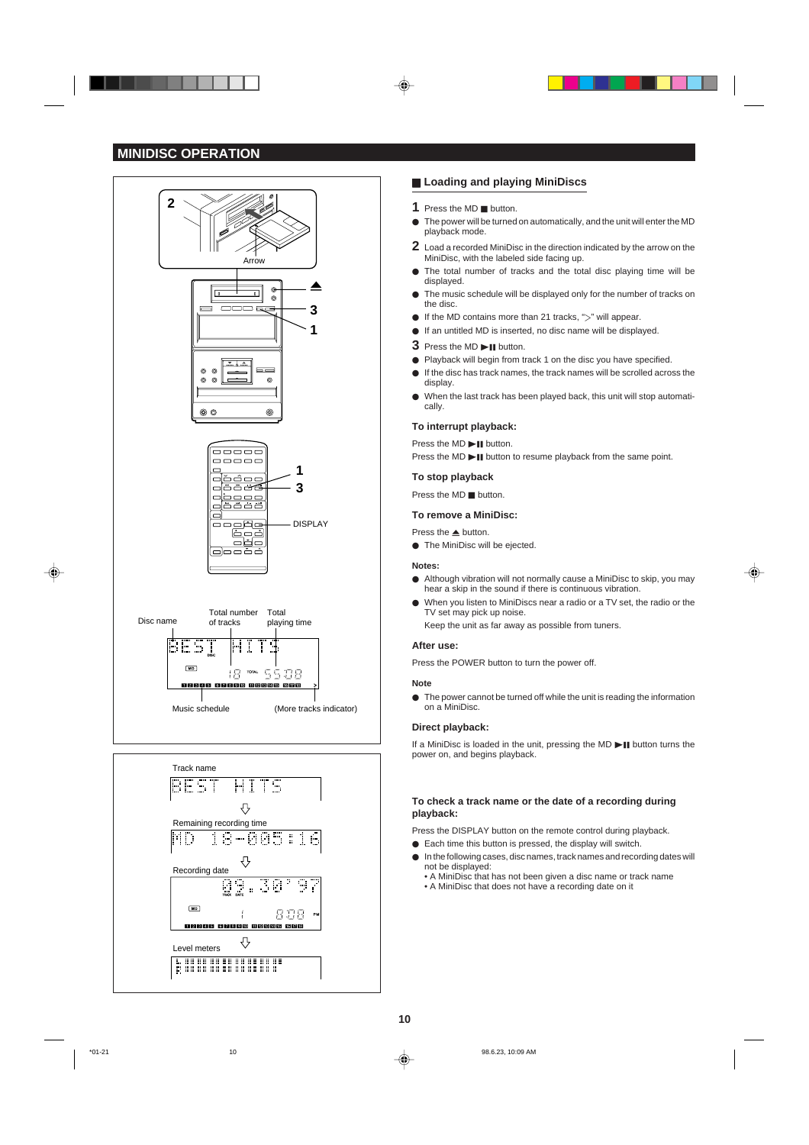## **MINIDISC OPERATION**



## **E** Loading and playing MiniDiscs

- **1** Press the MD **H** button.
- $\bullet$  The power will be turned on automatically, and the unit will enter the MD playback mode.
- **2** Load a recorded MiniDisc in the direction indicated by the arrow on the MiniDisc, with the labeled side facing up.
- $\bullet$  The total number of tracks and the total disc playing time will be displayed.
- The music schedule will be displayed only for the number of tracks on the disc.
- If the MD contains more than 21 tracks, " $>$ " will appear.
- $\bullet$  If an untitled MD is inserted, no disc name will be displayed.
- **3** Press the MD **DI** button.
- Playback will begin from track 1 on the disc you have specified.
- $\bullet$  If the disc has track names, the track names will be scrolled across the display.
- $\bullet$  When the last track has been played back, this unit will stop automatically.

### **To interrupt playback:**

Press the  $MD$   $\blacktriangleright$  **II** button.

Press the MD  $\blacktriangleright$  **II** button to resume playback from the same point.

### **To stop playback**

Press the  $MD$  H button.

#### **To remove a MiniDisc:**

Press the  $\blacktriangle$  button.

 $\bullet$  The MiniDisc will be ejected.

#### **Notes:**

 $\bullet$  Although vibration will not normally cause a MiniDisc to skip, you may hear a skip in the sound if there is continuous vibration.

⊕

● When you listen to MiniDiscs near a radio or a TV set, the radio or the TV set may pick up noise. Keep the unit as far away as possible from tuners.

#### **After use:**

Press the POWER button to turn the power off.

#### **Note**

 $\bullet$  The power cannot be turned off while the unit is reading the information on a MiniDisc.

#### **Direct playback:**

If a MiniDisc is loaded in the unit, pressing the MD  $\blacktriangleright$  **II** button turns the power on, and begins playback.

## **To check a track name or the date of a recording during playback:**

Press the DISPLAY button on the remote control during playback.

- $\bullet$  Each time this button is pressed, the display will switch.
- $\bullet$  In the following cases, disc names, track names and recording dates will not be displayed:
	- A MiniDisc that has not been given a disc name or track name • A MiniDisc that does not have a recording date on it



\*01-21 10 98.6.23, 10:09 AM

◈

Level meters  $\overline{\phantom{a}}$ <br>  $\overline{\phantom{a}}$  ...  $\overline{\phantom{a}}$  ...  $\overline{\phantom{a}}$  ...  $\overline{\phantom{a}}$  ...  $\overline{\phantom{a}}$  ...  $\overline{\phantom{a}}$  ...

 $\frac{1}{2}$ **Needs cheec areas che** ⇩

808 -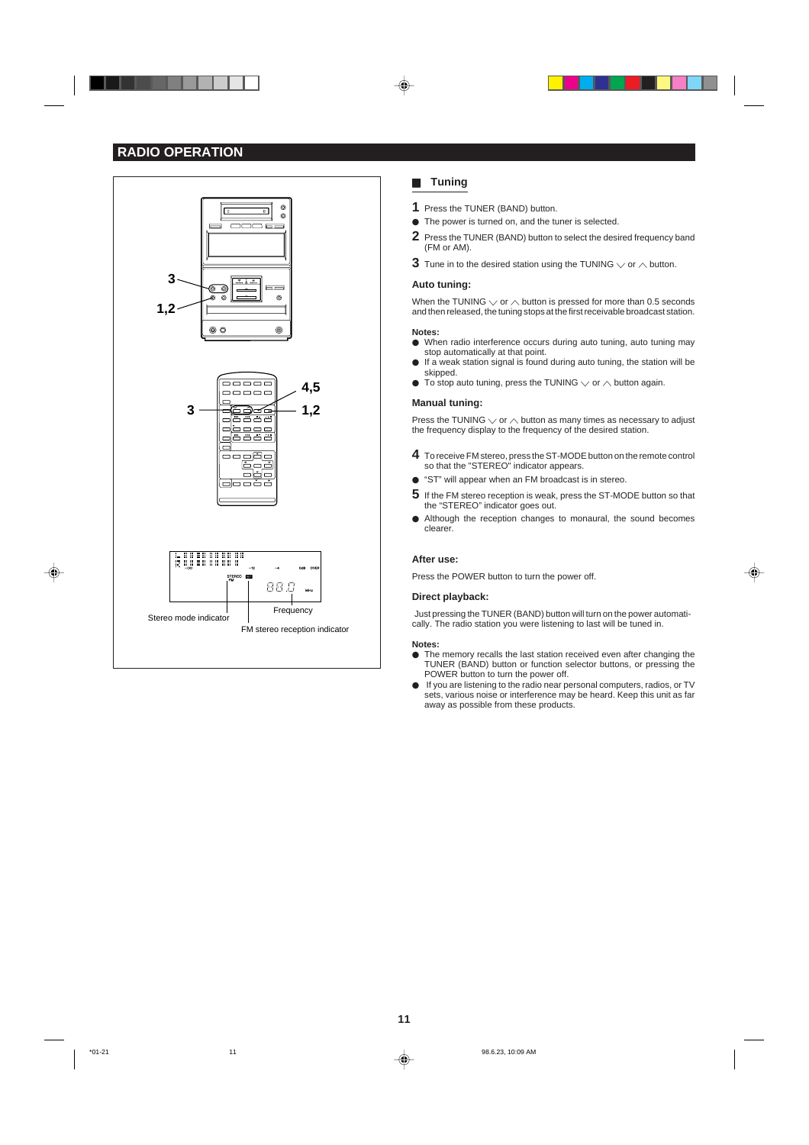## **RADIO OPERATION**



## **H** Tuning

- **1** Press the TUNER (BAND) button.
- $\bullet$  The power is turned on, and the tuner is selected.
- **2** Press the TUNER (BAND) button to select the desired frequency band (FM or AM).
- **3** Tune in to the desired station using the TUNING  $\vee$  or  $\wedge$  button.

#### **Auto tuning:**

When the TUNING  $\vee$  or  $\wedge$  button is pressed for more than 0.5 seconds and then released, the tuning stops at the first receivable broadcast station.

- **Notes:**
- $\bullet$  When radio interference occurs during auto tuning, auto tuning may stop automatically at that point.
- $\bullet$  If a weak station signal is found during auto tuning, the station will be skipped. To stop auto tuning, press the TUNING  $\vee$  or  $\wedge$  button again.

#### **Manual tuning:**

Press the TUNING  $\vee$  or  $\wedge$  button as many times as necessary to adjust the frequency display to the frequency of the desired station.

- **4** To receive FM stereo, press the ST-MODE button on the remote control so that the "STEREO" indicator appears.
- "ST" will appear when an FM broadcast is in stereo.
- **5** If the FM stereo reception is weak, press the ST-MODE button so that the "STEREO" indicator goes out.
- $\bullet$  Although the reception changes to monaural, the sound becomes clearer.

#### **After use:**

Press the POWER button to turn the power off.

## **Direct playback:**

Just pressing the TUNER (BAND) button will turn on the power automatically. The radio station you were listening to last will be tuned in.

⊕

### **Notes:**

- $\bullet$  The memory recalls the last station received even after changing the TUNER (BAND) button or function selector buttons, or pressing the POWER button to turn the power off.
- If you are listening to the radio near personal computers, radios, or TV sets, various noise or interference may be heard. Keep this unit as far away as possible from these products.

⊕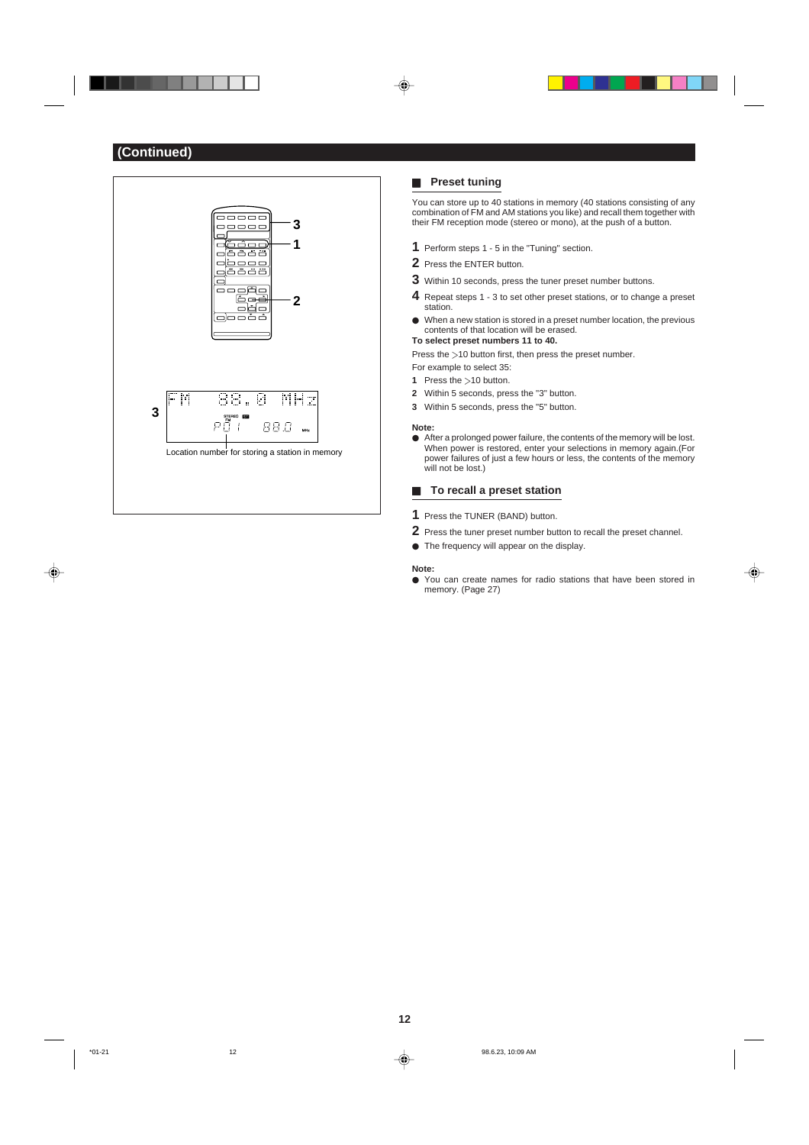

## **H** Preset tuning

You can store up to 40 stations in memory (40 stations consisting of any combination of FM and AM stations you like) and recall them together with their FM reception mode (stereo or mono), at the push of a button.

- **1** Perform steps 1 5 in the "Tuning" section.
- **2** Press the ENTER button.
- **3** Within 10 seconds, press the tuner preset number buttons.
- **4** Repeat steps 1 3 to set other preset stations, or to change a preset station.
- $\bullet$  When a new station is stored in a preset number location, the previous contents of that location will be erased.

**To select preset numbers 11 to 40.** Press the  $>$ 10 button first, then press the preset number.

For example to select 35:

- **1** Press the >10 button.
- **2** Within 5 seconds, press the "3" button.
- **3** Within 5 seconds, press the "5" button.

#### **Note:**

 $\bullet$  After a prolonged power failure, the contents of the memory will be lost. When power is restored, enter your selections in memory again.(For power failures of just a few hours or less, the contents of the memory will not be lost.)

## **H** To recall a preset station

- **1** Press the TUNER (BAND) button.
- **2** Press the tuner preset number button to recall the preset channel.
- $\bullet$  The frequency will appear on the display.

## **Note:**

 $\bullet$  You can create names for radio stations that have been stored in memory. (Page 27)

⊕

◈

**12**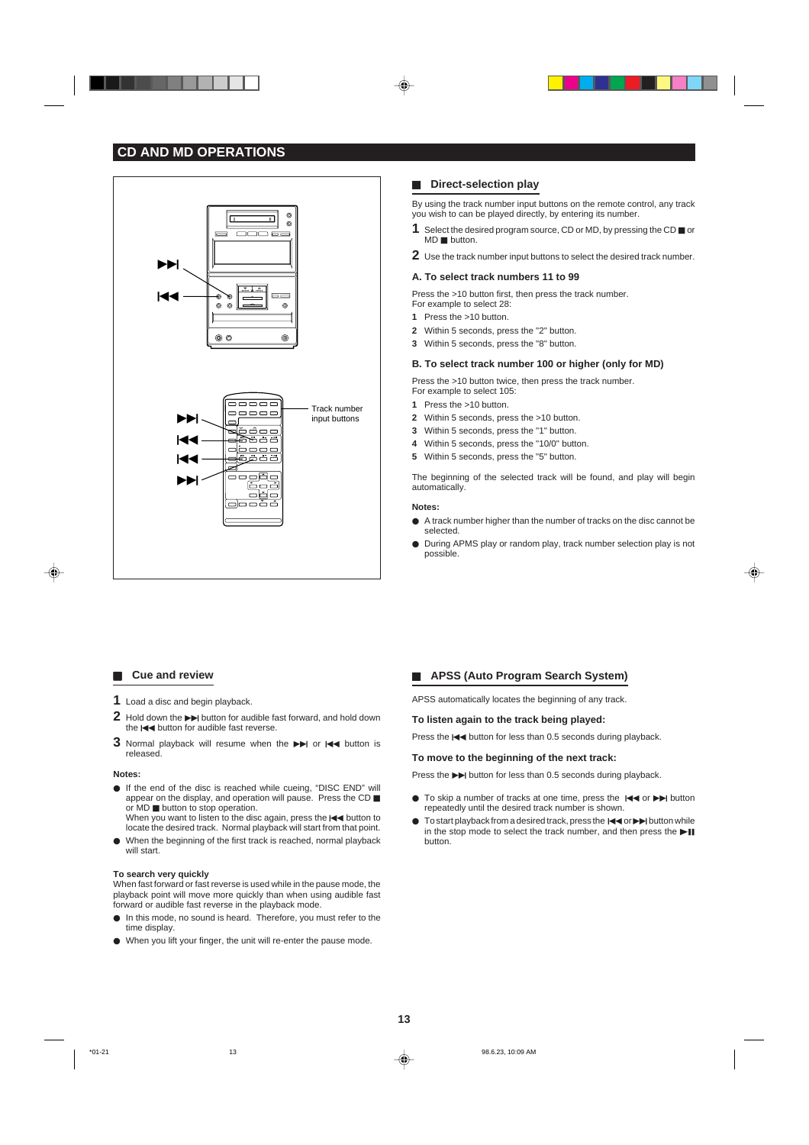



## $\blacksquare$  Direct-selection play

By using the track number input buttons on the remote control, any track you wish to can be played directly, by entering its number.

- **1** Select the desired program source, CD or MD, by pressing the CD  $\blacksquare$  or  $MD$  **button.**
- **2** Use the track number input buttons to select the desired track number.

### **A. To select track numbers 11 to 99**

Press the >10 button first, then press the track number.

- For example to select 28: **1** Press the >10 button.
- **2** Within 5 seconds, press the "2" button.
- **3** Within 5 seconds, press the "8" button.

### **B. To select track number 100 or higher (only for MD)**

Press the >10 button twice, then press the track number. For example to select 105:

- **1** Press the >10 button.
- **2** Within 5 seconds, press the >10 button.
- **3** Within 5 seconds, press the "1" button.
- **4** Within 5 seconds, press the "10/0" button.
- **5** Within 5 seconds, press the "5" button.

The beginning of the selected track will be found, and play will begin automatically.

## **Notes:**

- $\bullet$  A track number higher than the number of tracks on the disc cannot be selected.
- $\bullet$  During APMS play or random play, track number selection play is not possible.

## **F** Cue and review

- **1** Load a disc and begin playback.
- **2** Hold down the  $\rightarrow$  button for audible fast forward, and hold down the  $\blacktriangleleft$  button for audible fast reverse.
- **3** Normal playback will resume when the  $\rightarrow$  or  $\rightarrow$  button is released.

#### **Notes:**

◈

- If the end of the disc is reached while cueing, "DISC END" will appear on the display, and operation will pause. Press the CD or  $MD$   $\blacksquare$  button to stop operation. When you want to listen to the disc again, press the  $\blacktriangleleft$  button to
- locate the desired track. Normal playback will start from that point.  $\bullet$  When the beginning of the first track is reached, normal playback
- will start.

### **To search very quickly**

When fast forward or fast reverse is used while in the pause mode, the playback point will move more quickly than when using audible fast forward or audible fast reverse in the playback mode.

- $\bullet$  In this mode, no sound is heard. Therefore, you must refer to the time display.
- $\bullet$  When you lift your finger, the unit will re-enter the pause mode.

## **E** APSS (Auto Program Search System)

APSS automatically locates the beginning of any track.

#### **To listen again to the track being played:**

Press the  $\blacktriangleleft$  button for less than 0.5 seconds during playback.

## **To move to the beginning of the next track:**

Press the  $\blacktriangleright$  button for less than 0.5 seconds during playback.

- To skip a number of tracks at one time, press the  $\blacktriangleright$  or  $\blacktriangleright$  button repeatedly until the desired track number is shown.
- $\bullet$  To start playback from a desired track, press the  $\text{H}\bullet\text{or}\blacktriangleright\text{H}$  button while in the stop mode to select the track number, and then press the  $\blacktriangleright\blacksquare$ button.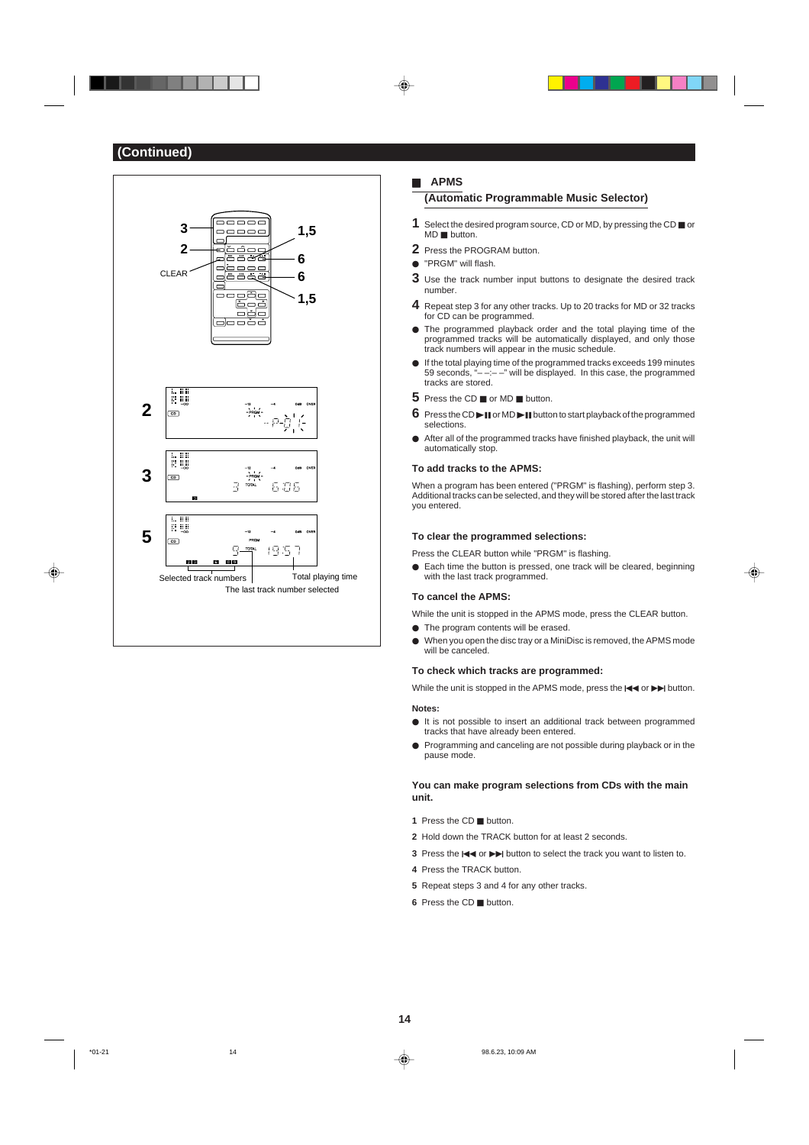

### H **APMS**

## **(Automatic Programmable Music Selector)**

- **1** Select the desired program source, CD or MD, by pressing the CD  $\blacksquare$  or  $MD$  H button.
- **2** Press the PROGRAM button.
- "PRGM" will flash.
- **3** Use the track number input buttons to designate the desired track number.
- **4** Repeat step 3 for any other tracks. Up to 20 tracks for MD or 32 tracks for CD can be programmed.
- $\bullet$  The programmed playback order and the total playing time of the programmed tracks will be automatically displayed, and only those track numbers will appear in the music schedule.
- If the total playing time of the programmed tracks exceeds 199 minutes<br>  $\overline{59}$  seconds "---" will be displayed In this case, the programmed --" will be displayed. In this case, the programmed tracks are stored.
- **5** Press the CD  $\blacksquare$  or MD  $\blacksquare$  button.
- **6** Press the CD $\blacktriangleright$  **II** or MD $\blacktriangleright$  **II** button to start playback of the programmed selections.
- After all of the programmed tracks have finished playback, the unit will automatically stop.

#### **To add tracks to the APMS:**

When a program has been entered ("PRGM" is flashing), perform step 3. Additional tracks can be selected, and they will be stored after the last track you entered.

#### **To clear the programmed selections:**

Press the CLEAR button while "PRGM" is flashing.

 $\bullet$  Each time the button is pressed, one track will be cleared, beginning with the last track programmed.

## **To cancel the APMS:**

- While the unit is stopped in the APMS mode, press the CLEAR button.
- $\bullet$  The program contents will be erased.
- $\bullet$  When you open the disc tray or a MiniDisc is removed, the APMS mode will be canceled.

## **To check which tracks are programmed:**

While the unit is stopped in the APMS mode, press the  $\blacktriangleleft$  or  $\blacktriangleright$  button. **Notes:**

- $\bullet$  It is not possible to insert an additional track between programmed tracks that have already been entered.
- **Programming and canceling are not possible during playback or in the** pause mode.

## **You can make program selections from CDs with the main unit.**

- **1** Press the CD **H** button.
- **2** Hold down the TRACK button for at least 2 seconds.
- **3** Press the  $\blacktriangleleft$  or  $\blacktriangleright$  button to select the track you want to listen to.
- **4** Press the TRACK button.
- **5** Repeat steps 3 and 4 for any other tracks.
- **6** Press the CD **H** button.

◈

\*01-21 14 98.6.23, 10:09 AM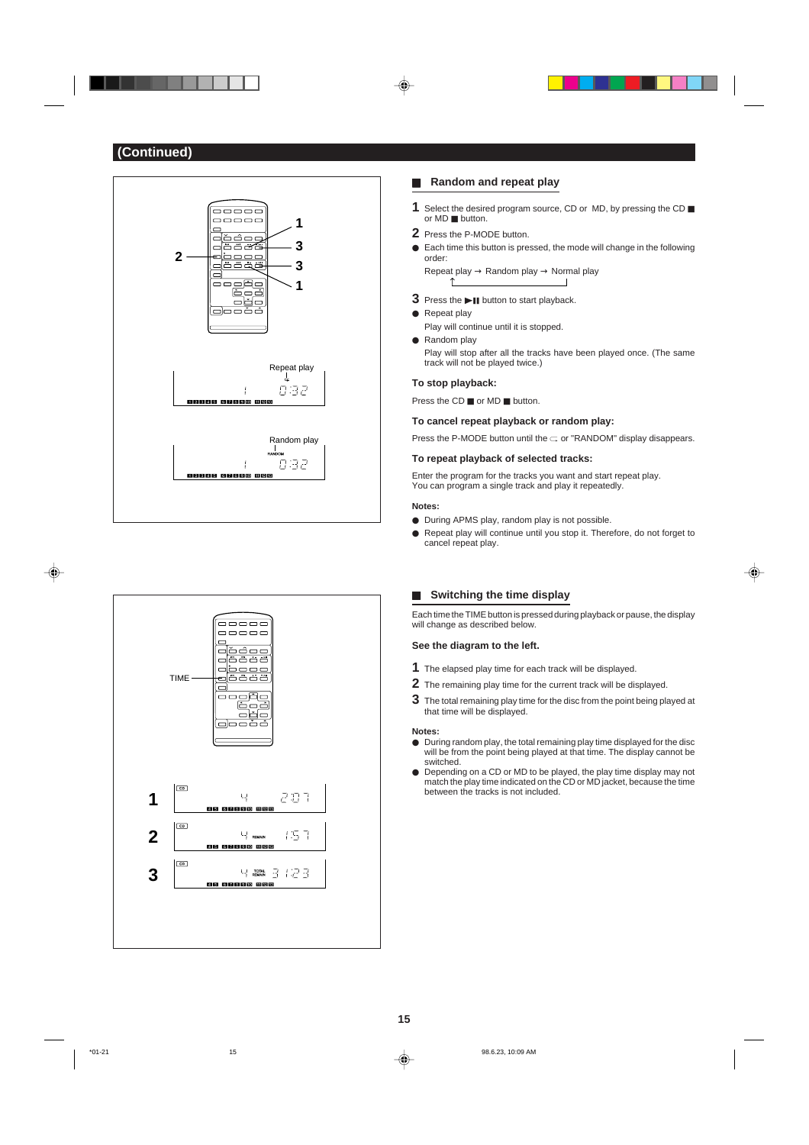



## **H** Random and repeat play

- **1** Select the desired program source, CD or MD, by pressing the CD or MD ■ button.
- **2** Press the P-MODE button.
- $\bullet$  Each time this button is pressed, the mode will change in the following order: Repeat play → Random play → Normal play
	- $\hat{L}$  $\overline{\phantom{a}}$
- **3** Press the **>II** button to start playback.
- $\bullet$  Repeat play Play will continue until it is stopped.
- $\bullet$  Random play Play will stop after all the tracks have been played once. (The same track will not be played twice.)

## **To stop playback:**

Press the  $CD \equiv or \, MD \equiv$  button.

#### **To cancel repeat playback or random play:**

Press the P-MODE button until the  $\subset$  or "RANDOM" display disappears.

### **To repeat playback of selected tracks:**

Enter the program for the tracks you want and start repeat play. You can program a single track and play it repeatedly.

### **Notes:**

- During APMS play, random play is not possible.
- Repeat play will continue until you stop it. Therefore, do not forget to cancel repeat play.

◈

## **H** Switching the time display

Each time the TIME button is pressed during playback or pause, the display will change as described below.

## **See the diagram to the left.**

- **1** The elapsed play time for each track will be displayed.
- **2** The remaining play time for the current track will be displayed.
- **3** The total remaining play time for the disc from the point being played at that time will be displayed.

#### **Notes:**

- $\bullet$  During random play, the total remaining play time displayed for the disc will be from the point being played at that time. The display cannot be switched.
- Depending on a CD or MD to be played, the play time display may not match the play time indicated on the CD or MD jacket, because the time between the tracks is not included.

♦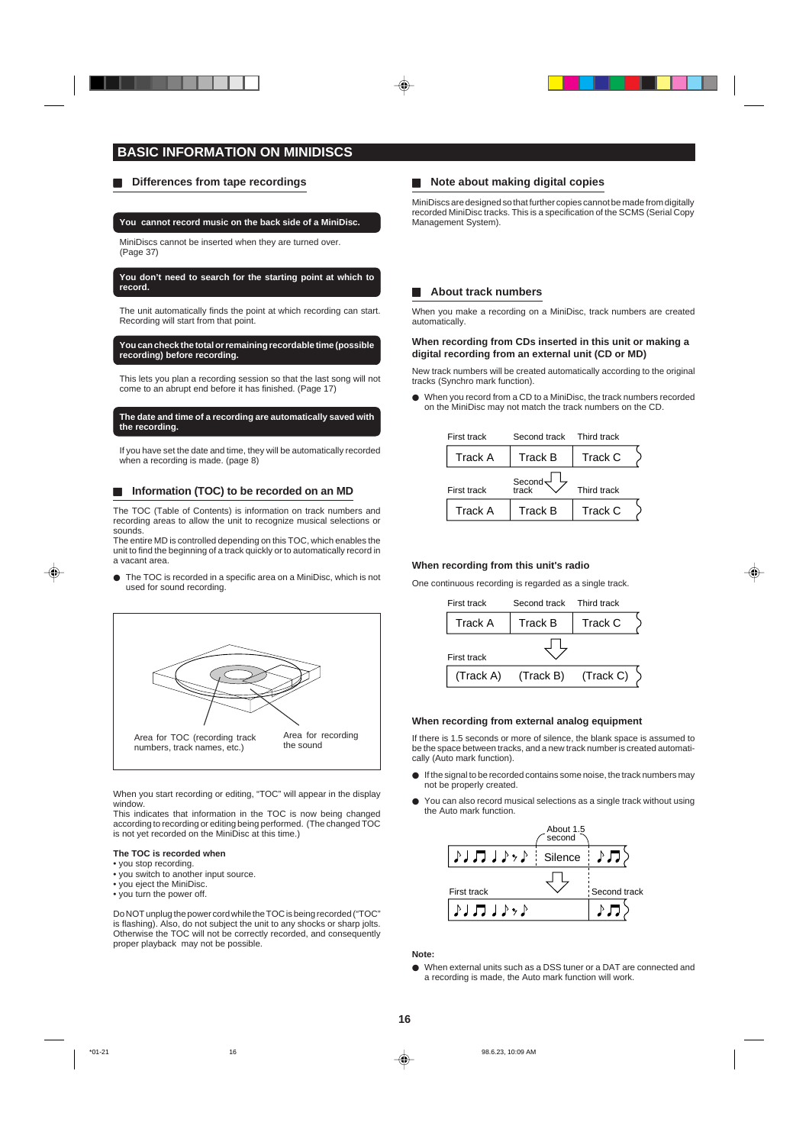## **BASIC INFORMATION ON MINIDISCS**

## **H** Differences from tape recordings

#### **You cannot record music on the back side of a MiniDisc.**

MiniDiscs cannot be inserted when they are turned over. (Page 37)

#### **You don't need to search for the starting point at which to record.**

The unit automatically finds the point at which recording can start. Recording will start from that point.

#### **You can check the total or remaining recordable time (possible recording) before recording.**

This lets you plan a recording session so that the last song will not come to an abrupt end before it has finished. (Page 17)

#### **The date and time of a recording are automatically saved with the recording.**

If you have set the date and time, they will be automatically recorded when a recording is made. (page 8)

#### **Information (TOC) to be recorded on an MD**

The TOC (Table of Contents) is information on track numbers and recording areas to allow the unit to recognize musical selections or sounds.

The entire MD is controlled depending on this TOC, which enables the unit to find the beginning of a track quickly or to automatically record in a vacant area.

● The TOC is recorded in a specific area on a MiniDisc, which is not used for sound recording.



When you start recording or editing, "TOC" will appear in the display window.

This indicates that information in the TOC is now being changed according to recording or editing being performed. (The changed TOC is not yet recorded on the MiniDisc at this time.)

## **The TOC is recorded when**

- you stop recording.
- you switch to another input source. • you eject the MiniDisc.
- you turn the power off.

Do NOT unplug the power cord while the TOC is being recorded ("TOC" is flashing). Also, do not subject the unit to any shocks or sharp jolts. Otherwise the TOC will not be correctly recorded, and consequently proper playback may not be possible.

## **H** Note about making digital copies

MiniDiscs are designed so that further copies cannot be made from digitally recorded MiniDisc tracks. This is a specification of the SCMS (Serial Copy Management System).

### $\blacksquare$  **About track numbers**

When you make a recording on a MiniDisc, track numbers are created automatically.

### **When recording from CDs inserted in this unit or making a digital recording from an external unit (CD or MD)**

New track numbers will be created automatically according to the original tracks (Synchro mark function).

 $\bullet$  When you record from a CD to a MiniDisc, the track numbers recorded on the MiniDisc may not match the track numbers on the CD.

| First track        | Second track Third track |             |  |
|--------------------|--------------------------|-------------|--|
| <b>Track A</b>     | <b>Track B</b>           | Track C     |  |
| <b>First track</b> | Second <sub>o</sub>      | Third track |  |
| Track A            | <b>Track B</b>           | Track C     |  |

#### **When recording from this unit's radio**

One continuous recording is regarded as a single track.



#### **When recording from external analog equipment**

If there is 1.5 seconds or more of silence, the blank space is assumed to be the space between tracks, and a new track number is created automatically (Auto mark function).

- If the signal to be recorded contains some noise, the track numbers may not be properly created.
- $\bullet$  You can also record musical selections as a single track without using the Auto mark function.



#### **Note:**

 $\bullet$  When external units such as a DSS tuner or a DAT are connected and a recording is made, the Auto mark function will work.

**16**

⊕

\*01-21 16 98.6.23, 10:09 AM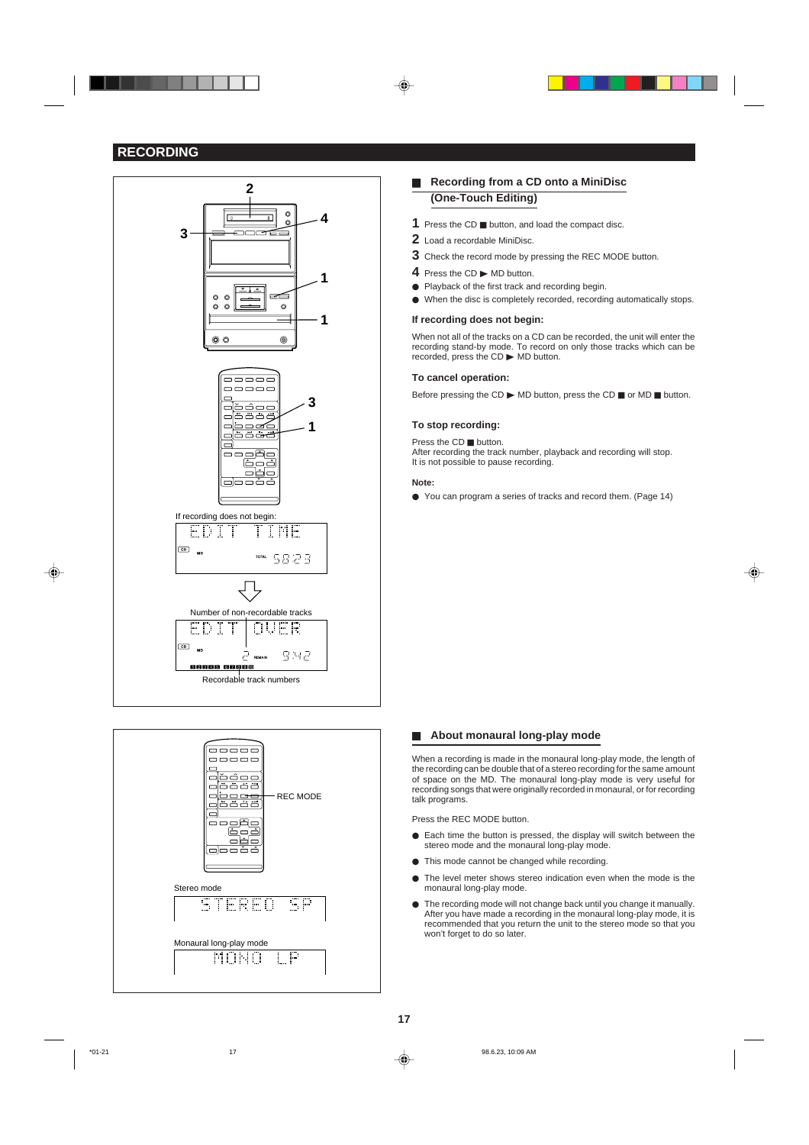## **RECORDING**

. . .





## **Recording from a CD onto a MiniDisc (One-Touch Editing)**

- **1** Press the CD **H** button, and load the compact disc.
- **2** Load a recordable MiniDisc.
- **3** Check the record mode by pressing the REC MODE button.
- 4 Press the CD MD button.
- Playback of the first track and recording begin.
- $\bullet$  When the disc is completely recorded, recording automatically stops.

### **If recording does not begin:**

When not all of the tracks on a CD can be recorded, the unit will enter the recording stand-by mode. To record on only those tracks which can be recorded, press the  $CD \triangleright MD$  button.

#### **To cancel operation:**

Before pressing the CD  $\blacktriangleright$  MD button, press the CD  $\blacksquare$  or MD  $\blacksquare$  button.

#### **To stop recording:**

Press the CD **H** button.

After recording the track number, playback and recording will stop. It is not possible to pause recording.

### **Note:**

 $\bullet$  You can program a series of tracks and record them. (Page 14)

## **H** About monaural long-play mode

When a recording is made in the monaural long-play mode, the length of the recording can be double that of a stereo recording for the same amount of space on the MD. The monaural long-play mode is very useful for recording songs that were originally recorded in monaural, or for recording talk programs.

Press the REC MODE button.

- Each time the button is pressed, the display will switch between the stereo mode and the monaural long-play mode.
- $\bullet$  This mode cannot be changed while recording.
- $\bullet$  The level meter shows stereo indication even when the mode is the monaural long-play mode.
- The recording mode will not change back until you change it manually. After you have made a recording in the monaural long-play mode, it is recommended that you return the unit to the stereo mode so that you won't forget to do so later.

**17**

\*01-21 17 98.6.23, 10:09 AM

◈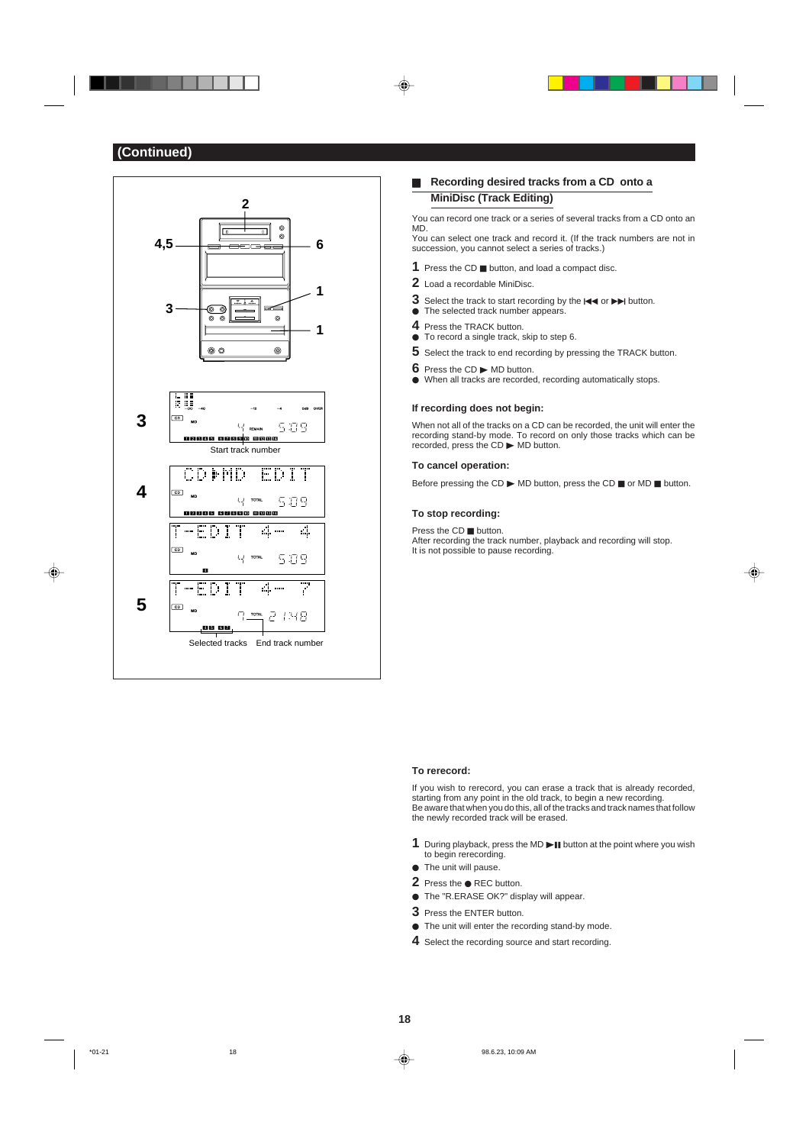

## **E** Recording desired tracks from a CD onto a **MiniDisc (Track Editing)**

You can record one track or a series of several tracks from a CD onto an MD.

You can select one track and record it. (If the track numbers are not in succession, you cannot select a series of tracks.)

- 1 Press the CD **H** button, and load a compact disc.
- **2** Load a recordable MiniDisc.
- **3** Select the track to start recording by the  $\blacktriangleleft$  or  $\blacktriangleright$  button.
- $\bullet$  The selected track number appears.
- **4** Press the TRACK button.  $\bullet$  To record a single track, skip to step 6.
- 
- **5** Select the track to end recording by pressing the TRACK button.
- **6** Press the CD  $\triangleright$  MD button.
- $\bullet$  When all tracks are recorded, recording automatically stops.

## **If recording does not begin:**

When not all of the tracks on a CD can be recorded, the unit will enter the recording stand-by mode. To record on only those tracks which can be recorded, press the  $CD \triangleright MD$  button.

### **To cancel operation:**

Before pressing the CD  $\blacktriangleright$  MD button, press the CD  $\blacksquare$  or MD  $\blacksquare$  button.

#### **To stop recording:**

Press the CD **H** button. After recording the track number, playback and recording will stop. It is not possible to pause recording.

⊕

#### **To rerecord:**

If you wish to rerecord, you can erase a track that is already recorded, starting from any point in the old track, to begin a new recording. Be aware that when you do this, all of the tracks and track names that follow the newly recorded track will be erased.

- 1 During playback, press the MD I button at the point where you wish to begin rerecording.
- $\bullet$  The unit will pause.
- 2 Press the  $\bullet$  REC button.
- The "R.ERASE OK?" display will appear.
- **3** Press the ENTER button.
- $\bullet$  The unit will enter the recording stand-by mode.
- **4** Select the recording source and start recording.

♦

\*01-21 18 98.6.23, 10:09 AM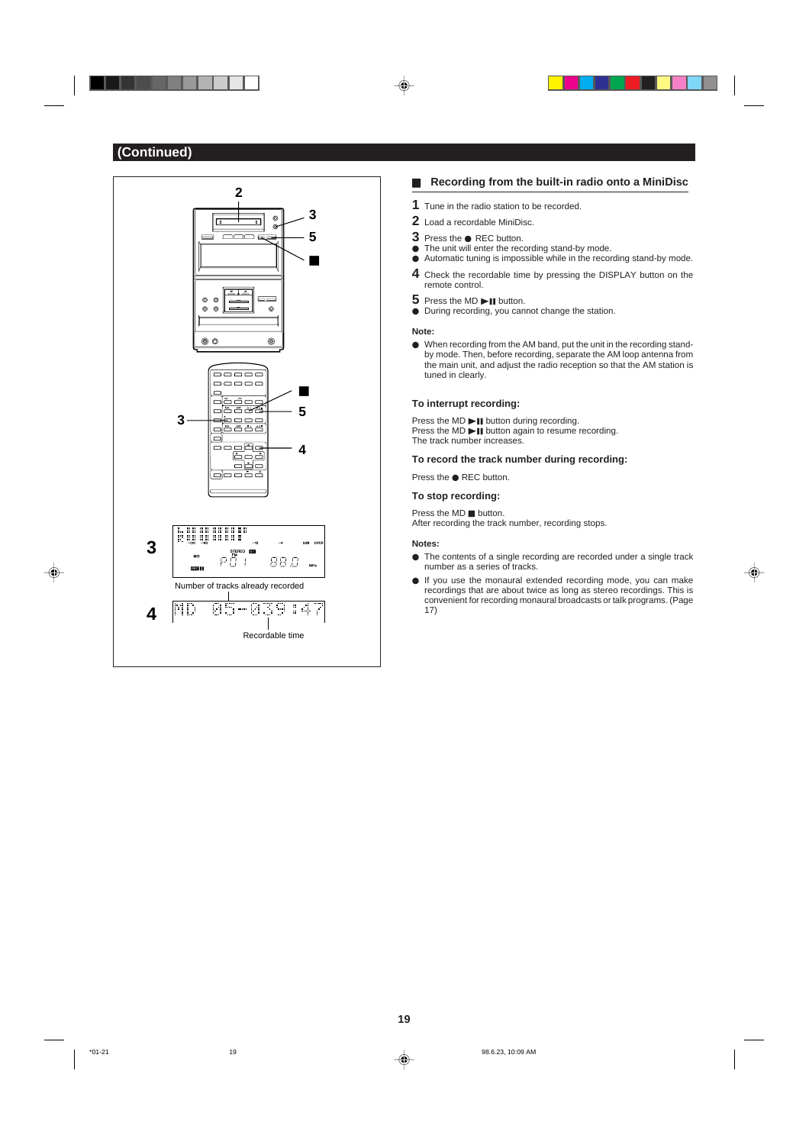$\color{red}\blacklozenge$ 

. .



## **H** Recording from the built-in radio onto a MiniDisc

- **1** Tune in the radio station to be recorded.
- **2** Load a recordable MiniDisc.
- **3** Press the **•** REC button.
- $\bullet$  The unit will enter the recording stand-by mode.
- $\bullet$  Automatic tuning is impossible while in the recording stand-by mode. **4** Check the recordable time by pressing the DISPLAY button on the remote control.
- **5** Press the MD **DI** button.
- $\bullet~$  During recording, you cannot change the station.

#### **Note:**

◈

 $\bullet$  When recording from the AM band, put the unit in the recording standby mode. Then, before recording, separate the AM loop antenna from the main unit, and adjust the radio reception so that the AM station is tuned in clearly.

### **To interrupt recording:**

Press the MD $\ni$ II button during recording. Press the  $MD$   $\blacktriangleright$  **II** button again to resume recording. The track number increases.

### **To record the track number during recording:**

Press the  $\bullet$  REC button.

## **To stop recording:**

Press the  $MD$  H button. After recording the track number, recording stops.

#### **Notes:**

 $\bullet$  The contents of a single recording are recorded under a single track number as a series of tracks.

⊕

 $\bullet$  If you use the monaural extended recording mode, you can make recordings that are about twice as long as stereo recordings. This is convenient for recording monaural broadcasts or talk programs. (Page 17)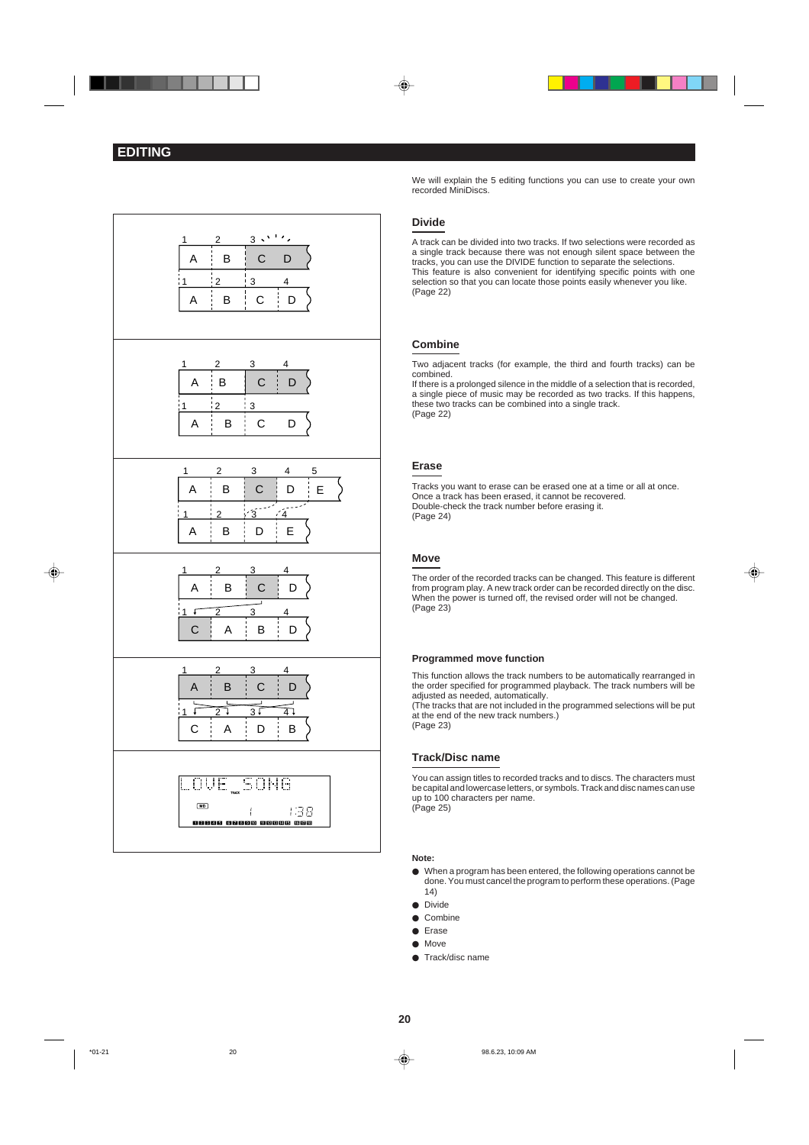



We will explain the 5 editing functions you can use to create your own recorded MiniDiscs.

## **Divide**

A track can be divided into two tracks. If two selections were recorded as a single track because there was not enough silent space between the tracks, you can use the DIVIDE function to separate the selections. This feature is also convenient for identifying specific points with one selection so that you can locate those points easily whenever you like. (Page 22)

## **Combine**

Two adjacent tracks (for example, the third and fourth tracks) can be combined.

If there is a prolonged silence in the middle of a selection that is recorded, a single piece of music may be recorded as two tracks. If this happens, these two tracks can be combined into a single track. (Page 22)

## **Erase**

Tracks you want to erase can be erased one at a time or all at once. Once a track has been erased, it cannot be recovered. Double-check the track number before erasing it. (Page 24)

### **Move**

The order of the recorded tracks can be changed. This feature is different from program play. A new track order can be recorded directly on the disc. When the power is turned off, the revised order will not be changed. (Page 23)

⊕

#### **Programmed move function**

This function allows the track numbers to be automatically rearranged in the order specified for programmed playback. The track numbers will be adiusted as needed, automatically.

(The tracks that are not included in the programmed selections will be put at the end of the new track numbers.) (Page 23)

### **Track/Disc name**

You can assign titles to recorded tracks and to discs. The characters must be capital and lowercase letters, or symbols. Track and disc names can use up to 100 characters per name. (Page 25)

#### **Note:**

- $\bullet$  When a program has been entered, the following operations cannot be done. You must cancel the program to perform these operations. (Page 14)
- $\bullet$  Divide
- $\bullet$  Combine
- $\bullet$  Erase
- $\bullet$  Move
- Track/disc name

**20**

♦

\*01-21 98.6.23, 10:09 AM  $\downarrow$  98.6.23, 10:09 AM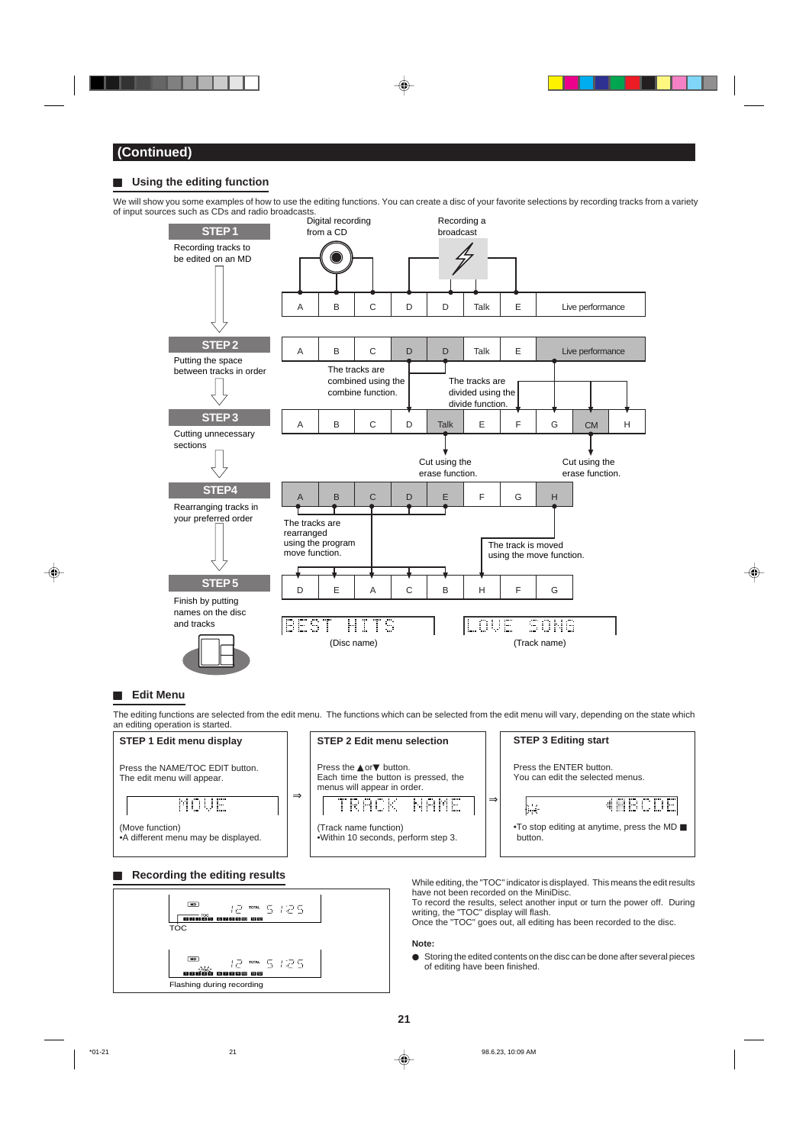## **H** Using the editing function

We will show you some examples of how to use the editing functions. You can create a disc of your favorite selections by recording tracks from a variety of input sources such as CDs and radio broadcasts.



### **H** Edit Menu

◈

The editing functions are selected from the edit menu. The functions which can be selected from the edit menu will vary, depending on the state which



## **H** Recording the editing results



While editing, the "TOC" indicator is displayed. This means the edit results have not been recorded on the MiniDisc.

◈

To record the results, select another input or turn the power off. During writing, the "TOC" display will flash. Once the "TOC" goes out, all editing has been recorded to the disc.

- **Note:**
- $\bullet$  Storing the edited contents on the disc can be done after several pieces of editing have been finished.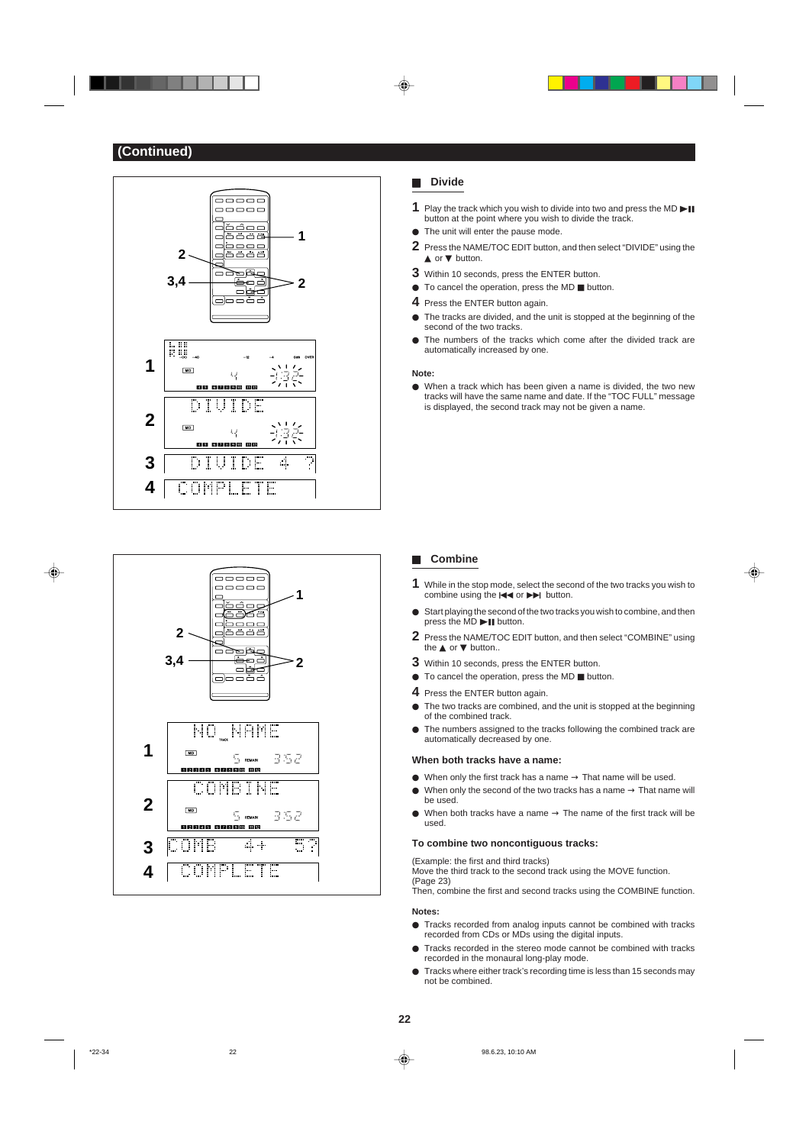. . .





## H **Divide**

- **1** Play the track which you wish to divide into two and press the MD  $\blacktriangleright$ button at the point where you wish to divide the track.
- $\bullet$  The unit will enter the pause mode.
- **2** Press the NAME/TOC EDIT button, and then select "DIVIDE" using the ▲ or ▼ button.
- **3** Within 10 seconds, press the ENTER button.
- $\bullet$  To cancel the operation, press the MD  $\blacksquare$  button.
- **4** Press the ENTER button again.
- $\bullet$  The tracks are divided, and the unit is stopped at the beginning of the second of the two tracks.
- $\bullet$  The numbers of the tracks which come after the divided track are automatically increased by one.

### **Note:**

● When a track which has been given a name is divided, the two new tracks will have the same name and date. If the "TOC FULL" message is displayed, the second track may not be given a name.

### H **Combine**

**1** While in the stop mode, select the second of the two tracks you wish to combine using the  $\blacktriangleright$  or  $\blacktriangleright$  button.

⊕

- Start playing the second of the two tracks you wish to combine, and then press the  $MD$   $\blacktriangleright$  **II** button.
- **2** Press the NAME/TOC EDIT button, and then select "COMBINE" using the **▲** or ▼ button..
- **3** Within 10 seconds, press the ENTER button.
- $\bullet$  To cancel the operation, press the MD  $\blacksquare$  button.
- **4** Press the ENTER button again.
- $\bullet$  The two tracks are combined, and the unit is stopped at the beginning of the combined track.
- $\bullet$  The numbers assigned to the tracks following the combined track are automatically decreased by one.

## **When both tracks have a name:**

- $\bullet$  When only the first track has a name  $\rightarrow$  That name will be used.
- $\bullet$  When only the second of the two tracks has a name  $\rightarrow$  That name will be used.
- When both tracks have a name  $\rightarrow$  The name of the first track will be used.

### **To combine two noncontiguous tracks:**

(Example: the first and third tracks)

Move the third track to the second track using the MOVE function. (Page 23)

Then, combine the first and second tracks using the COMBINE function.

## **Notes:**

- **Tracks recorded from analog inputs cannot be combined with tracks** recorded from CDs or MDs using the digital inputs.
- $\bullet$  Tracks recorded in the stereo mode cannot be combined with tracks recorded in the monaural long-play mode.
- $\bullet$  Tracks where either track's recording time is less than 15 seconds may not be combined.

⊕

\*22-34 98.6.23, 10:10 AM  $\downarrow$  98.6.23, 10:10 AM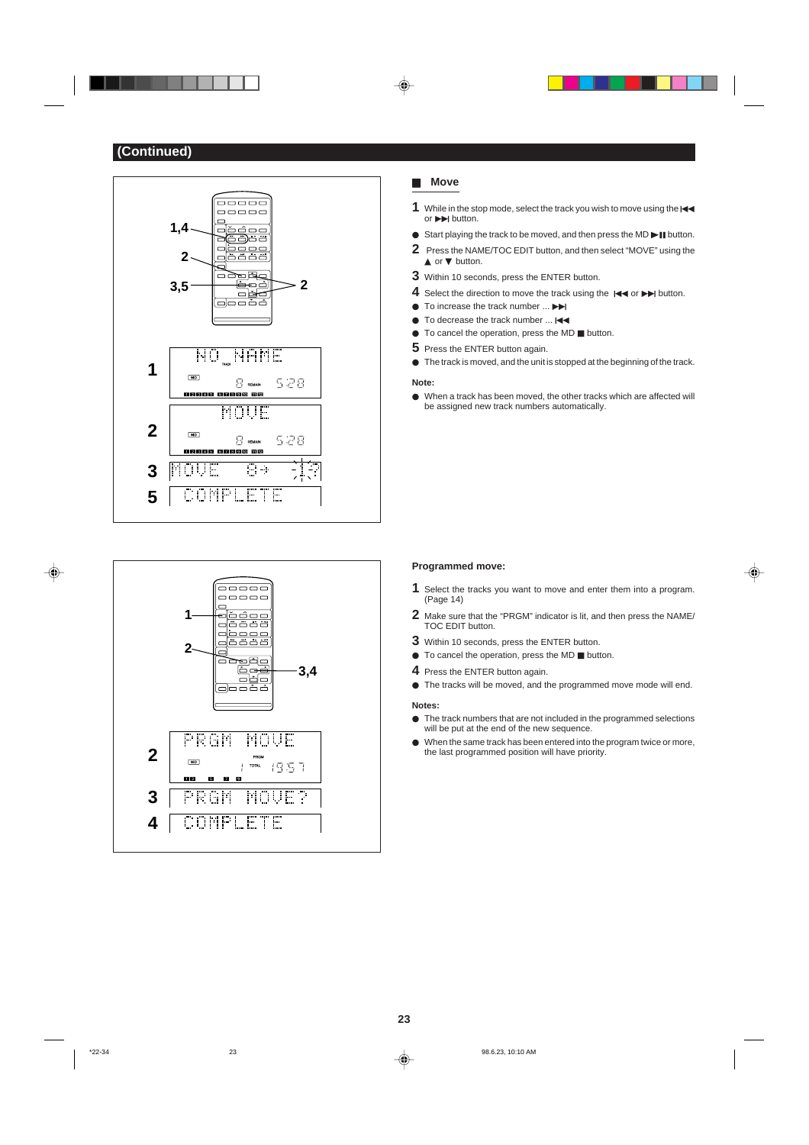. .





## **Move**

- 1 While in the stop mode, select the track you wish to move using the  $\blacktriangleleft$ or  $\blacktriangleright$   $\blacktriangleright$  button.
- $\bullet$  Start playing the track to be moved, and then press the MD  $\blacktriangleright$  II button.
- **2** Press the NAME/TOC EDIT button, and then select "MOVE" using the ▲ or ▼ button.
- **3** Within 10 seconds, press the ENTER button.
- **4** Select the direction to move the track using the  $\blacktriangleright$  or  $\blacktriangleright$  button.
- $\bullet$  To increase the track number  $\ldots$
- $\bullet$  To decrease the track number ...  $\blacktriangleleft\bullet$
- $\bullet$  To cancel the operation, press the MD  $\blacksquare$  button.
- **5** Press the ENTER button again.
- $\bullet$  The track is moved, and the unit is stopped at the beginning of the track.

#### **Note:**

 $\bullet$  When a track has been moved, the other tracks which are affected will be assigned new track numbers automatically.

#### **Programmed move:**

**1** Select the tracks you want to move and enter them into a program. (Page 14)

⊕

- **2** Make sure that the "PRGM" indicator is lit, and then press the NAME/ TOC EDIT button.
- **3** Within 10 seconds, press the ENTER button.
- $\bullet$  To cancel the operation, press the MD  $\blacksquare$  button.
- **4** Press the ENTER button again.
- $\bullet$  The tracks will be moved, and the programmed move mode will end.

#### **Notes:**

- $\bullet$  The track numbers that are not included in the programmed selections will be put at the end of the new sequence.
- $\bullet$  When the same track has been entered into the program twice or more, the last programmed position will have priority.

♦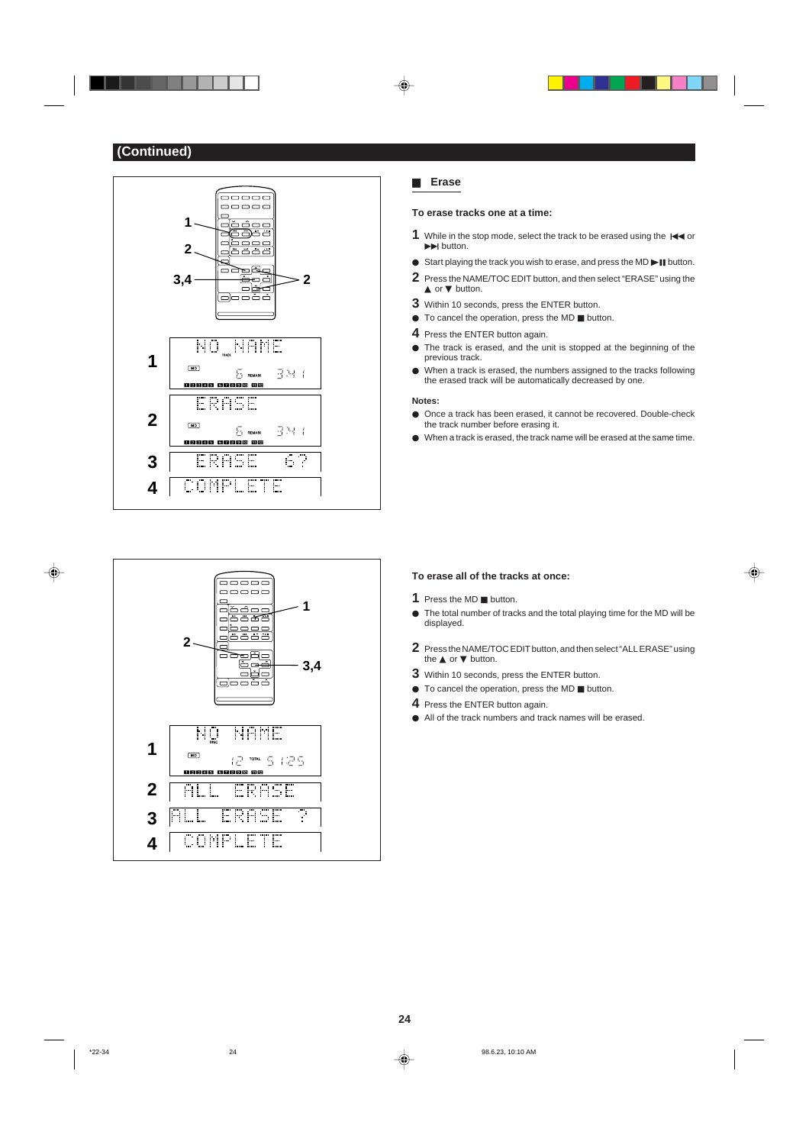. . .





## H **Erase**

 $\textcolor{black}{\blacklozenge}$ 

**▲ or ▼ button.** 

### **To erase tracks one at a time:**

- **1** While in the stop mode, select the track to be erased using the  $\blacktriangleright$  $\blacktriangleright\blacktriangleright$  button.
- $\bullet$  Start playing the track you wish to erase, and press the MD $\blacktriangleright$  II button.
- **2** Press the NAME/TOC EDIT button, and then select "ERASE" using the
- **3** Within 10 seconds, press the ENTER button.
- $\bullet$  To cancel the operation, press the MD  $\blacksquare$  button.
- **4** Press the ENTER button again.
- $\bullet$  The track is erased, and the unit is stopped at the beginning of the
- previous track.  $\bullet$  When a track is erased, the numbers assigned to the tracks following
	- the erased track will be automatically decreased by one.

## **Notes:**

- $\bullet$  Once a track has been erased, it cannot be recovered. Double-check the track number before erasing it.
- $\bullet$  When a track is erased, the track name will be erased at the same time.

## **To erase all of the tracks at once:**

- **1** Press the MD **H** button.
- $\bullet$  The total number of tracks and the total playing time for the MD will be displayed.

⊕

- **2** Press the NAME/TOC EDIT button, and then select "ALL ERASE" using the **▲** or ▼ button.
- **3** Within 10 seconds, press the ENTER button.
- $\bullet$  To cancel the operation, press the MD  $\blacksquare$  button.
- **4** Press the ENTER button again.
- $\bullet$  All of the track numbers and track names will be erased.

♦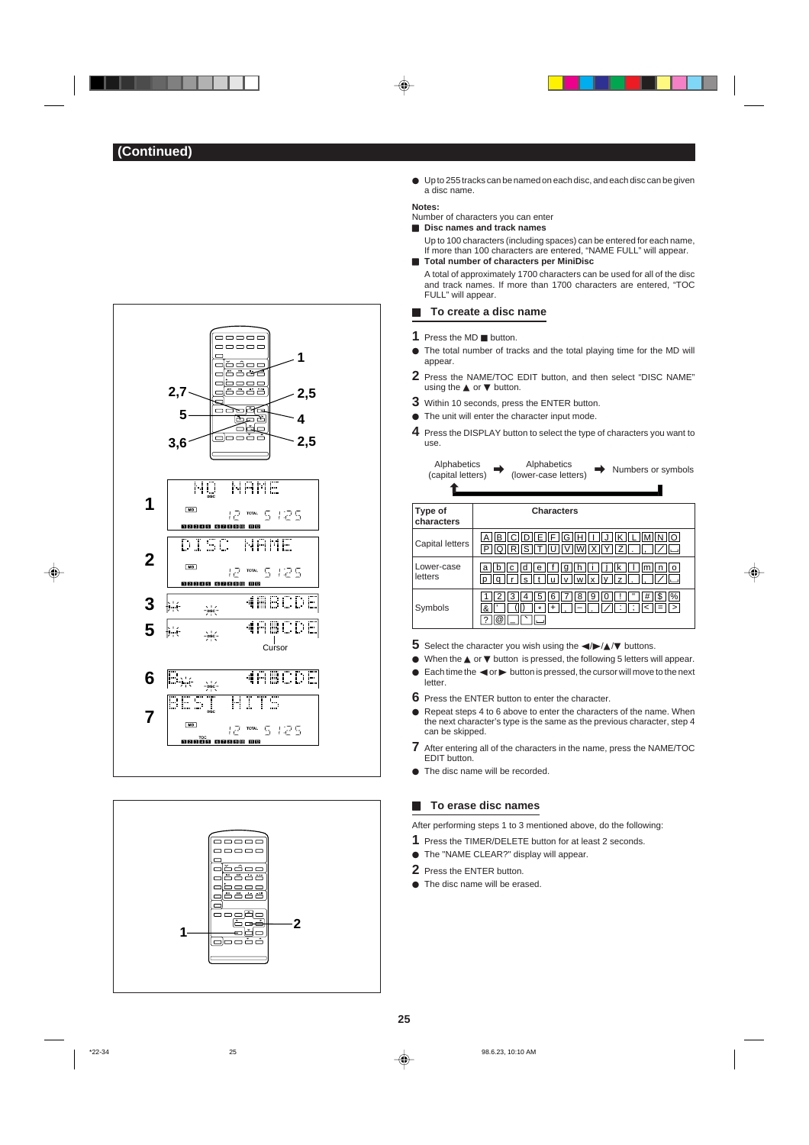

◈

. .





 $\bullet$  Up to 255 tracks can be named on each disc, and each disc can be given a disc name.

## **Notes:**

- Number of characters you can enter ■ **Disc names and track names**
- Up to 100 characters (including spaces) can be entered for each name, If more than 100 characters are entered, "NAME FULL" will appear.
- **H** Total number of characters per MiniDisc A total of approximately 1700 characters can be used for all of the disc and track names. If more than 1700 characters are entered, "TOC FULL" will appear.

#### **H** To create a disc name

1 Press the MD **H** button.

- $\bullet$  The total number of tracks and the total playing time for the MD will appear.
- **2** Press the NAME/TOC EDIT button, and then select "DISC NAME" using the ▲ or ▼ button.
- **3** Within 10 seconds, press the ENTER button.
- $\bullet$  The unit will enter the character input mode.
- **4** Press the DISPLAY button to select the type of characters you want to use.

| Alphabetics<br>(capital letters) | Alphabetics<br>Numbers or symbols<br>(lower-case letters)                            |
|----------------------------------|--------------------------------------------------------------------------------------|
| Type of<br>characters            | <b>Characters</b>                                                                    |
| Capital letters                  | IF<br>ΕI<br>н<br>в<br>G<br>$Q\ R\ S\ T\ U\ V\ W\ X\ Y$<br>$\overline{z}$<br>ΙP       |
| Lower-case<br>letters            | Im<br>е<br>a<br>n<br>n<br>O<br>q<br>s<br>wllx<br>$\overline{z}$<br>$\mathsf{V}$<br>D |
| Symbols                          | #<br>\$<br> %<br>8<br>5<br>6<br>9<br>3<br>0<br>4<br>$\leq$<br>&<br>٠                 |

⊕

- **5** Select the character you wish using the  $\blacktriangle$ /▶/▲/▼ buttons.
- When the **▲** or ▼ button is pressed, the following 5 letters will appear.
- $\bullet$  Each time the  $\blacktriangleleft$  or  $\blacktriangleright$  button is pressed, the cursor will move to the next letter.
- **6** Press the ENTER button to enter the character.
- $\bullet$  Repeat steps 4 to 6 above to enter the characters of the name. When the next character's type is the same as the previous character, step 4 can be skipped.
- **7** After entering all of the characters in the name, press the NAME/TOC EDIT button.
- $\bullet$  The disc name will be recorded.

## **H** To erase disc names

After performing steps 1 to 3 mentioned above, do the following:

- **1** Press the TIMER/DELETE button for at least 2 seconds.
- $\bullet$  The "NAME CLEAR?" display will appear.
- **2** Press the ENTER button.
- $\bullet$  The disc name will be erased.



\*22-34 25 98.6.23, 10:10 AM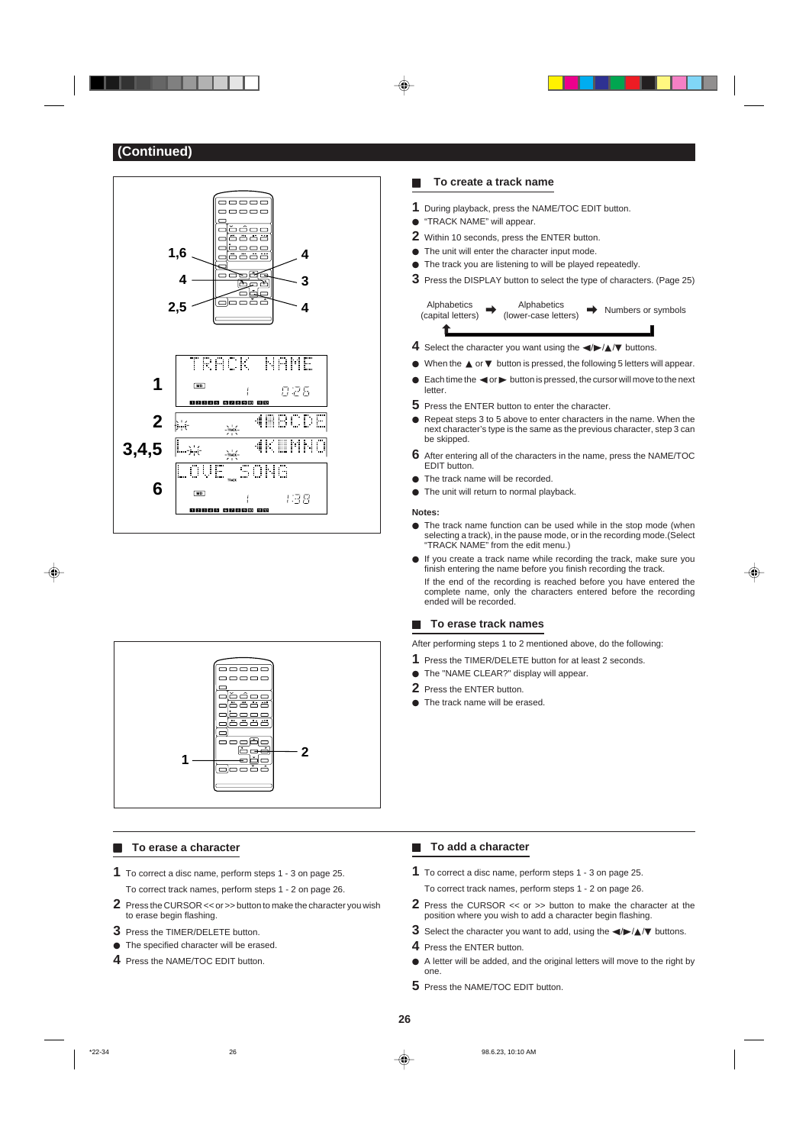



### **H** To erase a character

- **1** To correct a disc name, perform steps 1 3 on page 25. To correct track names, perform steps 1 - 2 on page 26.
- **2** Press the CURSOR << or >> button to make the character you wish to erase begin flashing.
- **3** Press the TIMER/DELETE button.
- $\bullet$  The specified character will be erased.
- **4** Press the NAME/TOC EDIT button.

## **H** To create a track name

- **1** During playback, press the NAME/TOC EDIT button.
- **"TRACK NAME" will appear.**
- **2** Within 10 seconds, press the ENTER button.
- $\bullet$  The unit will enter the character input mode.
- $\bullet$  The track you are listening to will be played repeatedly.
- **3** Press the DISPLAY button to select the type of characters. (Page 25)

Alphabetics (capital letters) Alphabetics<br>(lower-case letters)  $\rightarrow$  Numbers or symbols ©

- **4** Select the character you want using the  $\blacktriangle$  **/**  $\blacktriangle$  / $\blacktriangledown$  buttons.
- I When the ▲ or ▼ button is pressed, the following 5 letters will appear.
- $\bullet$  Each time the  $\blacktriangleleft$  or  $\blacktriangleright$  button is pressed, the cursor will move to the next letter.
- **5** Press the ENTER button to enter the character.
- Repeat steps 3 to 5 above to enter characters in the name. When the next character's type is the same as the previous character, step 3 can be skipped.
- **6** After entering all of the characters in the name, press the NAME/TOC EDIT button.
- $\bullet$  The track name will be recorded.  $\bullet$  The unit will return to normal playback.
- 

### **Notes:**

- $\bullet$  The track name function can be used while in the stop mode (when selecting a track), in the pause mode, or in the recording mode.(Select "TRACK NAME" from the edit menu.)
- $\bullet$  If you create a track name while recording the track, make sure you finish entering the name before you finish recording the track. If the end of the recording is reached before you have entered the complete name, only the characters entered before the recording ended will be recorded.

#### **H** To erase track names

After performing steps 1 to 2 mentioned above, do the following:

- **1** Press the TIMER/DELETE button for at least 2 seconds.
- $\bullet$  The "NAME CLEAR?" display will appear.
- **2** Press the ENTER button.
- The track name will be erased.

### **F** To add a character

- **1** To correct a disc name, perform steps 1 3 on page 25. To correct track names, perform steps 1 - 2 on page 26.
- **2** Press the CURSOR << or >> button to make the character at the position where you wish to add a character begin flashing.
- **3** Select the character you want to add, using the  $\blacktriangle$  / **A/**▼ buttons.
- **4** Press the ENTER button.
- $\bullet$  A letter will be added, and the original letters will move to the right by one.
- **5** Press the NAME/TOC EDIT button.

⊕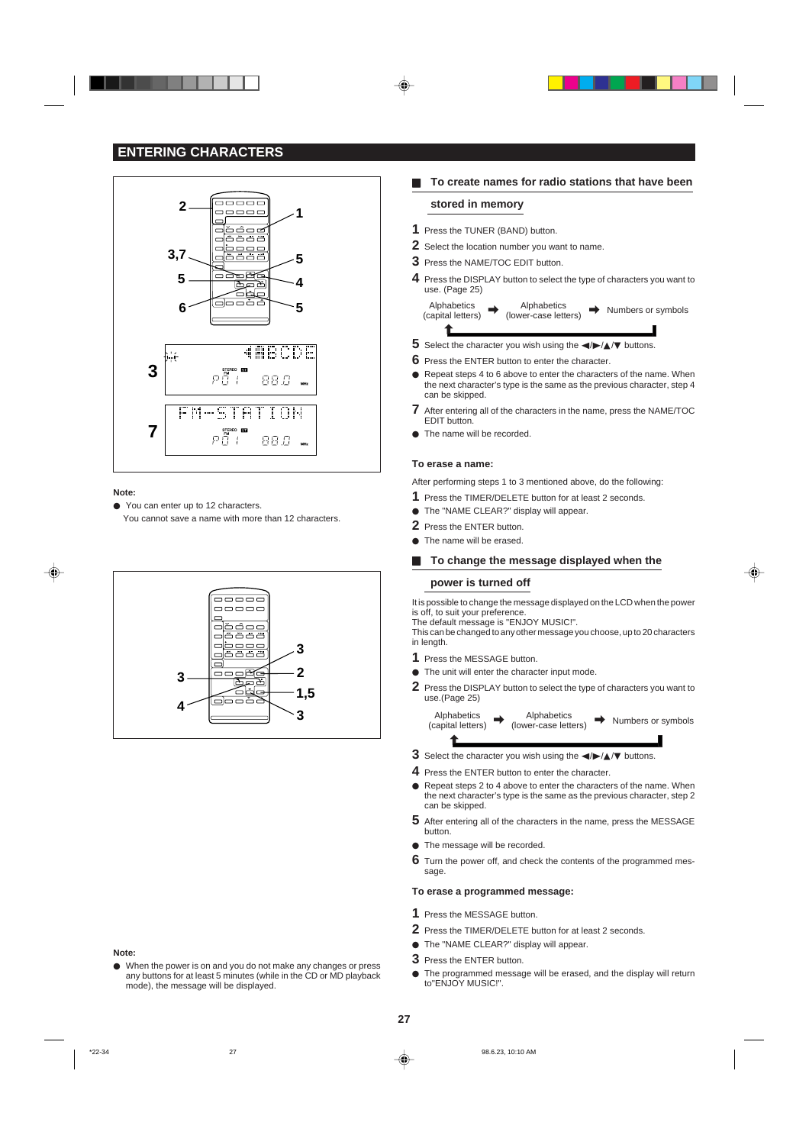



#### **Note:**

◈

● You can enter up to 12 characters.

You cannot save a name with more than 12 characters.



#### **Note:**

 $\bullet$  When the power is on and you do not make any changes or press any buttons for at least 5 minutes (while in the CD or MD playback mode), the message will be displayed.

## **H** To create names for radio stations that have been

### **stored in memory**

- **1** Press the TUNER (BAND) button.
- **2** Select the location number you want to name.
- **3** Press the NAME/TOC EDIT button.
- **4** Press the DISPLAY button to select the type of characters you want to use. (Page 25)

Alphabetics (capital letters) Alphabetics<br>(lower-case letters) (lower-case letters) © © Numbers or symbols ©

- **5** Select the character you wish using the  $\blacktriangle$  / $\blacktriangleright$  / $\blacktriangle$ / $\blacktriangledown$  buttons.
- **6** Press the ENTER button to enter the character.
- Repeat steps 4 to 6 above to enter the characters of the name. When the next character's type is the same as the previous character, step 4 can be skipped.
- **7** After entering all of the characters in the name, press the NAME/TOC EDIT button.
- $\bullet$  The name will be recorded.

### **To erase a name:**

After performing steps 1 to 3 mentioned above, do the following:

- **1** Press the TIMER/DELETE button for at least 2 seconds.
- $\bullet$  The "NAME CLEAR?" display will appear.
- **2** Press the ENTER button.
- $\bullet$  The name will be erased.

### To change the message displayed when the

## **power is turned off**

It is possible to change the message displayed on the LCD when the power is off, to suit your preference.

The default message is "ENJOY MUSIC!". This can be changed to any other message you choose, up to 20 characters in length.

- **1** Press the MESSAGE button.
- $\bullet$  The unit will enter the character input mode.
- **2** Press the DISPLAY button to select the type of characters you want to use.(Page 25)

Alphabetics (capital letters) Alphabetics<br>(lower-case letters)  $\Rightarrow$  Alphabetics  $\Rightarrow$  Numbers or symbols

- **3** Select the character you wish using the  $\blacktriangle$  /  $\blacktriangle$  /  $\blacktriangleright$  buttons.
- **4** Press the ENTER button to enter the character.
- Repeat steps 2 to 4 above to enter the characters of the name. When the next character's type is the same as the previous character, step 2
- can be skipped. **5** After entering all of the characters in the name, press the MESSAGE
- The message will be recorded.

button.

 $\hat{\mathbf{r}}$ 

**6** Turn the power off, and check the contents of the programmed message.

#### **To erase a programmed message:**

- **1** Press the MESSAGE button.
- **2** Press the TIMER/DELETE button for at least 2 seconds.
- $\bullet$  The "NAME CLEAR?" display will appear.
- **3** Press the ENTER button.
- $\bullet$  The programmed message will be erased, and the display will return to"ENJOY MUSIC!".

\*22-34 27 98.6.23, 10:10 AM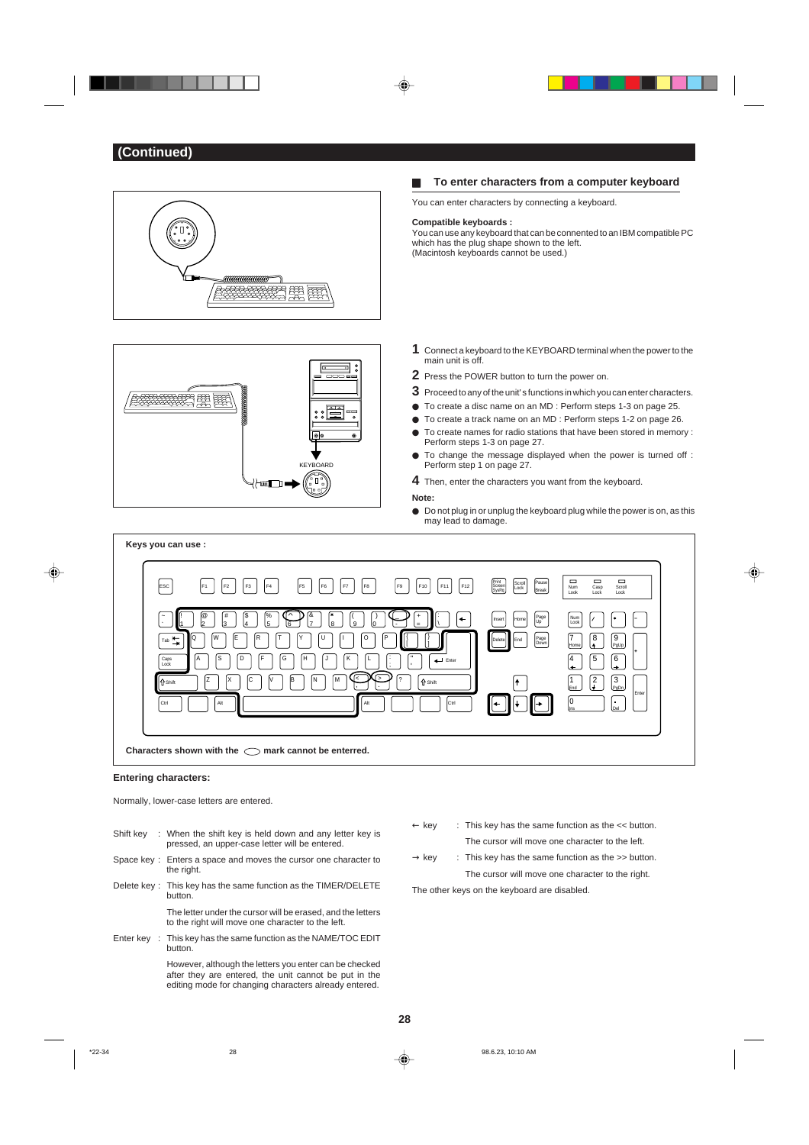

- 
- $\bullet$  Do not plug in or unplug the keyboard plug while the power is on, as this may lead to damage.



### **Entering characters:**

Normally, lower-case letters are entered.

- Shift key : When the shift key is held down and any letter key is pressed, an upper-case letter will be entered.
- Space key : Enters a space and moves the cursor one character to the right.
- Delete key : This key has the same function as the TIMER/DELETE button. The letter under the cursor will be erased, and the letters
- to the right will move one character to the left. Enter key : This key has the same function as the NAME/TOC EDIT button.

However, although the letters you enter can be checked after they are entered, the unit cannot be put in the editing mode for changing characters already entered.

- $\leftarrow$  key : This key has the same function as the  $\lt\lt$  button. The cursor will move one character to the left.
- $\rightarrow$  key  $\qquad$ : This key has the same function as the  $\gg$  button. The cursor will move one character to the right.

The other keys on the keyboard are disabled.

**28**

◈

\*22-34 98.6.23, 10:10 AM  $\downarrow$  98.6.23, 10:10 AM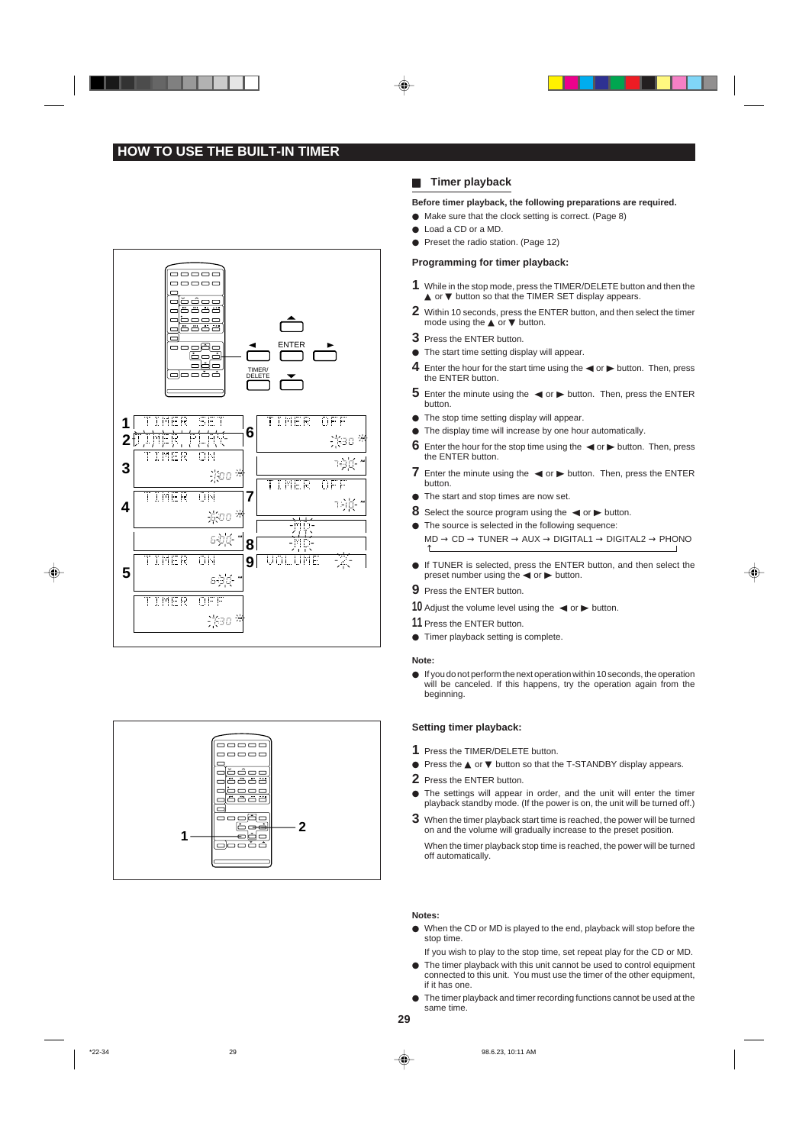## **HOW TO USE THE BUILT-IN TIMER**





## **H** Timer playback

### **Before timer playback, the following preparations are required.**

- $\bullet$  Make sure that the clock setting is correct. (Page 8)
- Load a CD or a MD.
- **Preset the radio station. (Page 12)**

## **Programming for timer playback:**

- **1** While in the stop mode, press the TIMER/DELETE button and then the ▲ or ▼ button so that the TIMER SET display appears.
- **2** Within 10 seconds, press the ENTER button, and then select the timer mode using the **▲** or ▼ button.
- **3** Press the ENTER button.
- $\bullet$  The start time setting display will appear.
- **4** Enter the hour for the start time using the  $\blacktriangleleft$  or  $\blacktriangleright$  button. Then, press the ENTER button.
- **5** Enter the minute using the  $\blacktriangleleft$  or  $\blacktriangleright$  button. Then, press the ENTER button.
- $\bullet$  The stop time setting display will appear.
- $\bullet$  The display time will increase by one hour automatically.
- **6** Enter the hour for the stop time using the  $\blacktriangleleft$  or  $\blacktriangleright$  button. Then, press the ENTER button.
- **7** Enter the minute using the  $\blacktriangleleft$  or  $\blacktriangleright$  button. Then, press the ENTER button.
- The start and stop times are now set.
- **8** Select the source program using the  $\blacktriangleleft$  or  $\blacktriangleright$  button.
- → $\bullet$  The source is selected in the following sequence:  $MD \rightarrow CD \rightarrow TUNER \rightarrow AUX \rightarrow DIGITAL1 \rightarrow DIGITAL2 \rightarrow PHONO$
- If TUNER is selected, press the ENTER button, and then select the preset number using the  $\blacktriangleleft$  or  $\blacktriangleright$  button.
- **9** Press the ENTER button.
- **10** Adjust the volume level using the  $\blacktriangleleft$  or  $\blacktriangleright$  button.
- **11** Press the ENTER button.
- $\bullet$  Timer playback setting is complete.

#### **Note:**

 $\bullet$  If you do not perform the next operation within 10 seconds, the operation will be canceled. If this happens, try the operation again from the beginning.

### **Setting timer playback:**

- **1** Press the TIMER/DELETE button.
- I Press the ▲ or ▼ button so that the T-STANDBY display appears.
- **2** Press the ENTER button.
- $\bullet$  The settings will appear in order, and the unit will enter the timer playback standby mode. (If the power is on, the unit will be turned off.)
- **3** When the timer playback start time is reached, the power will be turned on and the volume will gradually increase to the preset position.

When the timer playback stop time is reached, the power will be turned off automatically.

#### **Notes:**

- $\bullet$  When the CD or MD is played to the end, playback will stop before the stop time
- If you wish to play to the stop time, set repeat play for the CD or MD.  $\bullet$  The timer playback with this unit cannot be used to control equipment
- connected to this unit. You must use the timer of the other equipment, if it has one.
- $\bullet$  The timer playback and timer recording functions cannot be used at the same time.
- **29**

\*22-34 29 98.6.23, 10:11 AM

◈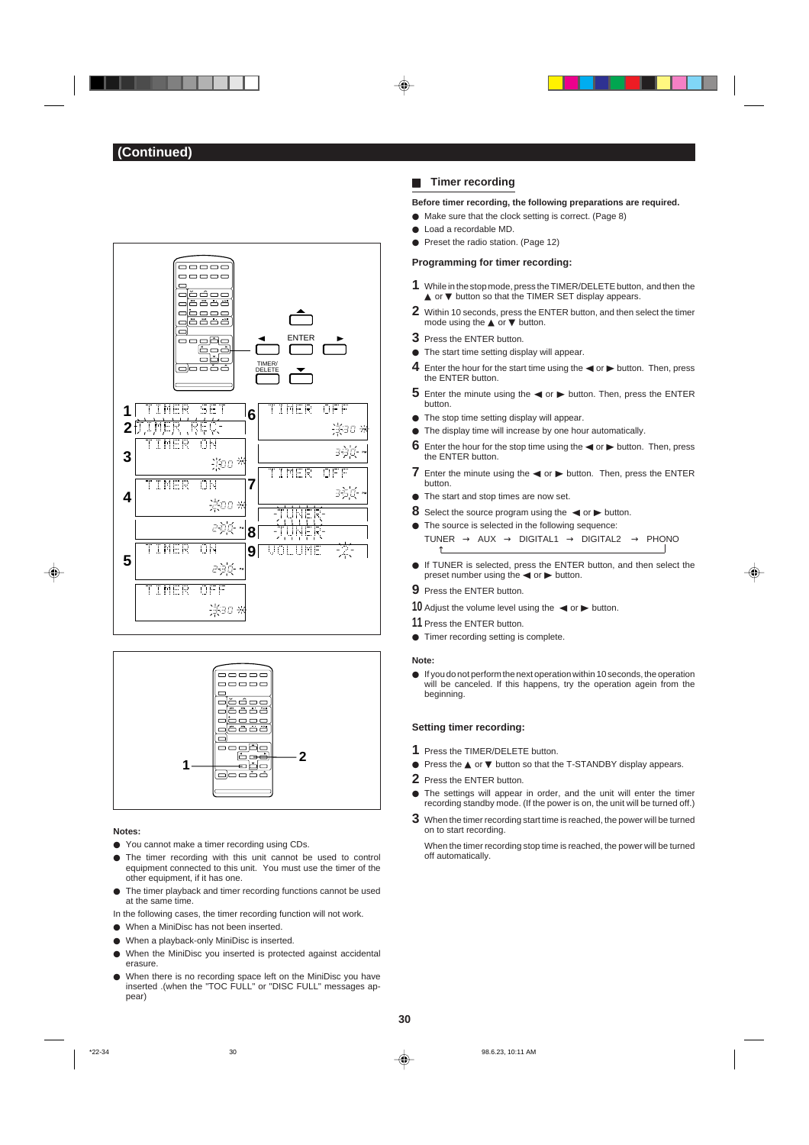



#### **Notes:**

◈

- You cannot make a timer recording using CDs.
- The timer recording with this unit cannot be used to control equipment connected to this unit. You must use the timer of the other equipment, if it has one.
- $\bullet$  The timer playback and timer recording functions cannot be used at the same time.
- In the following cases, the timer recording function will not work.
- I When a MiniDisc has not been inserted.
- $\bullet$  When a playback-only MiniDisc is inserted.
- I When the MiniDisc you inserted is protected against accidental erasure.
- When there is no recording space left on the MiniDisc you have inserted .(when the "TOC FULL" or "DISC FULL" messages appear)

### **H** Timer recording

**Before timer recording, the following preparations are required.**

- $\bullet$  Make sure that the clock setting is correct. (Page 8)
- Load a recordable MD.
- **Preset the radio station. (Page 12)**

## **Programming for timer recording:**

- **1** While in the stop mode, press the TIMER/DELETE button, and then the ▲ or ▼ button so that the TIMER SET display appears.
- **2** Within 10 seconds, press the ENTER button, and then select the timer mode using the **▲** or ▼ button.
- **3** Press the ENTER button.
- $\bullet$  The start time setting display will appear.
- **4** Enter the hour for the start time using the  $\blacktriangleleft$  or  $\blacktriangleright$  button. Then, press the ENTER button.
- **5** Enter the minute using the  $\blacktriangleleft$  or  $\blacktriangleright$  button. Then, press the ENTER button.
- $\bullet$  The stop time setting display will appear.
- $\bullet$  The display time will increase by one hour automatically.
- **6** Enter the hour for the stop time using the  $\blacktriangleleft$  or  $\blacktriangleright$  button. Then, press the ENTER button.
- **7** Enter the minute using the  $\blacktriangleleft$  or  $\blacktriangleright$  button. Then, press the ENTER button.
- The start and stop times are now set.
- **8** Select the source program using the  $\blacktriangleleft$  or  $\blacktriangleright$  button.
- The source is selected in the following sequence: TUNER  $\rightarrow$  AUX  $\rightarrow$  DIGITAL1  $\rightarrow$  DIGITAL2  $\rightarrow$  PHONO →
- If TUNER is selected, press the ENTER button, and then select the preset number using the  $\blacktriangleleft$  or  $\blacktriangleright$  button.
- **9** Press the ENTER button.
- **10** Adjust the volume level using the  $\blacktriangleleft$  or  $\blacktriangleright$  button.
- **11** Press the ENTER button.
- $\bullet$  Timer recording setting is complete.

#### **Note:**

 $\bullet$  If you do not perform the next operation within 10 seconds, the operation will be canceled. If this happens, try the operation agein from the beginning.

#### **Setting timer recording:**

- **1** Press the TIMER/DELETE button.
- I Press the ▲ or ▼ button so that the T-STANDBY display appears.
- **2** Press the ENTER button.
- $\bullet$  The settings will appear in order, and the unit will enter the timer recording standby mode. (If the power is on, the unit will be turned off.)
- **3** When the timer recording start time is reached, the power will be turned on to start recording.

When the timer recording stop time is reached, the power will be turned off automatically.

**30**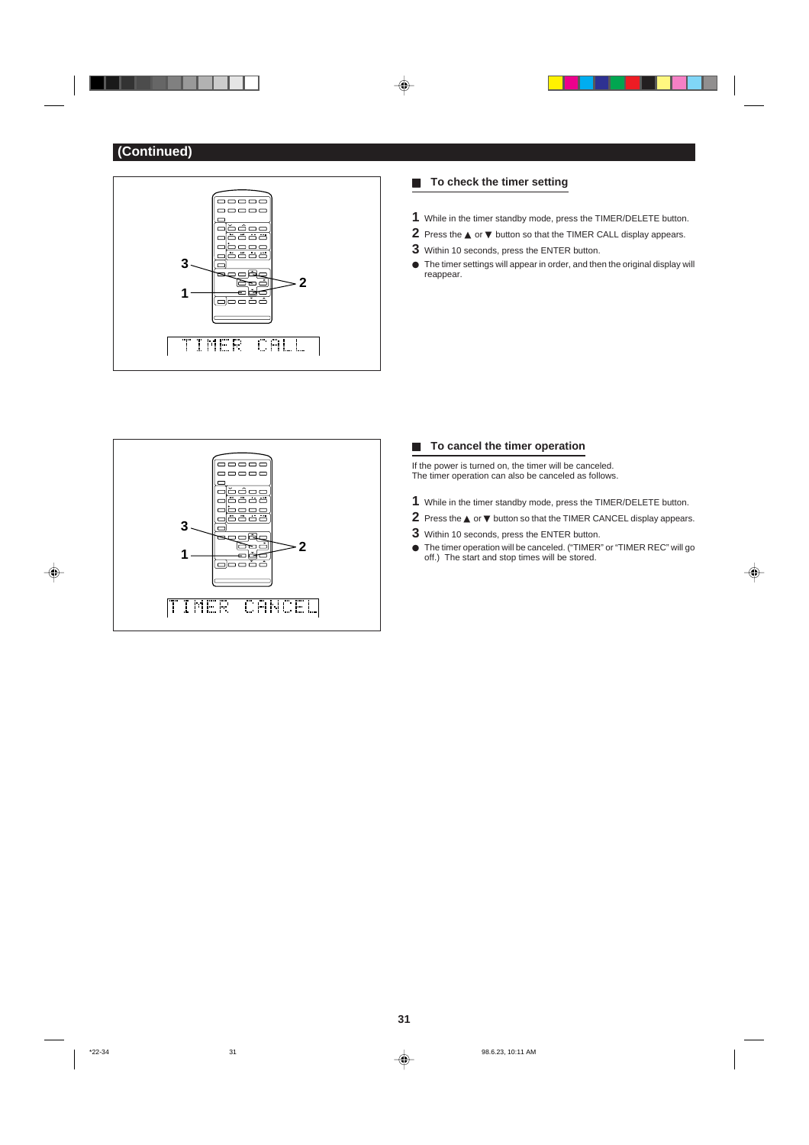





**(Continued)**



## **F** To check the timer setting

- **1** While in the timer standby mode, press the TIMER/DELETE button.
- **2** Press the ▲ or ▼ button so that the TIMER CALL display appears.
- **3** Within 10 seconds, press the ENTER button.
- $\bullet$  The timer settings will appear in order, and then the original display will reappear.



## **F** To cancel the timer operation

If the power is turned on, the timer will be canceled. The timer operation can also be canceled as follows.

- **1** While in the timer standby mode, press the TIMER/DELETE button.
- **2** Press the ▲ or ▼ button so that the TIMER CANCEL display appears.
- **3** Within 10 seconds, press the ENTER button.
- The timer operation will be canceled. ("TIMER" or "TIMER REC" will go off.) The start and stop times will be stored.

⊕

 $\bigoplus$ 



**31**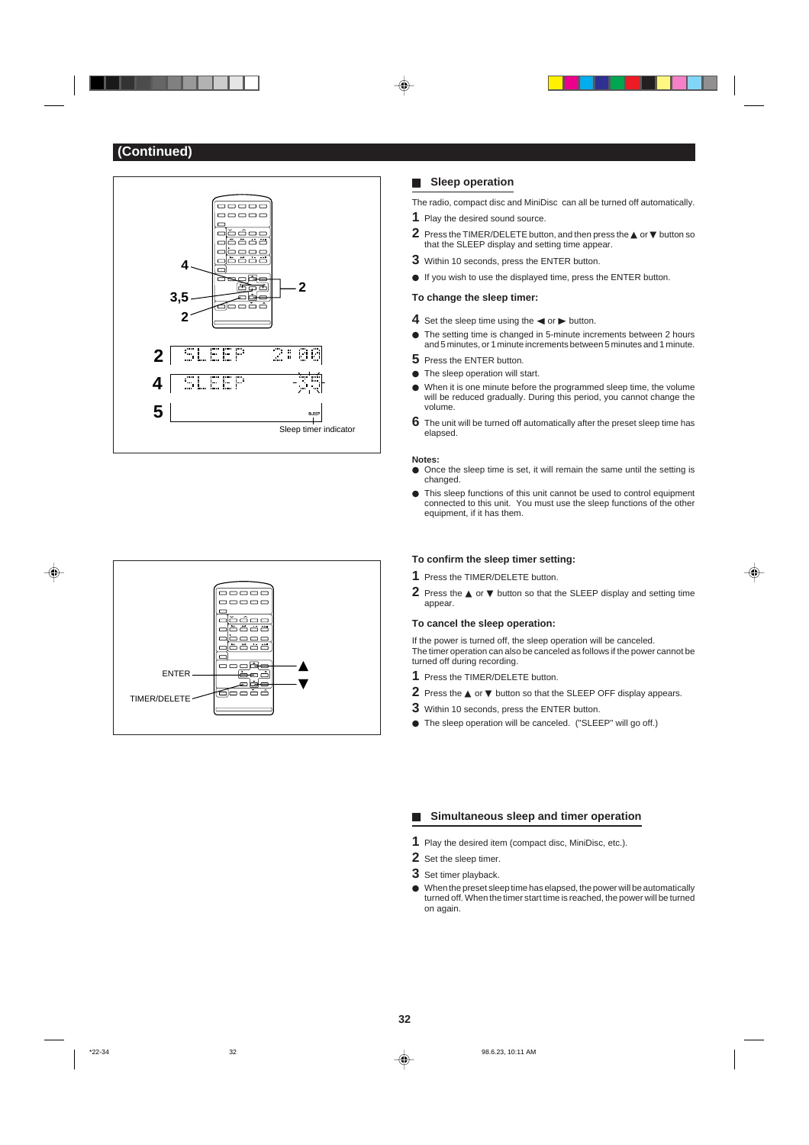



### **H** Sleep operation

The radio, compact disc and MiniDisc can all be turned off automatically.

- **1** Play the desired sound source.
- **2** Press the TIMER/DELETE button, and then press the ▲ or ▼ button so that the SLEEP display and setting time appear.
- **3** Within 10 seconds, press the ENTER button.
- $\bullet$  If you wish to use the displayed time, press the ENTER button.

## **To change the sleep timer:**

- **4** Set the sleep time using the  $\blacktriangleleft$  or  $\blacktriangleright$  button.
- $\bullet$  The setting time is changed in 5-minute increments between 2 hours and 5 minutes, or 1 minute increments between 5 minutes and 1 minute.
- **5** Press the ENTER button.
- $\bullet$  The sleep operation will start.
- $\bullet$  When it is one minute before the programmed sleep time, the volume will be reduced gradually. During this period, you cannot change the volume.
- **6** The unit will be turned off automatically after the preset sleep time has elapsed.

#### **Notes:**

- $\bullet$  Once the sleep time is set, it will remain the same until the setting is changed.
- $\bullet$  This sleep functions of this unit cannot be used to control equipment connected to this unit. You must use the sleep functions of the other equipment, if it has them.

#### **To confirm the sleep timer setting:**

- **1** Press the TIMER/DELETE button.
- **2** Press the ▲ or ▼ button so that the SLEEP display and setting time appear.

⊕

#### **To cancel the sleep operation:**

If the power is turned off, the sleep operation will be canceled. The timer operation can also be canceled as follows if the power cannot be turned off during recording.

- **1** Press the TIMER/DELETE button.
- **2** Press the ▲ or ▼ button so that the SLEEP OFF display appears.
- **3** Within 10 seconds, press the ENTER button.
- $\bullet$  The sleep operation will be canceled. ("SLEEP" will go off.)

### **H** Simultaneous sleep and timer operation

- **1** Play the desired item (compact disc, MiniDisc, etc.).
- **2** Set the sleep timer.
- **3** Set timer playback.
- $\bullet$  When the preset sleep time has elapsed, the power will be automatically turned off. When the timer start time is reached, the power will be turned on again.

**32**

#### \*22-34 98.6.23, 10:11 AM

◈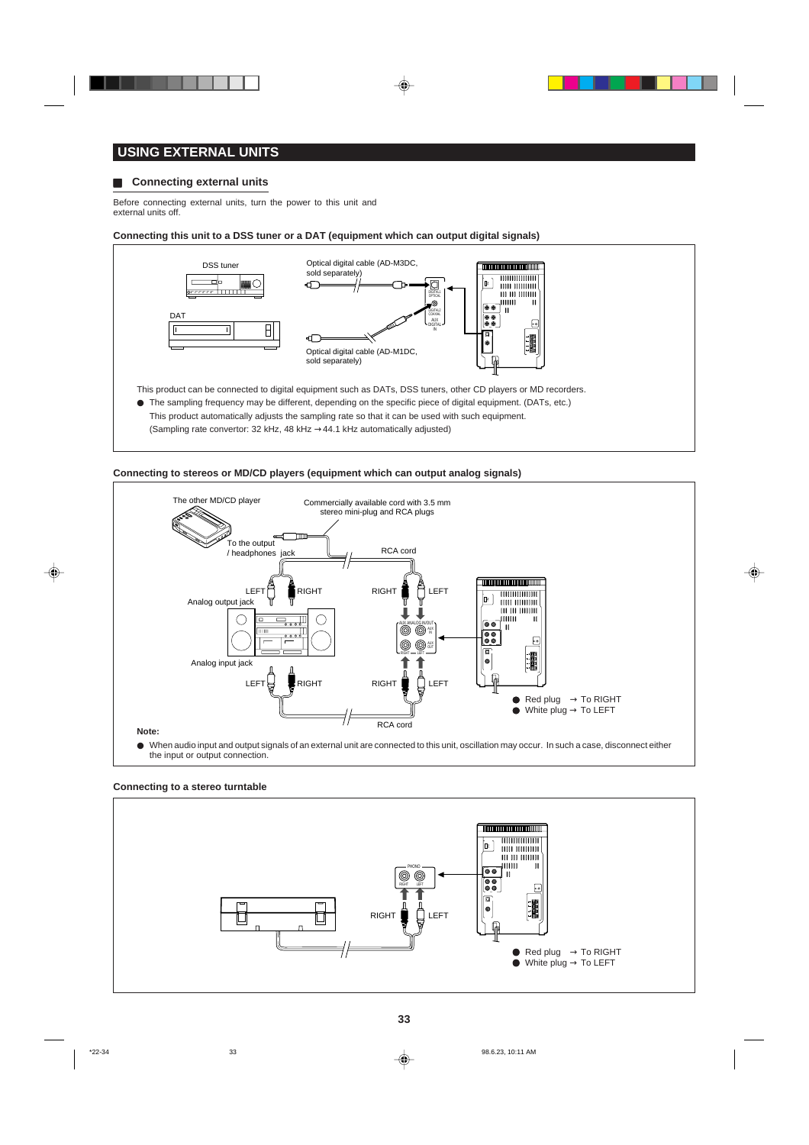

## **USING EXTERNAL UNITS**

## **EXECONDECITY CONNECTING EXTERNAL UNITS**

Before connecting external units, turn the power to this unit and external units off.

**Connecting this unit to a DSS tuner or a DAT (equipment which can output digital signals)**



I The sampling frequency may be different, depending on the specific piece of digital equipment. (DATs, etc.)

- This product automatically adjusts the sampling rate so that it can be used with such equipment.
- (Sampling rate convertor: 32 kHz, 48 kHz →44.1 kHz automatically adjusted)





 $\bullet$  When audio input and output signals of an external unit are connected to this unit, oscillation may occur. In such a case, disconnect either the input or output connection.

### **Connecting to a stereo turntable**



⊕

\*22-34 33 98.6.23, 10:11 AM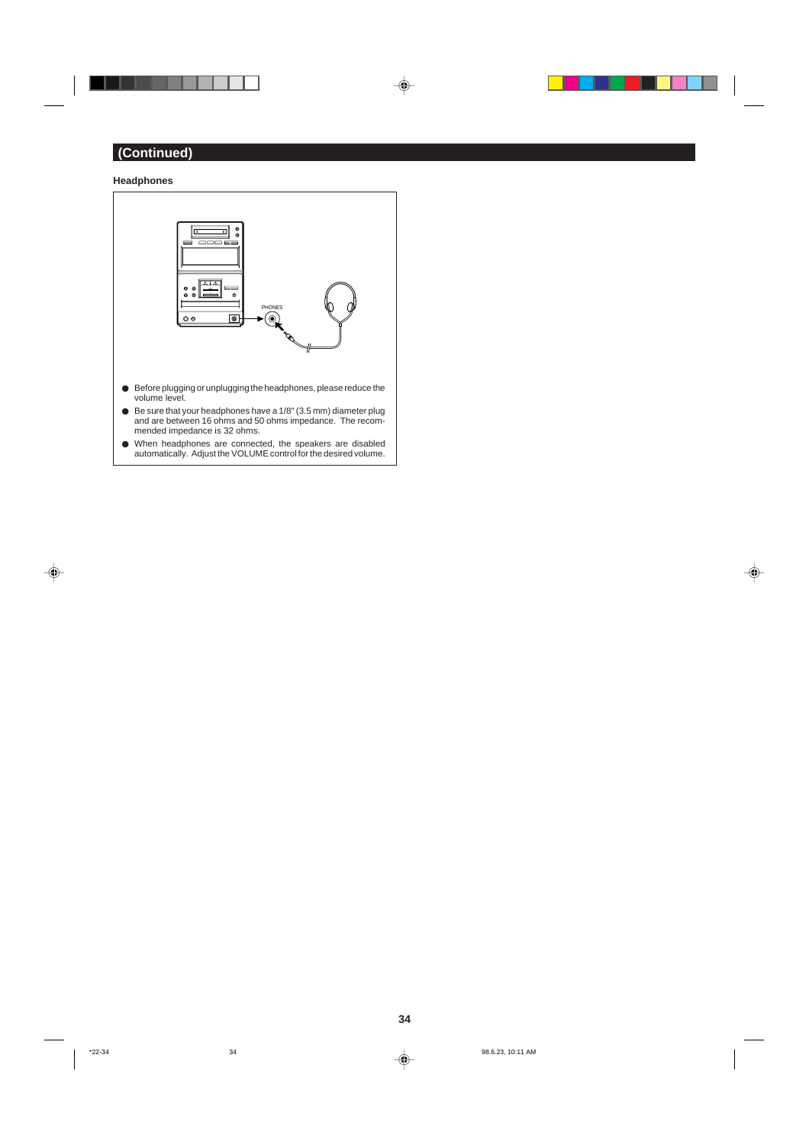. . . .

 $\overline{\phantom{a}}$ 

 $\overline{\blacklozenge}$ 



- $\bullet$  Before plugging or unplugging the headphones, please reduce the volume level.
- $\bullet$  Be sure that your headphones have a 1/8" (3.5 mm) diameter plug and are between 16 ohms and 50 ohms impedance. The recommended impedance is 32 ohms.
- I When headphones are connected, the speakers are disabled automatically. Adjust the VOLUME control for the desired volume.



**34**

 $\Box$ 

. . .

⊕

 $\color{red}\blacklozenge$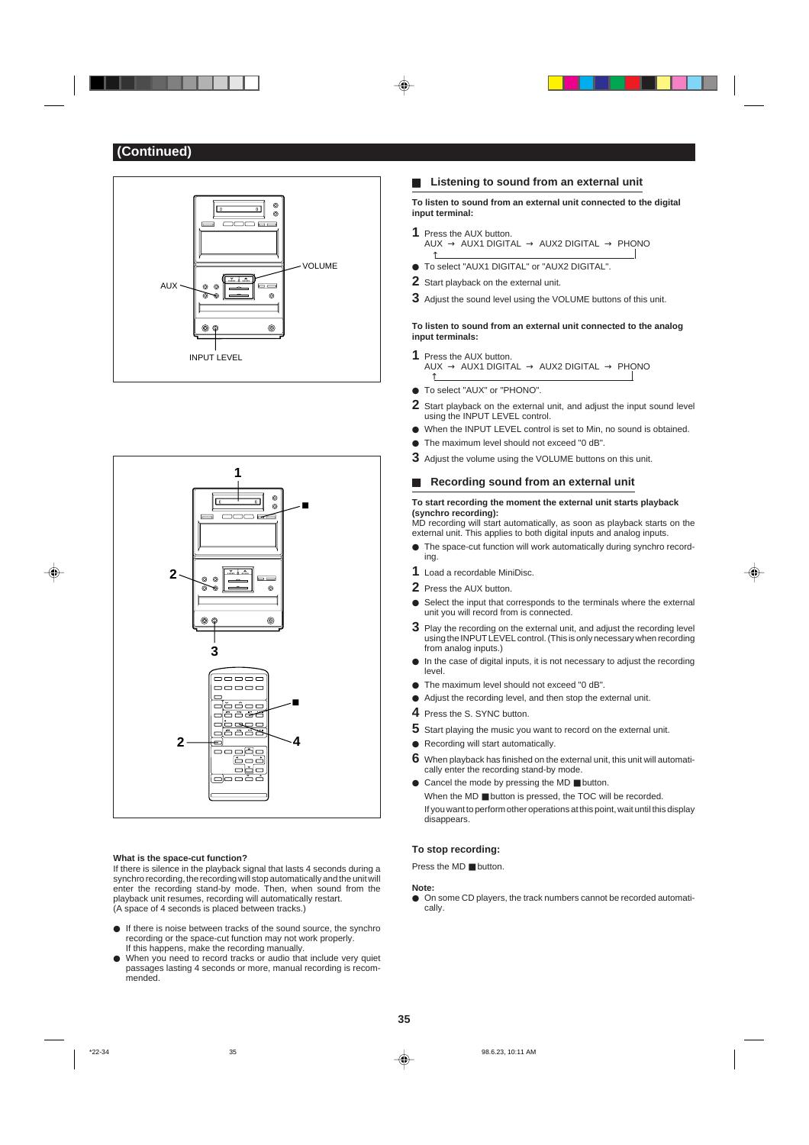



## **What is the space-cut function?**

If there is silence in the playback signal that lasts 4 seconds during a synchro recording, the recording will stop automatically and the unit will enter the recording stand-by mode. Then, when sound from the playback unit resumes, recording will automatically restart. (A space of 4 seconds is placed between tracks.)

- $\bullet$  If there is noise between tracks of the sound source, the synchro recording or the space-cut function may not work properly. If this happens, make the recording manually.
- $\bullet$  When you need to record tracks or audio that include very quiet passages lasting 4 seconds or more, manual recording is recommended.

## **H** Listening to sound from an external unit

**To listen to sound from an external unit connected to the digital input terminal:**

- **1** Press the AUX button.
- $\mathsf{AUX} \to \mathsf{AUX1}$  digital  $\to \mathsf{AUX2}$  digital  $\to \mathsf{PHONO}$  $\uparrow$
- To select "AUX1 DIGITAL" or "AUX2 DIGITAL".
- **2** Start playback on the external unit.
- **3** Adjust the sound level using the VOLUME buttons of this unit.

**To listen to sound from an external unit connected to the analog input terminals:**

- **1** Press the AUX button.  $\begin{CD} \mathsf{AUX} \to \mathsf{AUX1} \ \mathsf{DIGITAL} \to \mathsf{AUX2} \ \mathsf{DIGITAL} \to \mathsf{PHONO} \end{CD}$
- $\bullet$  To select "AUX" or "PHONO".
- **2** Start playback on the external unit, and adjust the input sound level using the INPUT LEVEL control.
- $\bullet$  When the INPUT LEVEL control is set to Min, no sound is obtained.
- The maximum level should not exceed "0 dB".
- **3** Adjust the volume using the VOLUME buttons on this unit.

## **Recording sound from an external unit**

**To start recording the moment the external unit starts playback (synchro recording):**

MD recording will start automatically, as soon as playback starts on the external unit. This applies to both digital inputs and analog inputs.  $\bullet$  The space-cut function will work automatically during synchro record-

- ing.
- **1** Load a recordable MiniDisc.
- **2** Press the AUX button.
- Select the input that corresponds to the terminals where the external unit you will record from is connected.
- **3** Play the recording on the external unit, and adjust the recording level using the INPUT LEVEL control. (This is only necessary when recording from analog inputs.)
- $\bullet$  In the case of digital inputs, it is not necessary to adjust the recording level.
- $\bullet$  The maximum level should not exceed "0 dB".
- $\bullet$  Adjust the recording level, and then stop the external unit.
- **4** Press the S. SYNC button.
- **5** Start playing the music you want to record on the external unit.
- Recording will start automatically.
- **6** When playback has finished on the external unit, this unit will automatically enter the recording stand-by mode.
- Cancel the mode by pressing the MD button. When the MD ■ button is pressed, the TOC will be recorded. If you want to perform other operations at this point, wait until this display disappears.

### **To stop recording:**

Press the MD ■ button.

### **Note:**

 $\bullet$  On some CD players, the track numbers cannot be recorded automatically.

◈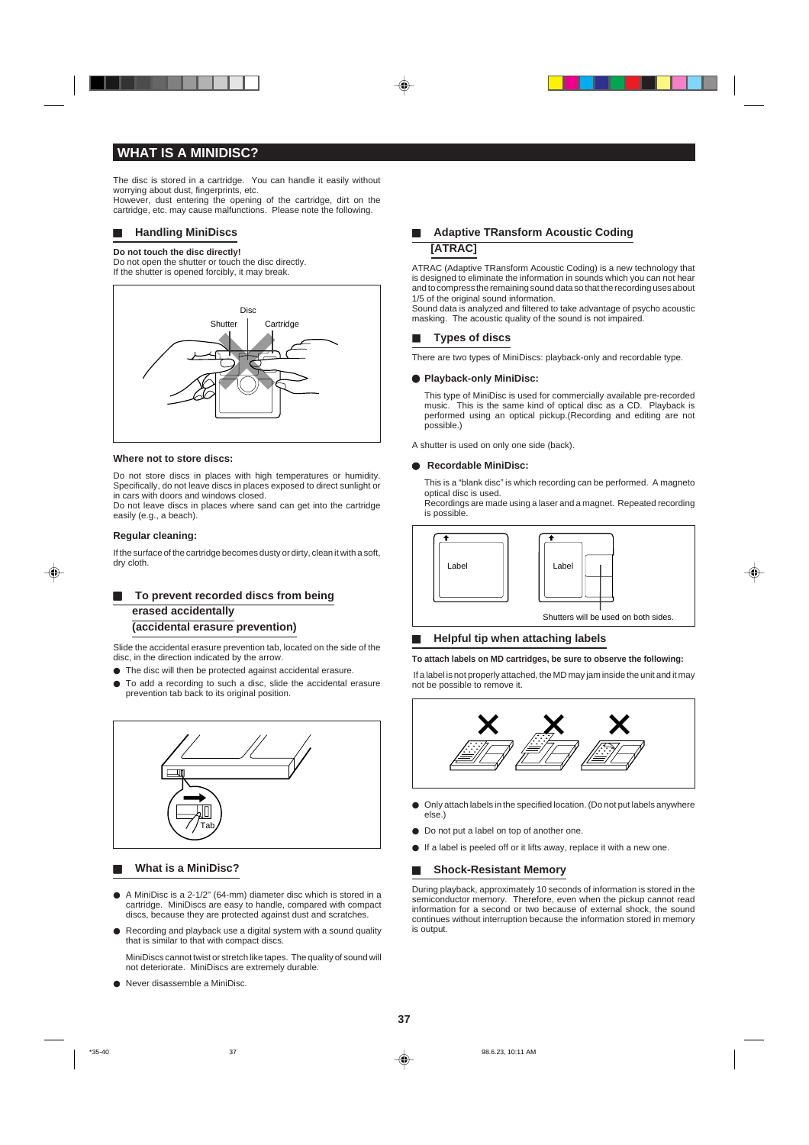## **WHAT IS A MINIDISC?**

The disc is stored in a cartridge. You can handle it easily without worrying about dust, fingerprints, etc. However, dust entering the opening of the cartridge, dirt on the cartridge, etc. may cause malfunctions. Please note the following.

#### $\blacksquare$  **Handling MiniDiscs**

#### **Do not touch the disc directly!**

Do not open the shutter or touch the disc directly. If the shutter is opened forcibly, it may break.



#### **Where not to store discs:**

Do not store discs in places with high temperatures or humidity. Specifically, do not leave discs in places exposed to direct sunlight or in cars with doors and windows closed. Do not leave discs in places where sand can get into the cartridge

easily (e.g., a beach).

## **Regular cleaning:**

⊕

If the surface of the cartridge becomes dusty or dirty, clean it with a soft, dry cloth.

## **F** To prevent recorded discs from being **erased accidentally (accidental erasure prevention)**

Slide the accidental erasure prevention tab, located on the side of the disc, in the direction indicated by the arrow.

- $\bullet$  The disc will then be protected against accidental erasure.
- $\bullet$  To add a recording to such a disc, slide the accidental erasure prevention tab back to its original position.



## **H** What is a MiniDisc?

- $\bullet$  A MiniDisc is a 2-1/2" (64-mm) diameter disc which is stored in a cartridge. MiniDiscs are easy to handle, compared with compact discs, because they are protected against dust and scratches.
- Recording and playback use a digital system with a sound quality that is similar to that with compact discs.
- MiniDiscs cannot twist or stretch like tapes. The quality of sound will not deteriorate. MiniDiscs are extremely durable.
- Never disassemble a MiniDisc.

## **H** Adaptive TRansform Acoustic Coding **[ATRAC]**

ATRAC (Adaptive TRansform Acoustic Coding) is a new technology that is designed to eliminate the information in sounds which you can not hear and to compress the remaining sound data so that the recording uses about 1/5 of the original sound information.

Sound data is analyzed and filtered to take advantage of psycho acoustic masking. The acoustic quality of the sound is not impaired.

## **Types of discs**

There are two types of MiniDiscs: playback-only and recordable type.

#### **• Playback-only MiniDisc:**

This type of MiniDisc is used for commercially available pre-recorded music. This is the same kind of optical disc as a CD. Playback is performed using an optical pickup.(Recording and editing are not possible.)

A shutter is used on only one side (back).

## I **Recordable MiniDisc:**

This is a "blank disc" is which recording can be performed. A magneto optical disc is used.

Recordings are made using a laser and a magnet. Repeated recording is possible.





#### H **Helpful tip when attaching labels**

#### **To attach labels on MD cartridges, be sure to observe the following:**

 If a label is not properly attached, the MD may jam inside the unit and it may not be possible to remove it.



- $\bullet$  Only attach labels in the specified location. (Do not put labels anywhere else.)
- Do not put a label on top of another one.
- $\bullet$  If a label is peeled off or it lifts away, replace it with a new one.

### **H** Shock-Resistant Memory

During playback, approximately 10 seconds of information is stored in the semiconductor memory. Therefore, even when the pickup cannot read information for a second or two because of external shock, the sound continues without interruption because the information stored in memory is output.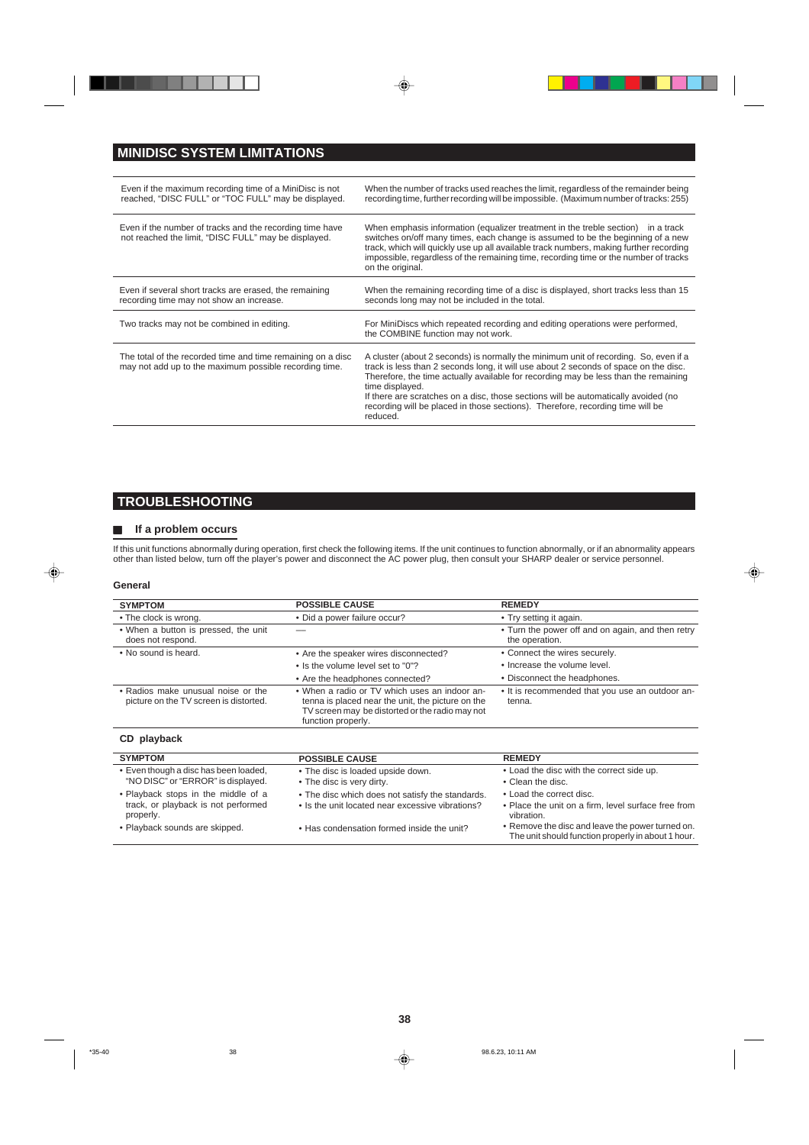



 $\Box$ 

<u> a shekara t</u>

⊕

# **MINIDISC SYSTEM LIMITATIONS**

| Even if the maximum recording time of a MiniDisc is not<br>reached, "DISC FULL" or "TOC FULL" may be displayed.       | When the number of tracks used reaches the limit, regardless of the remainder being<br>recording time, further recording will be impossible. (Maximum number of tracks: 255)                                                                                                                                                                                                                                                                                               |
|-----------------------------------------------------------------------------------------------------------------------|----------------------------------------------------------------------------------------------------------------------------------------------------------------------------------------------------------------------------------------------------------------------------------------------------------------------------------------------------------------------------------------------------------------------------------------------------------------------------|
| Even if the number of tracks and the recording time have<br>not reached the limit, "DISC FULL" may be displayed.      | When emphasis information (equalizer treatment in the treble section) in a track<br>switches on/off many times, each change is assumed to be the beginning of a new<br>track, which will quickly use up all available track numbers, making further recording<br>impossible, regardless of the remaining time, recording time or the number of tracks<br>on the original.                                                                                                  |
| Even if several short tracks are erased, the remaining<br>recording time may not show an increase.                    | When the remaining recording time of a disc is displayed, short tracks less than 15<br>seconds long may not be included in the total.                                                                                                                                                                                                                                                                                                                                      |
| Two tracks may not be combined in editing.                                                                            | For MiniDiscs which repeated recording and editing operations were performed,<br>the COMBINE function may not work.                                                                                                                                                                                                                                                                                                                                                        |
| The total of the recorded time and time remaining on a disc<br>may not add up to the maximum possible recording time. | A cluster (about 2 seconds) is normally the minimum unit of recording. So, even if a<br>track is less than 2 seconds long, it will use about 2 seconds of space on the disc.<br>Therefore, the time actually available for recording may be less than the remaining<br>time displayed.<br>If there are scratches on a disc, those sections will be automatically avoided (no<br>recording will be placed in those sections). Therefore, recording time will be<br>reduced. |

## **TROUBLESHOOTING**

## **H** If a problem occurs

If this unit functions abnormally during operation, first check the following items. If the unit continues to function abnormally, or if an abnormality appears other than listed below, turn off the player's power and disconnect the AC power plug, then consult your SHARP dealer or service personnel.

## **General**

⊕

| <b>SYMPTOM</b>                                                                          | <b>POSSIBLE CAUSE</b>                                                                                                                                                       | <b>REMEDY</b>                                                                                          |
|-----------------------------------------------------------------------------------------|-----------------------------------------------------------------------------------------------------------------------------------------------------------------------------|--------------------------------------------------------------------------------------------------------|
| • The clock is wrong.                                                                   | • Did a power failure occur?                                                                                                                                                | • Try setting it again.                                                                                |
| . When a button is pressed, the unit<br>does not respond.                               |                                                                                                                                                                             | • Turn the power off and on again, and then retry<br>the operation.                                    |
| • No sound is heard.                                                                    | • Are the speaker wires disconnected?                                                                                                                                       | • Connect the wires securely.                                                                          |
|                                                                                         | • Is the volume level set to "0"?                                                                                                                                           | • Increase the volume level.                                                                           |
|                                                                                         | • Are the headphones connected?                                                                                                                                             | • Disconnect the headphones.                                                                           |
| • Radios make unusual noise or the<br>picture on the TV screen is distorted.            | • When a radio or TV which uses an indoor an-<br>tenna is placed near the unit, the picture on the<br>TV screen may be distorted or the radio may not<br>function properly. | • It is recommended that you use an outdoor an-<br>tenna.                                              |
| CD playback                                                                             |                                                                                                                                                                             |                                                                                                        |
| <b>SYMPTOM</b>                                                                          | <b>POSSIBLE CAUSE</b>                                                                                                                                                       | <b>REMEDY</b>                                                                                          |
| • Even though a disc has been loaded,<br>"NO DISC" or "ERROR" is displayed.             | • The disc is loaded upside down.<br>• The disc is very dirty.                                                                                                              | • Load the disc with the correct side up.<br>• Clean the disc.                                         |
| • Playback stops in the middle of a<br>track, or playback is not performed<br>properly. | . The disc which does not satisfy the standards.<br>• Is the unit located near excessive vibrations?                                                                        | • Load the correct disc.<br>• Place the unit on a firm, level surface free from<br>vibration.          |
| • Playback sounds are skipped.                                                          | . Has condensation formed inside the unit?                                                                                                                                  | • Remove the disc and leave the power turned on.<br>The unit should function properly in about 1 hour. |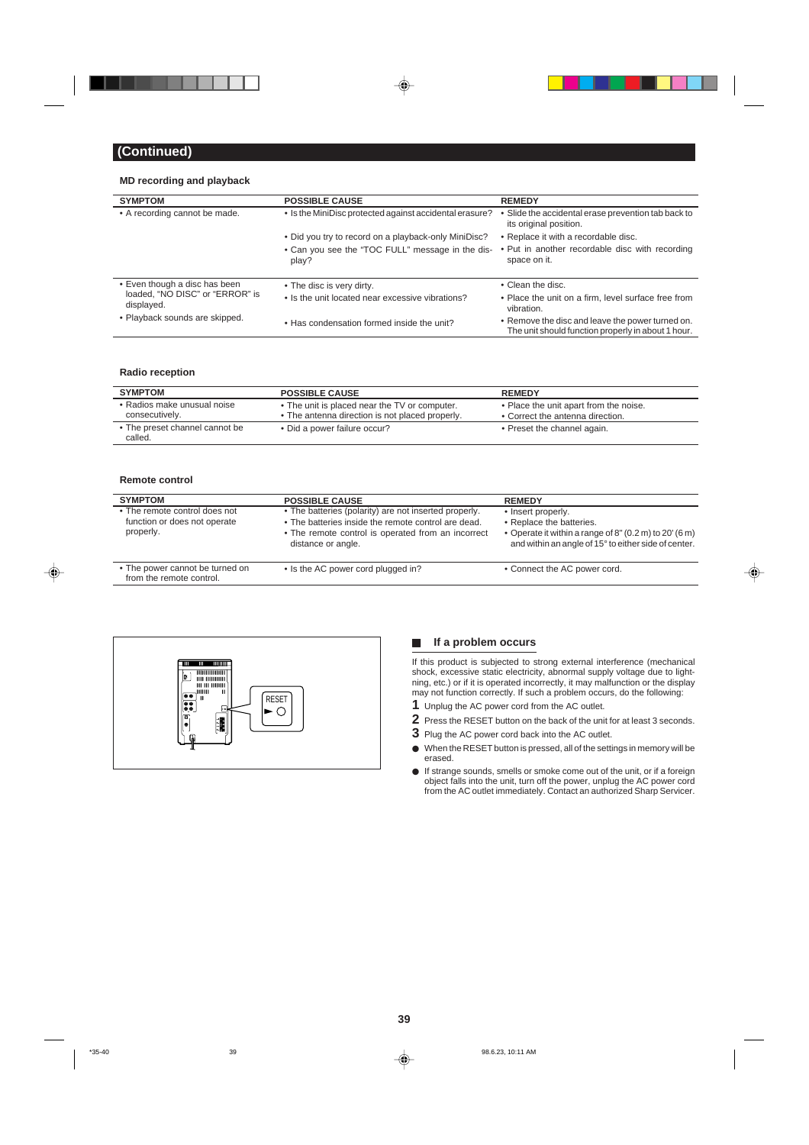

## **MD recording and playback**

| <b>SYMPTOM</b>                                | <b>POSSIBLE CAUSE</b>                                     | <b>REMEDY</b>                                                                                          |
|-----------------------------------------------|-----------------------------------------------------------|--------------------------------------------------------------------------------------------------------|
| • A recording cannot be made.                 | • Is the MiniDisc protected against accidental erasure?   | • Slide the accidental erase prevention tab back to<br>its original position.                          |
|                                               | • Did you try to record on a playback-only MiniDisc?      | • Replace it with a recordable disc.                                                                   |
|                                               | • Can you see the "TOC FULL" message in the dis-<br>play? | • Put in another recordable disc with recording<br>space on it.                                        |
| • Even though a disc has been                 | • The disc is very dirty.                                 | • Clean the disc.                                                                                      |
| loaded, "NO DISC" or "ERROR" is<br>displayed. | • Is the unit located near excessive vibrations?          | • Place the unit on a firm, level surface free from<br>vibration.                                      |
| • Playback sounds are skipped.                | • Has condensation formed inside the unit?                | • Remove the disc and leave the power turned on.<br>The unit should function properly in about 1 hour. |

## **Radio reception**

| <b>SYMPTOM</b>                                | <b>POSSIBLE CAUSE</b>                                                                            | <b>REMEDY</b>                                                              |
|-----------------------------------------------|--------------------------------------------------------------------------------------------------|----------------------------------------------------------------------------|
| • Radios make unusual noise<br>consecutively. | • The unit is placed near the TV or computer.<br>• The antenna direction is not placed properly. | • Place the unit apart from the noise.<br>• Correct the antenna direction. |
| • The preset channel cannot be<br>called.     | • Did a power failure occur?                                                                     | • Preset the channel again.                                                |

#### **Remote control**

◈

| <b>SYMPTOM</b>                                                             | <b>POSSIBLE CAUSE</b>                                                                                                                                                                    | <b>REMEDY</b>                                                                                                                                                                       |
|----------------------------------------------------------------------------|------------------------------------------------------------------------------------------------------------------------------------------------------------------------------------------|-------------------------------------------------------------------------------------------------------------------------------------------------------------------------------------|
| • The remote control does not<br>function or does not operate<br>properly. | • The batteries (polarity) are not inserted properly.<br>• The batteries inside the remote control are dead.<br>• The remote control is operated from an incorrect<br>distance or angle. | • Insert properly.<br>• Replace the batteries.<br>• Operate it within a range of $8''(0.2 \text{ m})$ to $20'(6 \text{ m})$<br>and within an angle of 15° to either side of center. |
| • The power cannot be turned on<br>from the remote control.                | • Is the AC power cord plugged in?                                                                                                                                                       | • Connect the AC power cord.                                                                                                                                                        |



## **H** If a problem occurs

If this product is subjected to strong external interference (mechanical shock, excessive static electricity, abnormal supply voltage due to lightning, etc.) or if it is operated incorrectly, it may malfunction or the display may not function correctly. If such a problem occurs, do the following:

⊕

- **1** Unplug the AC power cord from the AC outlet.
- **2** Press the RESET button on the back of the unit for at least 3 seconds.
- **3** Plug the AC power cord back into the AC outlet.
- $\bullet$  When the RESET button is pressed, all of the settings in memory will be erased.
- $\bullet$  If strange sounds, smells or smoke come out of the unit, or if a foreign object falls into the unit, turn off the power, unplug the AC power cord from the AC outlet immediately. Contact an authorized Sharp Servicer.

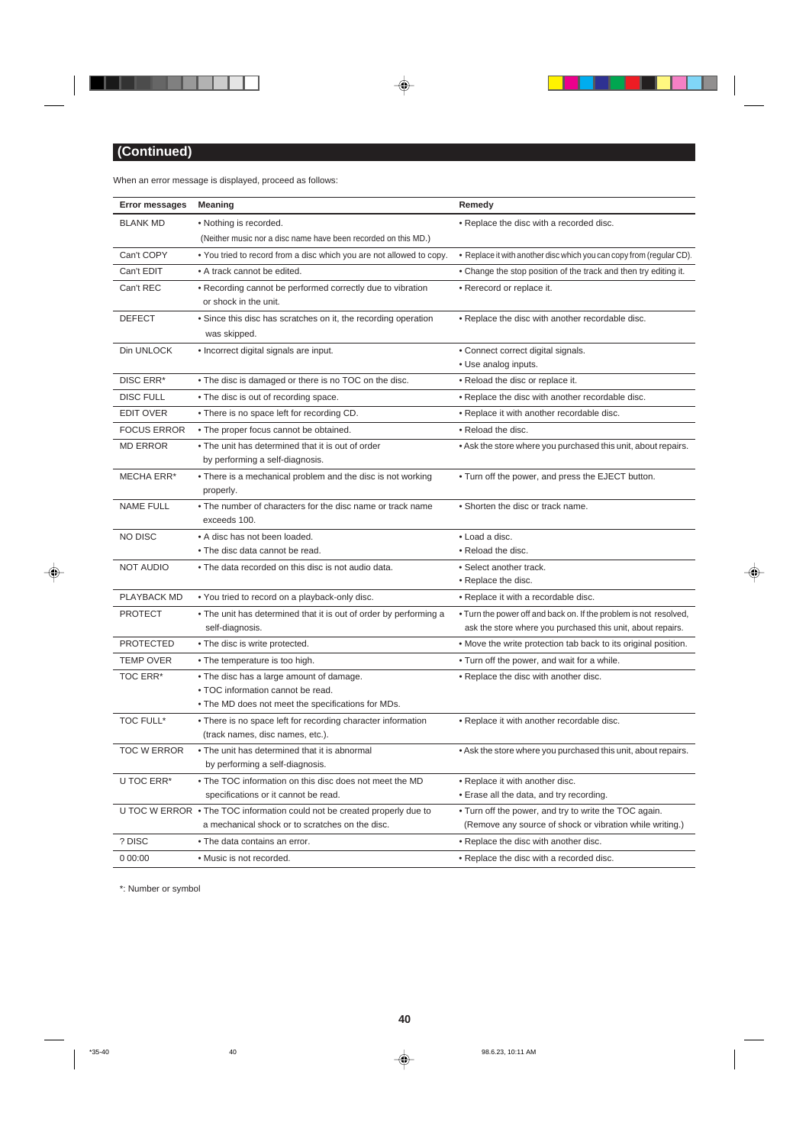

 $\overline{\phantom{a}}$ 

 $\overline{\blacklozenge}$ 

When an error message is displayed, proceed as follows:

ш

| <b>Error messages</b> | <b>Meaning</b>                                                                                                                      | Remedy                                                                                                                           |
|-----------------------|-------------------------------------------------------------------------------------------------------------------------------------|----------------------------------------------------------------------------------------------------------------------------------|
| <b>BLANK MD</b>       | • Nothing is recorded.                                                                                                              | • Replace the disc with a recorded disc.                                                                                         |
|                       | (Neither music nor a disc name have been recorded on this MD.)                                                                      |                                                                                                                                  |
| Can't COPY            | . You tried to record from a disc which you are not allowed to copy.                                                                | • Replace it with another disc which you can copy from (regular CD).                                                             |
| Can't EDIT            | • A track cannot be edited.                                                                                                         | • Change the stop position of the track and then try editing it.                                                                 |
| Can't REC             | • Recording cannot be performed correctly due to vibration<br>or shock in the unit.                                                 | • Rerecord or replace it.                                                                                                        |
| <b>DEFECT</b>         | • Since this disc has scratches on it, the recording operation<br>was skipped.                                                      | . Replace the disc with another recordable disc.                                                                                 |
| Din UNLOCK            | • Incorrect digital signals are input.                                                                                              | • Connect correct digital signals.                                                                                               |
|                       |                                                                                                                                     | • Use analog inputs.                                                                                                             |
| DISC ERR*             | . The disc is damaged or there is no TOC on the disc.                                                                               | • Reload the disc or replace it.                                                                                                 |
| DISC FULL             | . The disc is out of recording space.                                                                                               | . Replace the disc with another recordable disc.                                                                                 |
| <b>EDIT OVER</b>      | • There is no space left for recording CD.                                                                                          | . Replace it with another recordable disc.                                                                                       |
| <b>FOCUS ERROR</b>    | . The proper focus cannot be obtained.                                                                                              | • Reload the disc.                                                                                                               |
| <b>MD ERROR</b>       | . The unit has determined that it is out of order<br>by performing a self-diagnosis.                                                | . Ask the store where you purchased this unit, about repairs.                                                                    |
| MECHA ERR*            | • There is a mechanical problem and the disc is not working<br>properly.                                                            | . Turn off the power, and press the EJECT button.                                                                                |
| <b>NAME FULL</b>      | • The number of characters for the disc name or track name<br>exceeds 100.                                                          | • Shorten the disc or track name.                                                                                                |
| NO DISC               | • A disc has not been loaded.                                                                                                       | • Load a disc.                                                                                                                   |
|                       | • The disc data cannot be read.                                                                                                     | • Reload the disc.                                                                                                               |
| <b>NOT AUDIO</b>      | • The data recorded on this disc is not audio data.                                                                                 | • Select another track.<br>• Replace the disc.                                                                                   |
| PLAYBACK MD           | . You tried to record on a playback-only disc.                                                                                      | • Replace it with a recordable disc.                                                                                             |
| <b>PROTECT</b>        | . The unit has determined that it is out of order by performing a<br>self-diagnosis.                                                | . Turn the power off and back on. If the problem is not resolved,<br>ask the store where you purchased this unit, about repairs. |
| <b>PROTECTED</b>      | • The disc is write protected.                                                                                                      | . Move the write protection tab back to its original position.                                                                   |
| <b>TEMP OVER</b>      | • The temperature is too high.                                                                                                      | . Turn off the power, and wait for a while.                                                                                      |
| <b>TOC ERR*</b>       | • The disc has a large amount of damage.<br>. TOC information cannot be read.<br>. The MD does not meet the specifications for MDs. | • Replace the disc with another disc.                                                                                            |
| TOC FULL*             | • There is no space left for recording character information<br>(track names, disc names, etc.).                                    | • Replace it with another recordable disc.                                                                                       |
| <b>TOC W ERROR</b>    | . The unit has determined that it is abnormal<br>by performing a self-diagnosis.                                                    | • Ask the store where you purchased this unit, about repairs.                                                                    |
| U TOC ERR*            | . The TOC information on this disc does not meet the MD                                                                             | • Replace it with another disc.                                                                                                  |
|                       | specifications or it cannot be read.                                                                                                | • Erase all the data, and try recording.                                                                                         |
|                       | U TOC W ERROR • The TOC information could not be created properly due to<br>a mechanical shock or to scratches on the disc.         | • Turn off the power, and try to write the TOC again.<br>(Remove any source of shock or vibration while writing.)                |
| ? DISC                | • The data contains an error.                                                                                                       | • Replace the disc with another disc.                                                                                            |
| 0 00:00               | • Music is not recorded.                                                                                                            | • Replace the disc with a recorded disc.                                                                                         |

 $\Rightarrow$ 

 $\Box$ 

an an am Bàsan

 $\Box$  $\mathbb{R}$ 

 $\clubsuit$ 

\*: Number or symbol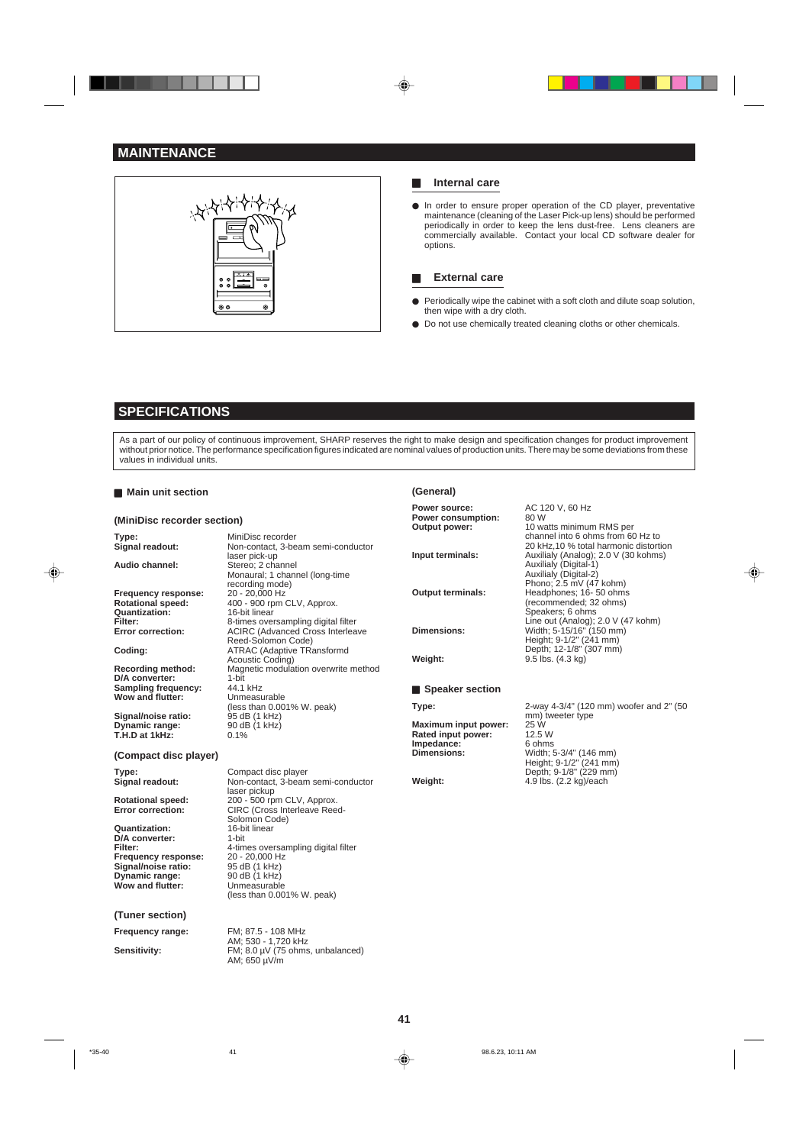## **MAINTENANCE**



### **H** Internal care

In order to ensure proper operation of the CD player, preventative maintenance (cleaning of the Laser Pick-up lens) should be performed periodically in order to keep the lens dust-free. Lens cleaners are commercially available. Contact your local CD software dealer for options.

### **External care**

- Periodically wipe the cabinet with a soft cloth and dilute soap solution, then wipe with a dry cloth.
- Do not use chemically treated cleaning cloths or other chemicals.

## **SPECIFICATIONS**

As a part of our policy of continuous improvement, SHARP reserves the right to make design and specification changes for product improvement without prior notice. The performance specification figures indicated are nominal values of production units. There may be some deviations from these values in individual units.

#### **Main unit section**

◈

### **(MiniDisc recorder section)**

**Audio channel:** Stereo; 2 channel **Frequency response:**<br>Rotational speed: **Rotational speed:** 400 - 900 rpm CLV, Approx. **Quantization:** 16-bit linear<br> **Filter:** 8-times over

**D/A** converter: Sampling frequency: 44.1 kHz **Wow and flutter:** Unmeasurable

**Signal/noise ratio:** 95 dB (1 kHz)<br>**Dynamic range:** 90 dB (1 kHz) **Dynamic range:** 90 dB (1 kHz) **T.H.D at 1kHz:** 0.1%

## **(Compact disc player)**

**Quantization:** 16-bit **D/A converter:** 1-bit **D/A converter:**<br>Filter: **Frequency response:** 20 - 20,000 Hz Signal/noise ratio: 95 dB (1 kHz) **Prequency response:** 20 - 20,000 Hz<br> **Signal/noise ratio:** 95 dB (1 kHz)<br> **Dynamic range:** 90 dB (1 kHz) **Wow and flutter:** 

**(Tuner section)**

**Type:** MiniDisc recorder **Signal readout:** Non-contact, 3-beam semi-conductor laser pick-up Monaural; 1 channel (long-time recording mode) **Filter:** 8-times oversampling digital filter<br> **Error correction:** ACIRC (Advanced Cross Interlea **Error correction:** ACIRC (Advanced Cross Interleave Reed-Solomon Code) **Coding:** ATRAC (Adaptive TRansformd Acoustic Coding) **Recording method:** Magnetic modulation overwrite method<br> **D/A converter:** 1-bit<br> **Sampling frequency:** 44.1 kHz Unmeasurable<br>(less than 0.001% W. peak)<br>95 dB (1 kHz)

**Type:** Compact disc player **Signal readout:** Non-contact, 3-beam semi-conductor laser pickup **Rotational speed:** 200 - 500 rpm CLV, Approx. **Error correction:** CIRC (Cross Interleave Reed-Solomon Code)<br>16-bit linear **Filter:** 4-times oversampling digital filter Unmeasurable<br>(less than 0.001% W. peak)

**Frequency range:** FM; 87.5 - 108 MHz AM; 530 - 1,720 kHz Sensitivity: FM; 8.0 µV (75 ohms, unbalanced) AM; 650 µV/m

#### **(General) Power source:** AC 120 V, 60 Hz<br>**Power consumption:** 80 W **Power consumption:**<br>Output power: **Output power:** 10 watts minimum RMS per channel into 6 ohms from 60 Hz to 20 kHz,10 % total harmonic distortion **Input terminals:** Auxilialy (Analog); 2.0 V (30 kohms) Auxilialy (Digital-1) Auxilialy (Digital-2) Phono; 2.5 mV (47 kohm) **Output terminals:** Headphones; 16-50 ohms (recommended; 32 ohms) Speakers; 6 ohms Line out (Analog); 2.0 V (47 kohm) **Dimensions:** Width; 5-15/16" (150 mm) Height; 9-1/2" (241 mm) Depth; 12-1/8" (307 mm) **Weight:** 9.5 lbs. (4.3 kg) **Speaker section Type:** 2-way 4-3/4" (120 mm) woofer and 2" (50 mm) tweeter type<br>25 W<br>12.5 W **Maximum input power: Rated input power:** 12.5 W<br>**Impedance:** 6 ohms **Impedance: Dimensions:** Width; 5-3/4" (146 mm) Height; 9-1/2" (241 mm) Depth; 9-1/8" (229 mm)

◈

**Weight:** 4.9 lbs. (2.2 kg)/each

**41**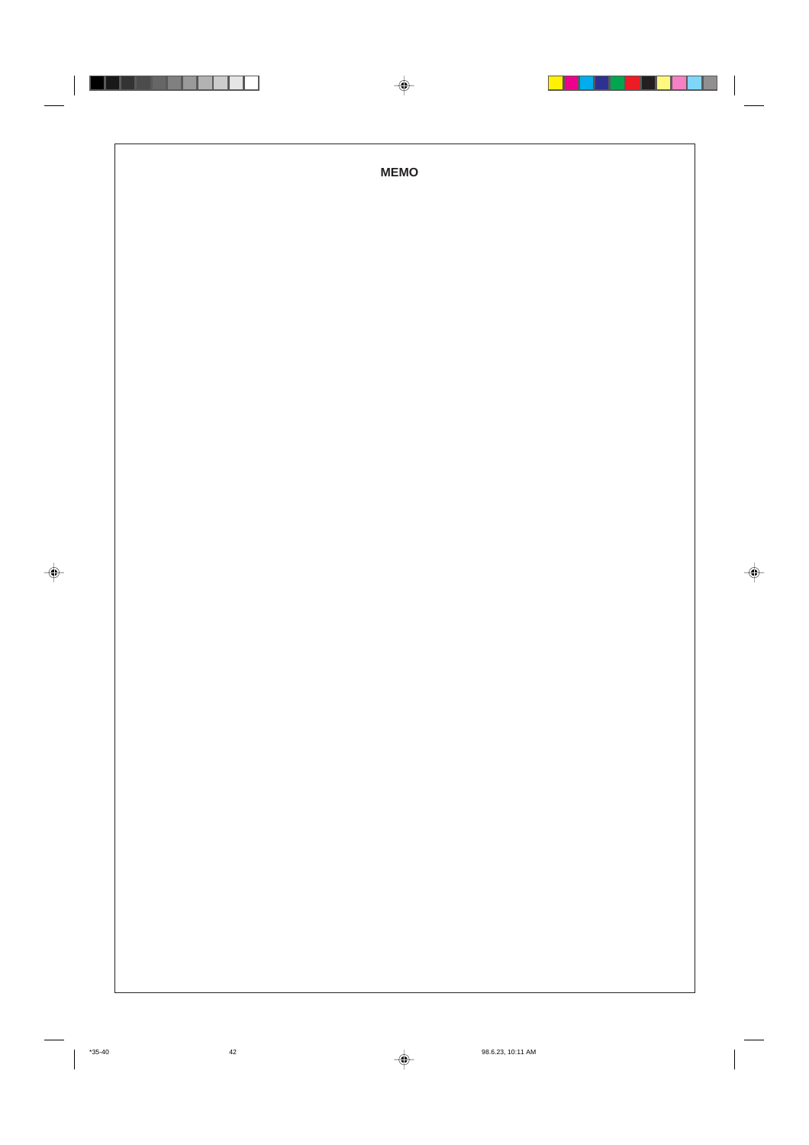|  | $\spadesuit$ |               |
|--|--------------|---------------|
|  |              |               |
|  | <b>MEMO</b>  |               |
|  |              |               |
|  |              |               |
|  |              |               |
|  |              |               |
|  |              |               |
|  |              |               |
|  |              | $\Rightarrow$ |
|  |              |               |
|  |              |               |
|  |              |               |
|  |              |               |
|  |              |               |
|  |              |               |
|  |              |               |
|  |              |               |

 $\Rightarrow$